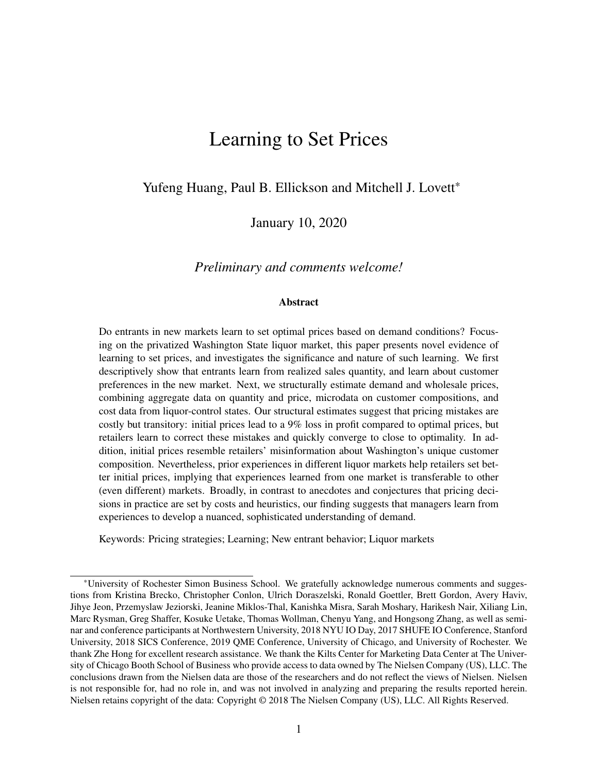# Learning to Set Prices

Yufeng Huang, Paul B. Ellickson and Mitchell J. Lovett\*

January 10, 2020

#### *Preliminary and comments welcome!*

#### Abstract

Do entrants in new markets learn to set optimal prices based on demand conditions? Focusing on the privatized Washington State liquor market, this paper presents novel evidence of learning to set prices, and investigates the significance and nature of such learning. We first descriptively show that entrants learn from realized sales quantity, and learn about customer preferences in the new market. Next, we structurally estimate demand and wholesale prices, combining aggregate data on quantity and price, microdata on customer compositions, and cost data from liquor-control states. Our structural estimates suggest that pricing mistakes are costly but transitory: initial prices lead to a 9% loss in profit compared to optimal prices, but retailers learn to correct these mistakes and quickly converge to close to optimality. In addition, initial prices resemble retailers' misinformation about Washington's unique customer composition. Nevertheless, prior experiences in different liquor markets help retailers set better initial prices, implying that experiences learned from one market is transferable to other (even different) markets. Broadly, in contrast to anecdotes and conjectures that pricing decisions in practice are set by costs and heuristics, our finding suggests that managers learn from experiences to develop a nuanced, sophisticated understanding of demand.

Keywords: Pricing strategies; Learning; New entrant behavior; Liquor markets

<sup>\*</sup>University of Rochester Simon Business School. We gratefully acknowledge numerous comments and suggestions from Kristina Brecko, Christopher Conlon, Ulrich Doraszelski, Ronald Goettler, Brett Gordon, Avery Haviv, Jihye Jeon, Przemyslaw Jeziorski, Jeanine Miklos-Thal, Kanishka Misra, Sarah Moshary, Harikesh Nair, Xiliang Lin, Marc Rysman, Greg Shaffer, Kosuke Uetake, Thomas Wollman, Chenyu Yang, and Hongsong Zhang, as well as seminar and conference participants at Northwestern University, 2018 NYU IO Day, 2017 SHUFE IO Conference, Stanford University, 2018 SICS Conference, 2019 QME Conference, University of Chicago, and University of Rochester. We thank Zhe Hong for excellent research assistance. We thank the Kilts Center for Marketing Data Center at The University of Chicago Booth School of Business who provide access to data owned by The Nielsen Company (US), LLC. The conclusions drawn from the Nielsen data are those of the researchers and do not reflect the views of Nielsen. Nielsen is not responsible for, had no role in, and was not involved in analyzing and preparing the results reported herein. Nielsen retains copyright of the data: Copyright © 2018 The Nielsen Company (US), LLC. All Rights Reserved.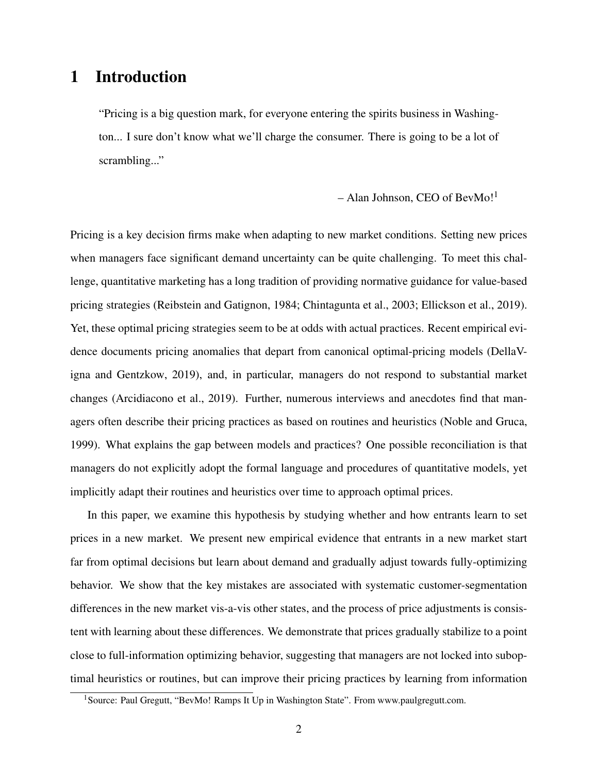## 1 Introduction

"Pricing is a big question mark, for everyone entering the spirits business in Washington... I sure don't know what we'll charge the consumer. There is going to be a lot of scrambling..."

– Alan Johnson, CEO of BevMo!<sup>1</sup>

Pricing is a key decision firms make when adapting to new market conditions. Setting new prices when managers face significant demand uncertainty can be quite challenging. To meet this challenge, quantitative marketing has a long tradition of providing normative guidance for value-based pricing strategies (Reibstein and Gatignon, 1984; Chintagunta et al., 2003; Ellickson et al., 2019). Yet, these optimal pricing strategies seem to be at odds with actual practices. Recent empirical evidence documents pricing anomalies that depart from canonical optimal-pricing models (DellaVigna and Gentzkow, 2019), and, in particular, managers do not respond to substantial market changes (Arcidiacono et al., 2019). Further, numerous interviews and anecdotes find that managers often describe their pricing practices as based on routines and heuristics (Noble and Gruca, 1999). What explains the gap between models and practices? One possible reconciliation is that managers do not explicitly adopt the formal language and procedures of quantitative models, yet implicitly adapt their routines and heuristics over time to approach optimal prices.

In this paper, we examine this hypothesis by studying whether and how entrants learn to set prices in a new market. We present new empirical evidence that entrants in a new market start far from optimal decisions but learn about demand and gradually adjust towards fully-optimizing behavior. We show that the key mistakes are associated with systematic customer-segmentation differences in the new market vis-a-vis other states, and the process of price adjustments is consistent with learning about these differences. We demonstrate that prices gradually stabilize to a point close to full-information optimizing behavior, suggesting that managers are not locked into suboptimal heuristics or routines, but can improve their pricing practices by learning from information

<sup>&</sup>lt;sup>1</sup> Source: Paul Gregutt, "BevMo! Ramps It Up in Washington State". From www.paulgregutt.com.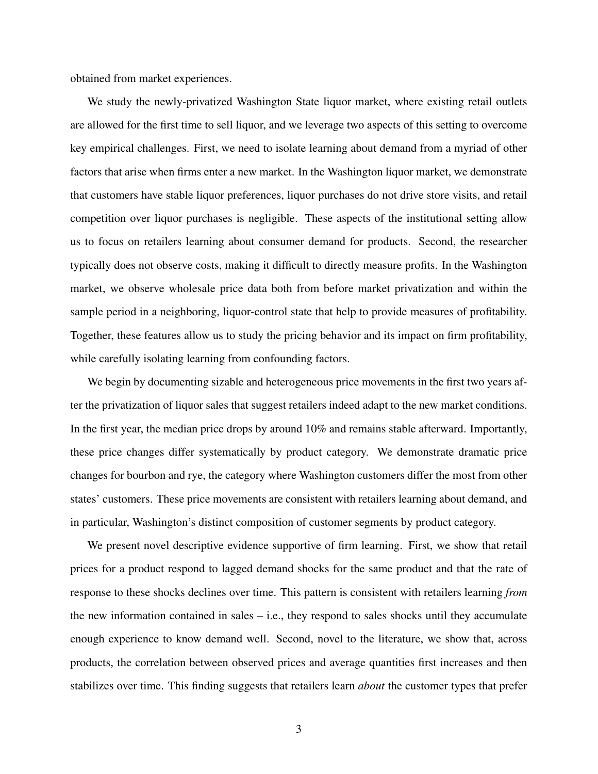obtained from market experiences.

We study the newly-privatized Washington State liquor market, where existing retail outlets are allowed for the first time to sell liquor, and we leverage two aspects of this setting to overcome key empirical challenges. First, we need to isolate learning about demand from a myriad of other factors that arise when firms enter a new market. In the Washington liquor market, we demonstrate that customers have stable liquor preferences, liquor purchases do not drive store visits, and retail competition over liquor purchases is negligible. These aspects of the institutional setting allow us to focus on retailers learning about consumer demand for products. Second, the researcher typically does not observe costs, making it difficult to directly measure profits. In the Washington market, we observe wholesale price data both from before market privatization and within the sample period in a neighboring, liquor-control state that help to provide measures of profitability. Together, these features allow us to study the pricing behavior and its impact on firm profitability, while carefully isolating learning from confounding factors.

We begin by documenting sizable and heterogeneous price movements in the first two years after the privatization of liquor sales that suggest retailers indeed adapt to the new market conditions. In the first year, the median price drops by around 10% and remains stable afterward. Importantly, these price changes differ systematically by product category. We demonstrate dramatic price changes for bourbon and rye, the category where Washington customers differ the most from other states' customers. These price movements are consistent with retailers learning about demand, and in particular, Washington's distinct composition of customer segments by product category.

We present novel descriptive evidence supportive of firm learning. First, we show that retail prices for a product respond to lagged demand shocks for the same product and that the rate of response to these shocks declines over time. This pattern is consistent with retailers learning *from* the new information contained in sales  $-$  i.e., they respond to sales shocks until they accumulate enough experience to know demand well. Second, novel to the literature, we show that, across products, the correlation between observed prices and average quantities first increases and then stabilizes over time. This finding suggests that retailers learn *about* the customer types that prefer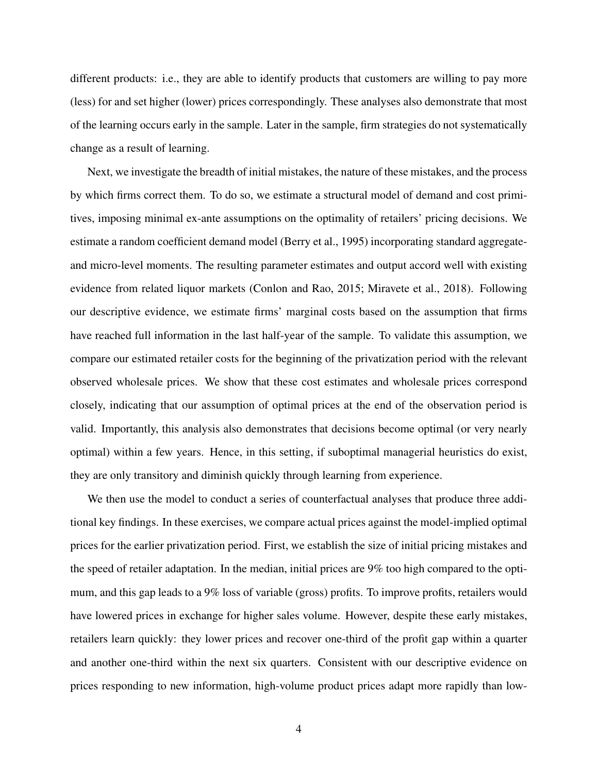different products: i.e., they are able to identify products that customers are willing to pay more (less) for and set higher (lower) prices correspondingly. These analyses also demonstrate that most of the learning occurs early in the sample. Later in the sample, firm strategies do not systematically change as a result of learning.

Next, we investigate the breadth of initial mistakes, the nature of these mistakes, and the process by which firms correct them. To do so, we estimate a structural model of demand and cost primitives, imposing minimal ex-ante assumptions on the optimality of retailers' pricing decisions. We estimate a random coefficient demand model (Berry et al., 1995) incorporating standard aggregateand micro-level moments. The resulting parameter estimates and output accord well with existing evidence from related liquor markets (Conlon and Rao, 2015; Miravete et al., 2018). Following our descriptive evidence, we estimate firms' marginal costs based on the assumption that firms have reached full information in the last half-year of the sample. To validate this assumption, we compare our estimated retailer costs for the beginning of the privatization period with the relevant observed wholesale prices. We show that these cost estimates and wholesale prices correspond closely, indicating that our assumption of optimal prices at the end of the observation period is valid. Importantly, this analysis also demonstrates that decisions become optimal (or very nearly optimal) within a few years. Hence, in this setting, if suboptimal managerial heuristics do exist, they are only transitory and diminish quickly through learning from experience.

We then use the model to conduct a series of counterfactual analyses that produce three additional key findings. In these exercises, we compare actual prices against the model-implied optimal prices for the earlier privatization period. First, we establish the size of initial pricing mistakes and the speed of retailer adaptation. In the median, initial prices are 9% too high compared to the optimum, and this gap leads to a 9% loss of variable (gross) profits. To improve profits, retailers would have lowered prices in exchange for higher sales volume. However, despite these early mistakes, retailers learn quickly: they lower prices and recover one-third of the profit gap within a quarter and another one-third within the next six quarters. Consistent with our descriptive evidence on prices responding to new information, high-volume product prices adapt more rapidly than low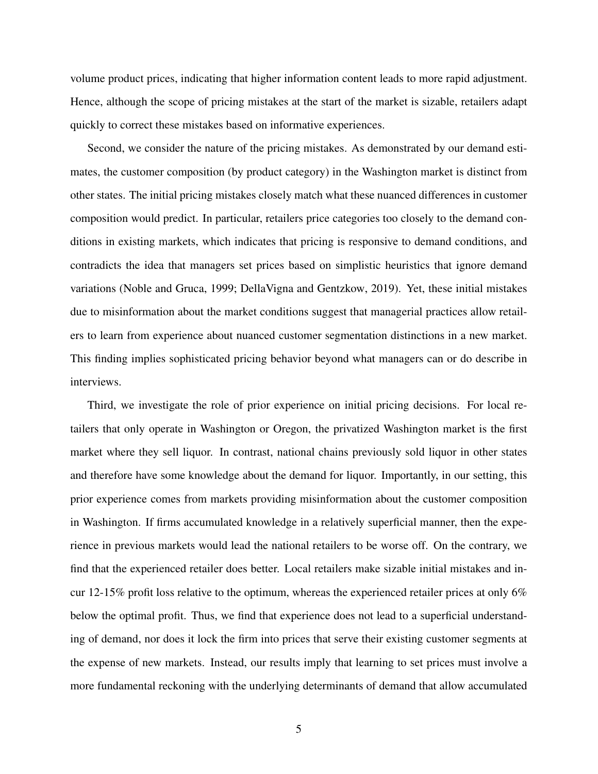volume product prices, indicating that higher information content leads to more rapid adjustment. Hence, although the scope of pricing mistakes at the start of the market is sizable, retailers adapt quickly to correct these mistakes based on informative experiences.

Second, we consider the nature of the pricing mistakes. As demonstrated by our demand estimates, the customer composition (by product category) in the Washington market is distinct from other states. The initial pricing mistakes closely match what these nuanced differences in customer composition would predict. In particular, retailers price categories too closely to the demand conditions in existing markets, which indicates that pricing is responsive to demand conditions, and contradicts the idea that managers set prices based on simplistic heuristics that ignore demand variations (Noble and Gruca, 1999; DellaVigna and Gentzkow, 2019). Yet, these initial mistakes due to misinformation about the market conditions suggest that managerial practices allow retailers to learn from experience about nuanced customer segmentation distinctions in a new market. This finding implies sophisticated pricing behavior beyond what managers can or do describe in interviews.

Third, we investigate the role of prior experience on initial pricing decisions. For local retailers that only operate in Washington or Oregon, the privatized Washington market is the first market where they sell liquor. In contrast, national chains previously sold liquor in other states and therefore have some knowledge about the demand for liquor. Importantly, in our setting, this prior experience comes from markets providing misinformation about the customer composition in Washington. If firms accumulated knowledge in a relatively superficial manner, then the experience in previous markets would lead the national retailers to be worse off. On the contrary, we find that the experienced retailer does better. Local retailers make sizable initial mistakes and incur 12-15% profit loss relative to the optimum, whereas the experienced retailer prices at only  $6\%$ below the optimal profit. Thus, we find that experience does not lead to a superficial understanding of demand, nor does it lock the firm into prices that serve their existing customer segments at the expense of new markets. Instead, our results imply that learning to set prices must involve a more fundamental reckoning with the underlying determinants of demand that allow accumulated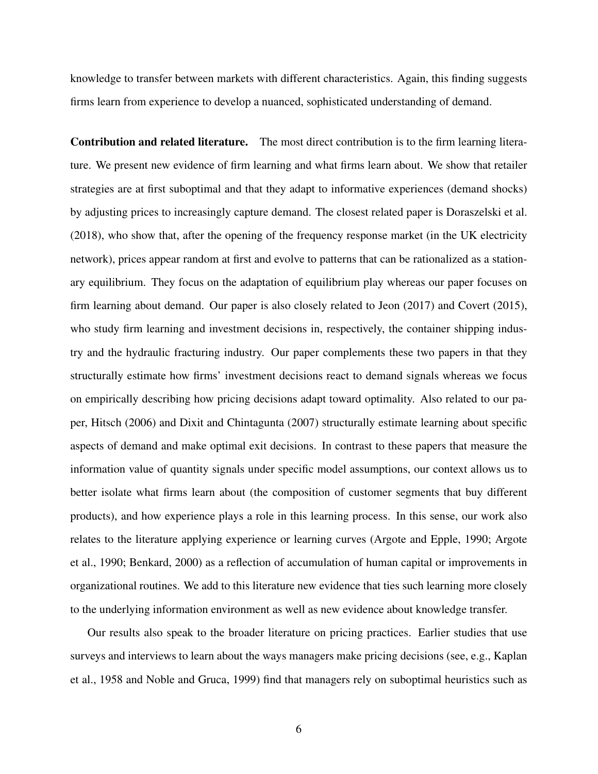knowledge to transfer between markets with different characteristics. Again, this finding suggests firms learn from experience to develop a nuanced, sophisticated understanding of demand.

Contribution and related literature. The most direct contribution is to the firm learning literature. We present new evidence of firm learning and what firms learn about. We show that retailer strategies are at first suboptimal and that they adapt to informative experiences (demand shocks) by adjusting prices to increasingly capture demand. The closest related paper is Doraszelski et al. (2018), who show that, after the opening of the frequency response market (in the UK electricity network), prices appear random at first and evolve to patterns that can be rationalized as a stationary equilibrium. They focus on the adaptation of equilibrium play whereas our paper focuses on firm learning about demand. Our paper is also closely related to Jeon (2017) and Covert (2015), who study firm learning and investment decisions in, respectively, the container shipping industry and the hydraulic fracturing industry. Our paper complements these two papers in that they structurally estimate how firms' investment decisions react to demand signals whereas we focus on empirically describing how pricing decisions adapt toward optimality. Also related to our paper, Hitsch (2006) and Dixit and Chintagunta (2007) structurally estimate learning about specific aspects of demand and make optimal exit decisions. In contrast to these papers that measure the information value of quantity signals under specific model assumptions, our context allows us to better isolate what firms learn about (the composition of customer segments that buy different products), and how experience plays a role in this learning process. In this sense, our work also relates to the literature applying experience or learning curves (Argote and Epple, 1990; Argote et al., 1990; Benkard, 2000) as a reflection of accumulation of human capital or improvements in organizational routines. We add to this literature new evidence that ties such learning more closely to the underlying information environment as well as new evidence about knowledge transfer.

Our results also speak to the broader literature on pricing practices. Earlier studies that use surveys and interviews to learn about the ways managers make pricing decisions (see, e.g., Kaplan et al., 1958 and Noble and Gruca, 1999) find that managers rely on suboptimal heuristics such as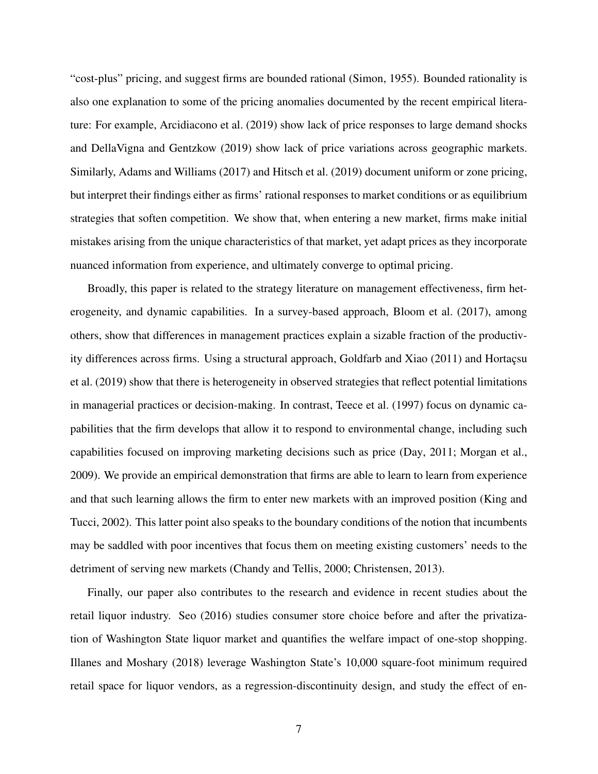"cost-plus" pricing, and suggest firms are bounded rational (Simon, 1955). Bounded rationality is also one explanation to some of the pricing anomalies documented by the recent empirical literature: For example, Arcidiacono et al. (2019) show lack of price responses to large demand shocks and DellaVigna and Gentzkow (2019) show lack of price variations across geographic markets. Similarly, Adams and Williams (2017) and Hitsch et al. (2019) document uniform or zone pricing, but interpret their findings either as firms' rational responses to market conditions or as equilibrium strategies that soften competition. We show that, when entering a new market, firms make initial mistakes arising from the unique characteristics of that market, yet adapt prices as they incorporate nuanced information from experience, and ultimately converge to optimal pricing.

Broadly, this paper is related to the strategy literature on management effectiveness, firm heterogeneity, and dynamic capabilities. In a survey-based approach, Bloom et al. (2017), among others, show that differences in management practices explain a sizable fraction of the productivity differences across firms. Using a structural approach, Goldfarb and Xiao (2011) and Hortaçsu et al. (2019) show that there is heterogeneity in observed strategies that reflect potential limitations in managerial practices or decision-making. In contrast, Teece et al. (1997) focus on dynamic capabilities that the firm develops that allow it to respond to environmental change, including such capabilities focused on improving marketing decisions such as price (Day, 2011; Morgan et al., 2009). We provide an empirical demonstration that firms are able to learn to learn from experience and that such learning allows the firm to enter new markets with an improved position (King and Tucci, 2002). This latter point also speaks to the boundary conditions of the notion that incumbents may be saddled with poor incentives that focus them on meeting existing customers' needs to the detriment of serving new markets (Chandy and Tellis, 2000; Christensen, 2013).

Finally, our paper also contributes to the research and evidence in recent studies about the retail liquor industry. Seo (2016) studies consumer store choice before and after the privatization of Washington State liquor market and quantifies the welfare impact of one-stop shopping. Illanes and Moshary (2018) leverage Washington State's 10,000 square-foot minimum required retail space for liquor vendors, as a regression-discontinuity design, and study the effect of en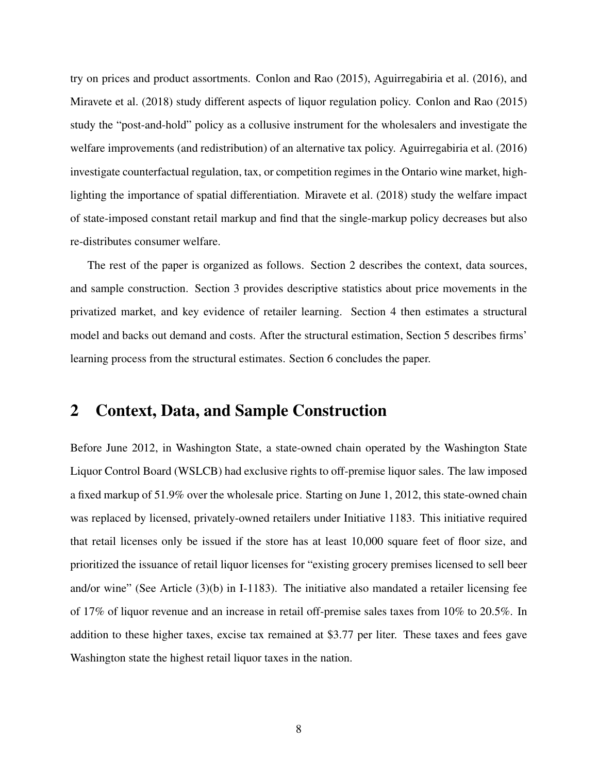try on prices and product assortments. Conlon and Rao (2015), Aguirregabiria et al. (2016), and Miravete et al. (2018) study different aspects of liquor regulation policy. Conlon and Rao (2015) study the "post-and-hold" policy as a collusive instrument for the wholesalers and investigate the welfare improvements (and redistribution) of an alternative tax policy. Aguirregabiria et al. (2016) investigate counterfactual regulation, tax, or competition regimes in the Ontario wine market, highlighting the importance of spatial differentiation. Miravete et al. (2018) study the welfare impact of state-imposed constant retail markup and find that the single-markup policy decreases but also re-distributes consumer welfare.

The rest of the paper is organized as follows. Section 2 describes the context, data sources, and sample construction. Section 3 provides descriptive statistics about price movements in the privatized market, and key evidence of retailer learning. Section 4 then estimates a structural model and backs out demand and costs. After the structural estimation, Section 5 describes firms' learning process from the structural estimates. Section 6 concludes the paper.

## 2 Context, Data, and Sample Construction

Before June 2012, in Washington State, a state-owned chain operated by the Washington State Liquor Control Board (WSLCB) had exclusive rights to off-premise liquor sales. The law imposed a fixed markup of 51.9% over the wholesale price. Starting on June 1, 2012, this state-owned chain was replaced by licensed, privately-owned retailers under Initiative 1183. This initiative required that retail licenses only be issued if the store has at least 10,000 square feet of floor size, and prioritized the issuance of retail liquor licenses for "existing grocery premises licensed to sell beer and/or wine" (See Article (3)(b) in I-1183). The initiative also mandated a retailer licensing fee of 17% of liquor revenue and an increase in retail off-premise sales taxes from 10% to 20.5%. In addition to these higher taxes, excise tax remained at \$3.77 per liter. These taxes and fees gave Washington state the highest retail liquor taxes in the nation.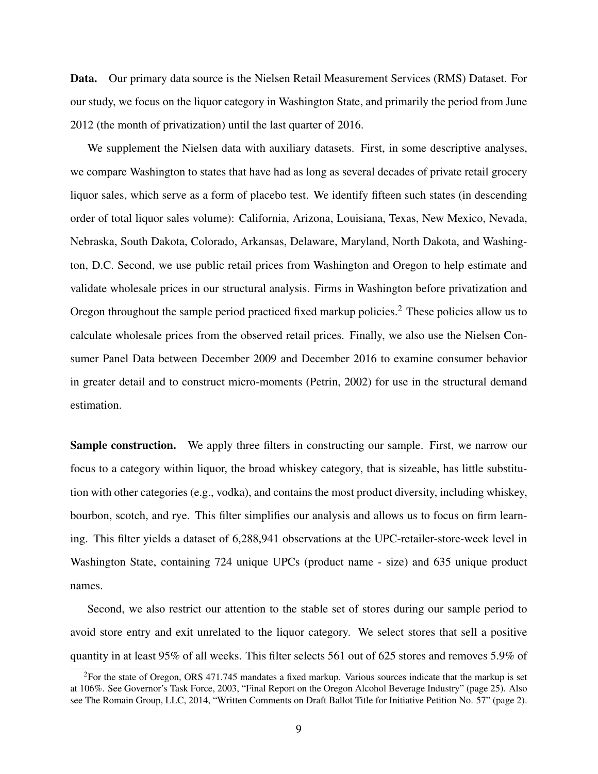Data. Our primary data source is the Nielsen Retail Measurement Services (RMS) Dataset. For our study, we focus on the liquor category in Washington State, and primarily the period from June 2012 (the month of privatization) until the last quarter of 2016.

We supplement the Nielsen data with auxiliary datasets. First, in some descriptive analyses, we compare Washington to states that have had as long as several decades of private retail grocery liquor sales, which serve as a form of placebo test. We identify fifteen such states (in descending order of total liquor sales volume): California, Arizona, Louisiana, Texas, New Mexico, Nevada, Nebraska, South Dakota, Colorado, Arkansas, Delaware, Maryland, North Dakota, and Washington, D.C. Second, we use public retail prices from Washington and Oregon to help estimate and validate wholesale prices in our structural analysis. Firms in Washington before privatization and Oregon throughout the sample period practiced fixed markup policies.<sup>2</sup> These policies allow us to calculate wholesale prices from the observed retail prices. Finally, we also use the Nielsen Consumer Panel Data between December 2009 and December 2016 to examine consumer behavior in greater detail and to construct micro-moments (Petrin, 2002) for use in the structural demand estimation.

Sample construction. We apply three filters in constructing our sample. First, we narrow our focus to a category within liquor, the broad whiskey category, that is sizeable, has little substitution with other categories (e.g., vodka), and contains the most product diversity, including whiskey, bourbon, scotch, and rye. This filter simplifies our analysis and allows us to focus on firm learning. This filter yields a dataset of 6,288,941 observations at the UPC-retailer-store-week level in Washington State, containing 724 unique UPCs (product name - size) and 635 unique product names.

Second, we also restrict our attention to the stable set of stores during our sample period to avoid store entry and exit unrelated to the liquor category. We select stores that sell a positive quantity in at least 95% of all weeks. This filter selects 561 out of 625 stores and removes 5.9% of

 ${}^{2}$ For the state of Oregon, ORS 471.745 mandates a fixed markup. Various sources indicate that the markup is set at 106%. See Governor's Task Force, 2003, "Final Report on the Oregon Alcohol Beverage Industry" (page 25). Also see The Romain Group, LLC, 2014, "Written Comments on Draft Ballot Title for Initiative Petition No. 57" (page 2).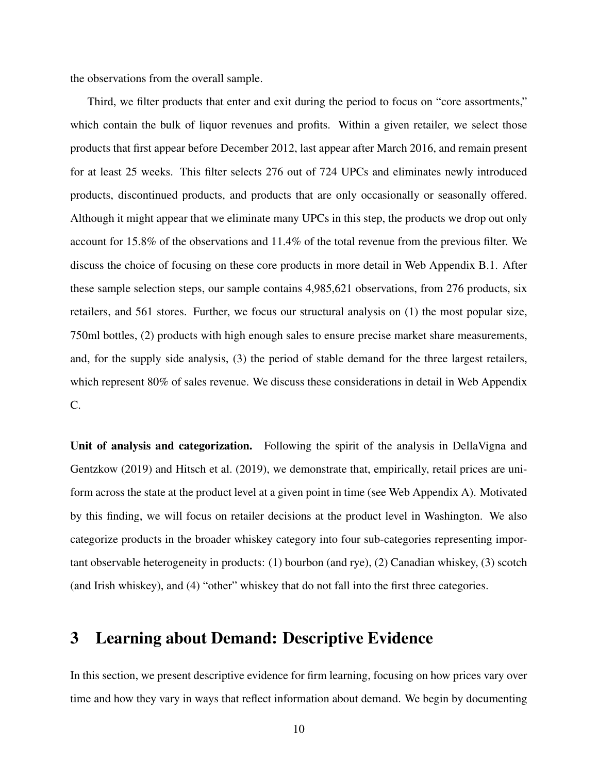the observations from the overall sample.

Third, we filter products that enter and exit during the period to focus on "core assortments," which contain the bulk of liquor revenues and profits. Within a given retailer, we select those products that first appear before December 2012, last appear after March 2016, and remain present for at least 25 weeks. This filter selects 276 out of 724 UPCs and eliminates newly introduced products, discontinued products, and products that are only occasionally or seasonally offered. Although it might appear that we eliminate many UPCs in this step, the products we drop out only account for 15.8% of the observations and 11.4% of the total revenue from the previous filter. We discuss the choice of focusing on these core products in more detail in Web Appendix B.1. After these sample selection steps, our sample contains 4,985,621 observations, from 276 products, six retailers, and 561 stores. Further, we focus our structural analysis on (1) the most popular size, 750ml bottles, (2) products with high enough sales to ensure precise market share measurements, and, for the supply side analysis, (3) the period of stable demand for the three largest retailers, which represent 80% of sales revenue. We discuss these considerations in detail in Web Appendix C.

Unit of analysis and categorization. Following the spirit of the analysis in DellaVigna and Gentzkow (2019) and Hitsch et al. (2019), we demonstrate that, empirically, retail prices are uniform across the state at the product level at a given point in time (see Web Appendix A). Motivated by this finding, we will focus on retailer decisions at the product level in Washington. We also categorize products in the broader whiskey category into four sub-categories representing important observable heterogeneity in products: (1) bourbon (and rye), (2) Canadian whiskey, (3) scotch (and Irish whiskey), and (4) "other" whiskey that do not fall into the first three categories.

## 3 Learning about Demand: Descriptive Evidence

In this section, we present descriptive evidence for firm learning, focusing on how prices vary over time and how they vary in ways that reflect information about demand. We begin by documenting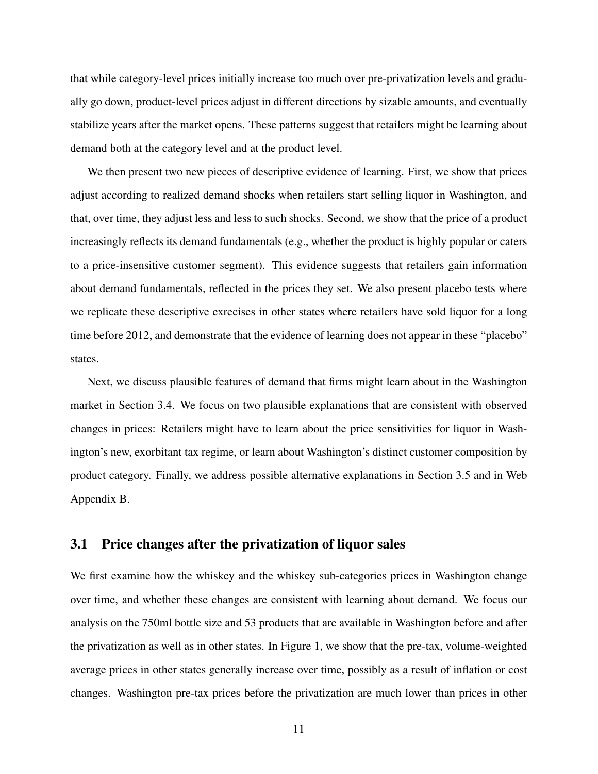that while category-level prices initially increase too much over pre-privatization levels and gradually go down, product-level prices adjust in different directions by sizable amounts, and eventually stabilize years after the market opens. These patterns suggest that retailers might be learning about demand both at the category level and at the product level.

We then present two new pieces of descriptive evidence of learning. First, we show that prices adjust according to realized demand shocks when retailers start selling liquor in Washington, and that, over time, they adjust less and less to such shocks. Second, we show that the price of a product increasingly reflects its demand fundamentals (e.g., whether the product is highly popular or caters to a price-insensitive customer segment). This evidence suggests that retailers gain information about demand fundamentals, reflected in the prices they set. We also present placebo tests where we replicate these descriptive exrecises in other states where retailers have sold liquor for a long time before 2012, and demonstrate that the evidence of learning does not appear in these "placebo" states.

Next, we discuss plausible features of demand that firms might learn about in the Washington market in Section 3.4. We focus on two plausible explanations that are consistent with observed changes in prices: Retailers might have to learn about the price sensitivities for liquor in Washington's new, exorbitant tax regime, or learn about Washington's distinct customer composition by product category. Finally, we address possible alternative explanations in Section 3.5 and in Web Appendix B.

## 3.1 Price changes after the privatization of liquor sales

We first examine how the whiskey and the whiskey sub-categories prices in Washington change over time, and whether these changes are consistent with learning about demand. We focus our analysis on the 750ml bottle size and 53 products that are available in Washington before and after the privatization as well as in other states. In Figure 1, we show that the pre-tax, volume-weighted average prices in other states generally increase over time, possibly as a result of inflation or cost changes. Washington pre-tax prices before the privatization are much lower than prices in other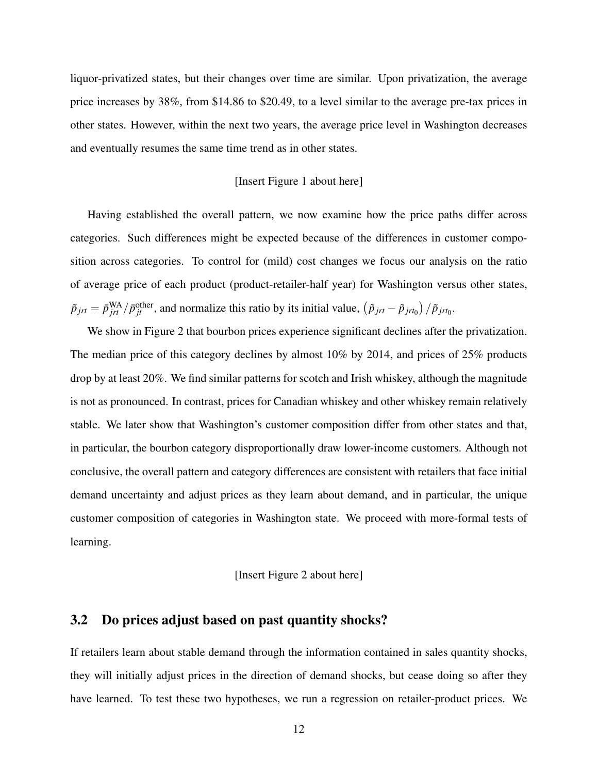liquor-privatized states, but their changes over time are similar. Upon privatization, the average price increases by 38%, from \$14.86 to \$20.49, to a level similar to the average pre-tax prices in other states. However, within the next two years, the average price level in Washington decreases and eventually resumes the same time trend as in other states.

#### [Insert Figure 1 about here]

Having established the overall pattern, we now examine how the price paths differ across categories. Such differences might be expected because of the differences in customer composition across categories. To control for (mild) cost changes we focus our analysis on the ratio of average price of each product (product-retailer-half year) for Washington versus other states,  $\tilde{p}_{jrt} = \bar{p}_{jrt}^{\text{WA}} / \bar{p}_{jt}^{\text{other}}$ , and normalize this ratio by its initial value,  $(\tilde{p}_{jrt} - \tilde{p}_{jrt_0}) / \tilde{p}_{jrt_0}$ .

We show in Figure 2 that bourbon prices experience significant declines after the privatization. The median price of this category declines by almost 10% by 2014, and prices of 25% products drop by at least 20%. We find similar patterns for scotch and Irish whiskey, although the magnitude is not as pronounced. In contrast, prices for Canadian whiskey and other whiskey remain relatively stable. We later show that Washington's customer composition differ from other states and that, in particular, the bourbon category disproportionally draw lower-income customers. Although not conclusive, the overall pattern and category differences are consistent with retailers that face initial demand uncertainty and adjust prices as they learn about demand, and in particular, the unique customer composition of categories in Washington state. We proceed with more-formal tests of learning.

### [Insert Figure 2 about here]

## 3.2 Do prices adjust based on past quantity shocks?

If retailers learn about stable demand through the information contained in sales quantity shocks, they will initially adjust prices in the direction of demand shocks, but cease doing so after they have learned. To test these two hypotheses, we run a regression on retailer-product prices. We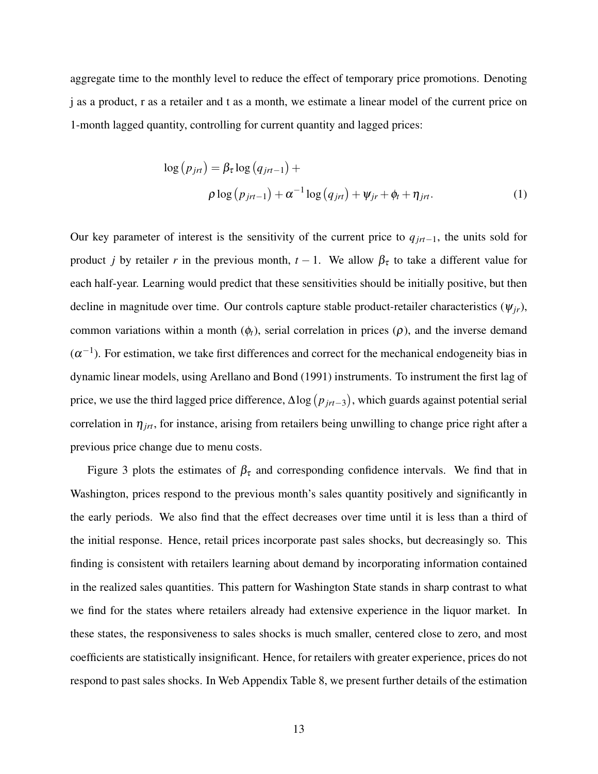aggregate time to the monthly level to reduce the effect of temporary price promotions. Denoting j as a product, r as a retailer and t as a month, we estimate a linear model of the current price on 1-month lagged quantity, controlling for current quantity and lagged prices:

$$
\log (p_{jrt}) = \beta_{\tau} \log (q_{jrt-1}) +
$$
  
 
$$
\rho \log (p_{jrt-1}) + \alpha^{-1} \log (q_{jrt}) + \psi_{jr} + \phi_t + \eta_{jrt}.
$$
 (1)

Our key parameter of interest is the sensitivity of the current price to *qjrt*−1, the units sold for product *j* by retailer *r* in the previous month,  $t - 1$ . We allow  $\beta_{\tau}$  to take a different value for each half-year. Learning would predict that these sensitivities should be initially positive, but then decline in magnitude over time. Our controls capture stable product-retailer characteristics ( $\psi_{ir}$ ), common variations within a month  $(\phi_t)$ , serial correlation in prices  $(\rho)$ , and the inverse demand  $(\alpha^{-1})$ . For estimation, we take first differences and correct for the mechanical endogeneity bias in dynamic linear models, using Arellano and Bond (1991) instruments. To instrument the first lag of price, we use the third lagged price difference, ∆log *pjrt*−<sup>3</sup> , which guards against potential serial correlation in  $\eta_{jrt}$ , for instance, arising from retailers being unwilling to change price right after a previous price change due to menu costs.

Figure 3 plots the estimates of  $\beta_{\tau}$  and corresponding confidence intervals. We find that in Washington, prices respond to the previous month's sales quantity positively and significantly in the early periods. We also find that the effect decreases over time until it is less than a third of the initial response. Hence, retail prices incorporate past sales shocks, but decreasingly so. This finding is consistent with retailers learning about demand by incorporating information contained in the realized sales quantities. This pattern for Washington State stands in sharp contrast to what we find for the states where retailers already had extensive experience in the liquor market. In these states, the responsiveness to sales shocks is much smaller, centered close to zero, and most coefficients are statistically insignificant. Hence, for retailers with greater experience, prices do not respond to past sales shocks. In Web Appendix Table 8, we present further details of the estimation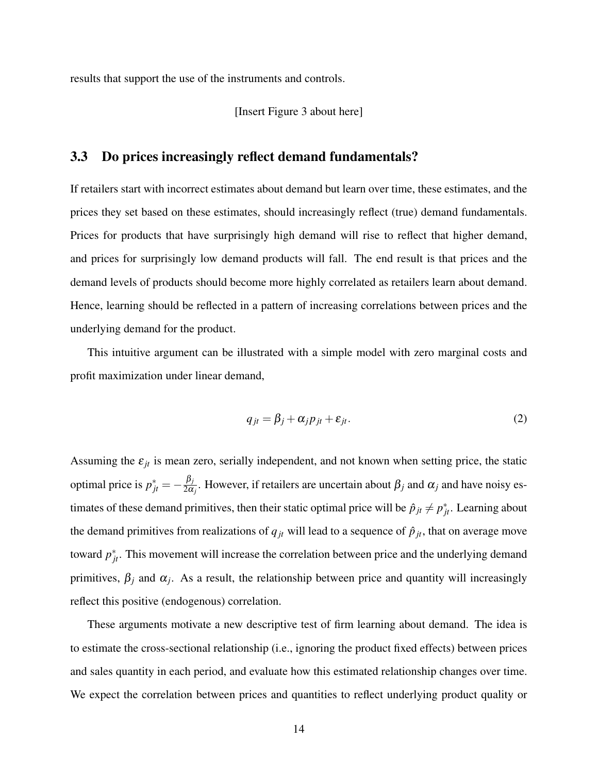results that support the use of the instruments and controls.

#### [Insert Figure 3 about here]

## 3.3 Do prices increasingly reflect demand fundamentals?

If retailers start with incorrect estimates about demand but learn over time, these estimates, and the prices they set based on these estimates, should increasingly reflect (true) demand fundamentals. Prices for products that have surprisingly high demand will rise to reflect that higher demand, and prices for surprisingly low demand products will fall. The end result is that prices and the demand levels of products should become more highly correlated as retailers learn about demand. Hence, learning should be reflected in a pattern of increasing correlations between prices and the underlying demand for the product.

This intuitive argument can be illustrated with a simple model with zero marginal costs and profit maximization under linear demand,

$$
q_{jt} = \beta_j + \alpha_j p_{jt} + \varepsilon_{jt}.
$$
 (2)

Assuming the  $\varepsilon_{jt}$  is mean zero, serially independent, and not known when setting price, the static optimal price is  $p_{jt}^* = -\frac{\beta_j}{2\alpha}$  $\frac{\rho_j}{2\alpha_j}$ . However, if retailers are uncertain about  $\beta_j$  and  $\alpha_j$  and have noisy estimates of these demand primitives, then their static optimal price will be  $\hat{p}_{jt} \neq p_{jt}^*$ . Learning about the demand primitives from realizations of  $q_{jt}$  will lead to a sequence of  $\hat{p}_{jt}$ , that on average move toward  $p_{jt}^*$ . This movement will increase the correlation between price and the underlying demand primitives,  $\beta_j$  and  $\alpha_j$ . As a result, the relationship between price and quantity will increasingly reflect this positive (endogenous) correlation.

These arguments motivate a new descriptive test of firm learning about demand. The idea is to estimate the cross-sectional relationship (i.e., ignoring the product fixed effects) between prices and sales quantity in each period, and evaluate how this estimated relationship changes over time. We expect the correlation between prices and quantities to reflect underlying product quality or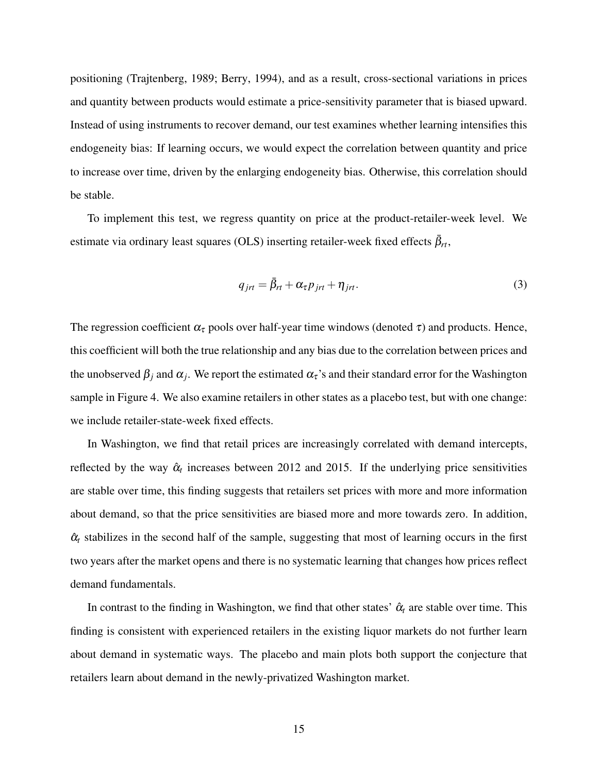positioning (Trajtenberg, 1989; Berry, 1994), and as a result, cross-sectional variations in prices and quantity between products would estimate a price-sensitivity parameter that is biased upward. Instead of using instruments to recover demand, our test examines whether learning intensifies this endogeneity bias: If learning occurs, we would expect the correlation between quantity and price to increase over time, driven by the enlarging endogeneity bias. Otherwise, this correlation should be stable.

To implement this test, we regress quantity on price at the product-retailer-week level. We estimate via ordinary least squares (OLS) inserting retailer-week fixed effects  $\bar{\beta}_{rt}$ ,

$$
q_{jrt} = \bar{\beta}_{rt} + \alpha_{\tau} p_{jrt} + \eta_{jrt}.
$$
\n(3)

The regression coefficient  $\alpha_{\tau}$  pools over half-year time windows (denoted  $\tau$ ) and products. Hence, this coefficient will both the true relationship and any bias due to the correlation between prices and the unobserved  $\beta_j$  and  $\alpha_j$ . We report the estimated  $\alpha_\tau$ 's and their standard error for the Washington sample in Figure 4. We also examine retailers in other states as a placebo test, but with one change: we include retailer-state-week fixed effects.

In Washington, we find that retail prices are increasingly correlated with demand intercepts, reflected by the way  $\hat{\alpha}_t$  increases between 2012 and 2015. If the underlying price sensitivities are stable over time, this finding suggests that retailers set prices with more and more information about demand, so that the price sensitivities are biased more and more towards zero. In addition,  $\hat{\alpha}_t$  stabilizes in the second half of the sample, suggesting that most of learning occurs in the first two years after the market opens and there is no systematic learning that changes how prices reflect demand fundamentals.

In contrast to the finding in Washington, we find that other states'  $\hat{\alpha}_t$  are stable over time. This finding is consistent with experienced retailers in the existing liquor markets do not further learn about demand in systematic ways. The placebo and main plots both support the conjecture that retailers learn about demand in the newly-privatized Washington market.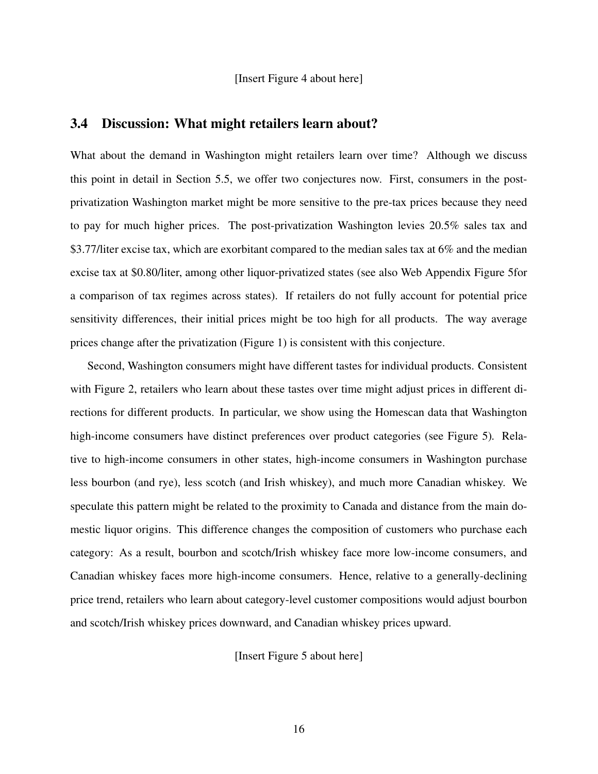[Insert Figure 4 about here]

## 3.4 Discussion: What might retailers learn about?

What about the demand in Washington might retailers learn over time? Although we discuss this point in detail in Section 5.5, we offer two conjectures now. First, consumers in the postprivatization Washington market might be more sensitive to the pre-tax prices because they need to pay for much higher prices. The post-privatization Washington levies 20.5% sales tax and \$3.77/liter excise tax, which are exorbitant compared to the median sales tax at 6% and the median excise tax at \$0.80/liter, among other liquor-privatized states (see also Web Appendix Figure 5for a comparison of tax regimes across states). If retailers do not fully account for potential price sensitivity differences, their initial prices might be too high for all products. The way average prices change after the privatization (Figure 1) is consistent with this conjecture.

Second, Washington consumers might have different tastes for individual products. Consistent with Figure 2, retailers who learn about these tastes over time might adjust prices in different directions for different products. In particular, we show using the Homescan data that Washington high-income consumers have distinct preferences over product categories (see Figure 5)*.* Relative to high-income consumers in other states, high-income consumers in Washington purchase less bourbon (and rye), less scotch (and Irish whiskey), and much more Canadian whiskey. We speculate this pattern might be related to the proximity to Canada and distance from the main domestic liquor origins. This difference changes the composition of customers who purchase each category: As a result, bourbon and scotch/Irish whiskey face more low-income consumers, and Canadian whiskey faces more high-income consumers. Hence, relative to a generally-declining price trend, retailers who learn about category-level customer compositions would adjust bourbon and scotch/Irish whiskey prices downward, and Canadian whiskey prices upward.

[Insert Figure 5 about here]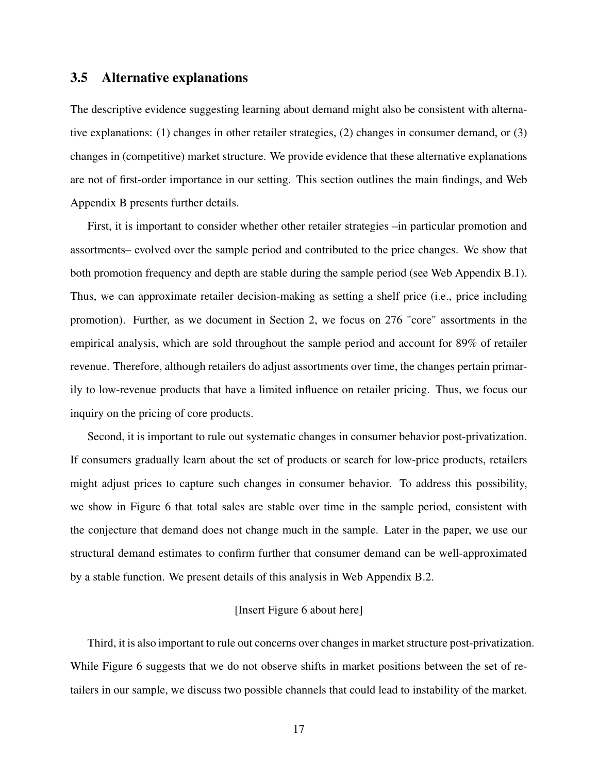## 3.5 Alternative explanations

The descriptive evidence suggesting learning about demand might also be consistent with alternative explanations: (1) changes in other retailer strategies, (2) changes in consumer demand, or (3) changes in (competitive) market structure. We provide evidence that these alternative explanations are not of first-order importance in our setting. This section outlines the main findings, and Web Appendix B presents further details.

First, it is important to consider whether other retailer strategies –in particular promotion and assortments– evolved over the sample period and contributed to the price changes. We show that both promotion frequency and depth are stable during the sample period (see Web Appendix B.1). Thus, we can approximate retailer decision-making as setting a shelf price (i.e., price including promotion). Further, as we document in Section 2, we focus on 276 "core" assortments in the empirical analysis, which are sold throughout the sample period and account for 89% of retailer revenue. Therefore, although retailers do adjust assortments over time, the changes pertain primarily to low-revenue products that have a limited influence on retailer pricing. Thus, we focus our inquiry on the pricing of core products.

Second, it is important to rule out systematic changes in consumer behavior post-privatization. If consumers gradually learn about the set of products or search for low-price products, retailers might adjust prices to capture such changes in consumer behavior. To address this possibility, we show in Figure 6 that total sales are stable over time in the sample period, consistent with the conjecture that demand does not change much in the sample. Later in the paper, we use our structural demand estimates to confirm further that consumer demand can be well-approximated by a stable function. We present details of this analysis in Web Appendix B.2.

### [Insert Figure 6 about here]

Third, it is also important to rule out concerns over changes in market structure post-privatization. While Figure 6 suggests that we do not observe shifts in market positions between the set of retailers in our sample, we discuss two possible channels that could lead to instability of the market.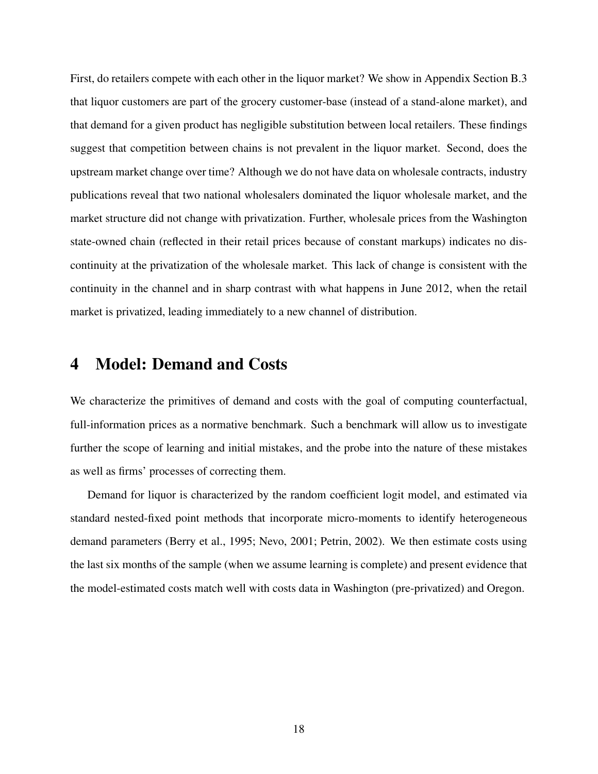First, do retailers compete with each other in the liquor market? We show in Appendix Section B.3 that liquor customers are part of the grocery customer-base (instead of a stand-alone market), and that demand for a given product has negligible substitution between local retailers. These findings suggest that competition between chains is not prevalent in the liquor market. Second, does the upstream market change over time? Although we do not have data on wholesale contracts, industry publications reveal that two national wholesalers dominated the liquor wholesale market, and the market structure did not change with privatization. Further, wholesale prices from the Washington state-owned chain (reflected in their retail prices because of constant markups) indicates no discontinuity at the privatization of the wholesale market. This lack of change is consistent with the continuity in the channel and in sharp contrast with what happens in June 2012, when the retail market is privatized, leading immediately to a new channel of distribution.

## 4 Model: Demand and Costs

We characterize the primitives of demand and costs with the goal of computing counterfactual, full-information prices as a normative benchmark. Such a benchmark will allow us to investigate further the scope of learning and initial mistakes, and the probe into the nature of these mistakes as well as firms' processes of correcting them.

Demand for liquor is characterized by the random coefficient logit model, and estimated via standard nested-fixed point methods that incorporate micro-moments to identify heterogeneous demand parameters (Berry et al., 1995; Nevo, 2001; Petrin, 2002). We then estimate costs using the last six months of the sample (when we assume learning is complete) and present evidence that the model-estimated costs match well with costs data in Washington (pre-privatized) and Oregon.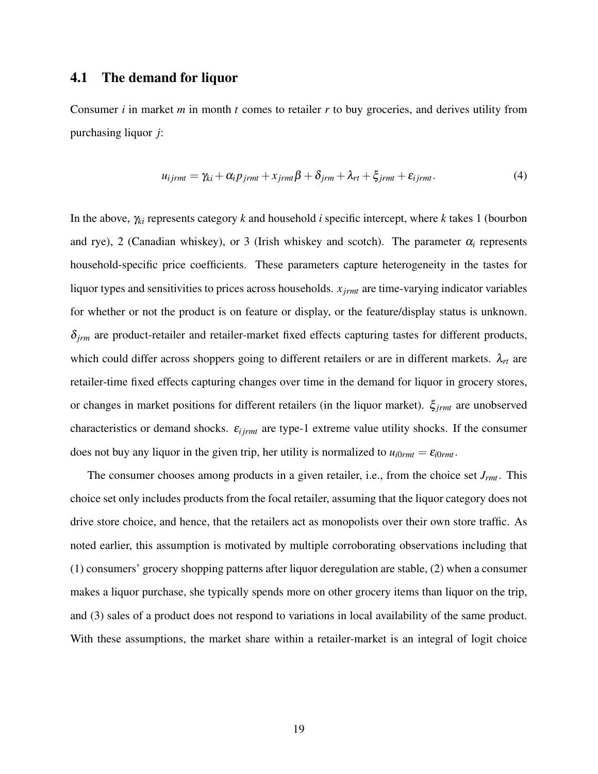### 4.1 The demand for liquor

Consumer *i* in market *m* in month *t* comes to retailer *r* to buy groceries, and derives utility from purchasing liquor *j*:

$$
u_{ijrmt} = \gamma_{ki} + \alpha_i p_{jrmt} + x_{jrmt} \beta + \delta_{jrm} + \lambda_{rt} + \xi_{jrmt} + \varepsilon_{ijrmt}.
$$
\n(4)

In the above, <sup>γ</sup>*ki* represents category *k* and household *i* specific intercept, where *k* takes 1 (bourbon and rye), 2 (Canadian whiskey), or 3 (Irish whiskey and scotch). The parameter  $\alpha_i$  represents household-specific price coefficients. These parameters capture heterogeneity in the tastes for liquor types and sensitivities to prices across households. *x jrmt* are time-varying indicator variables for whether or not the product is on feature or display, or the feature/display status is unknown. <sup>δ</sup>*jrm* are product-retailer and retailer-market fixed effects capturing tastes for different products, which could differ across shoppers going to different retailers or are in different markets. <sup>λ</sup>*rt* are retailer-time fixed effects capturing changes over time in the demand for liquor in grocery stores, or changes in market positions for different retailers (in the liquor market). ξ*jrmt* are unobserved characteristics or demand shocks. <sup>ε</sup>*i jrmt* are type-1 extreme value utility shocks. If the consumer does not buy any liquor in the given trip, her utility is normalized to  $u_{i0rmt} = \varepsilon_{i0rmt}$ .

The consumer chooses among products in a given retailer, i.e., from the choice set *Jrmt*. This choice set only includes products from the focal retailer, assuming that the liquor category does not drive store choice, and hence, that the retailers act as monopolists over their own store traffic. As noted earlier, this assumption is motivated by multiple corroborating observations including that (1) consumers' grocery shopping patterns after liquor deregulation are stable, (2) when a consumer makes a liquor purchase, she typically spends more on other grocery items than liquor on the trip, and (3) sales of a product does not respond to variations in local availability of the same product. With these assumptions, the market share within a retailer-market is an integral of logit choice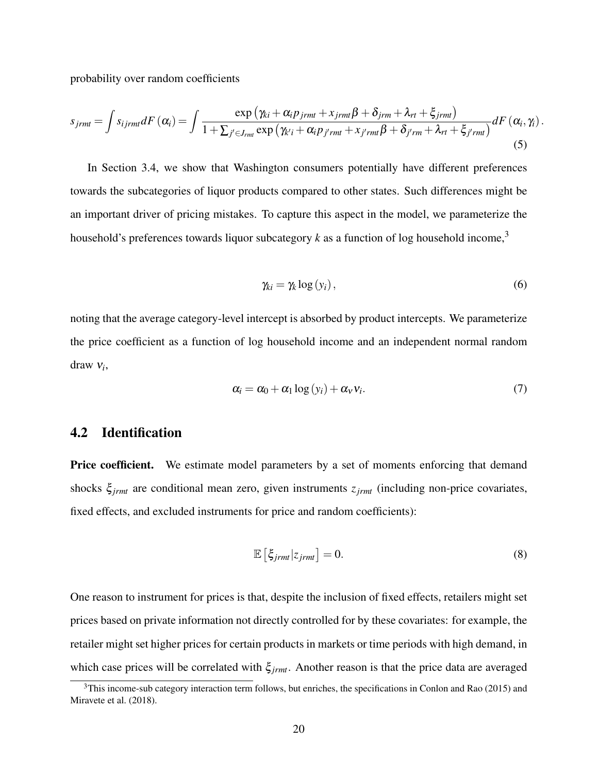probability over random coefficients

$$
s_{jrm} = \int s_{ijrm} dF(\alpha_i) = \int \frac{\exp(\gamma_{ki} + \alpha_i p_{jrm} + x_{jrm} \beta + \delta_{jrm} + \lambda_{rt} + \xi_{jrm})}{1 + \sum_{j' \in J_{rm}} \exp(\gamma_{k'i} + \alpha_i p_{j'rm} + x_{j'rm} \beta + \delta_{j'rm} + \lambda_{rt} + \xi_{j'rm})} dF(\alpha_i, \gamma_i).
$$
\n(5)

In Section 3.4, we show that Washington consumers potentially have different preferences towards the subcategories of liquor products compared to other states. Such differences might be an important driver of pricing mistakes. To capture this aspect in the model, we parameterize the household's preferences towards liquor subcategory  $k$  as a function of log household income,<sup>3</sup>

$$
\gamma_{ki} = \gamma_k \log(y_i),\tag{6}
$$

noting that the average category-level intercept is absorbed by product intercepts. We parameterize the price coefficient as a function of log household income and an independent normal random draw <sup>ν</sup>*<sup>i</sup>* ,

$$
\alpha_i = \alpha_0 + \alpha_1 \log(y_i) + \alpha_v v_i. \tag{7}
$$

## 4.2 Identification

**Price coefficient.** We estimate model parameters by a set of moments enforcing that demand shocks ξ*jrmt* are conditional mean zero, given instruments *zjrmt* (including non-price covariates, fixed effects, and excluded instruments for price and random coefficients):

$$
\mathbb{E}\left[\xi_{\text{jrmt}}|z_{\text{jrmt}}\right] = 0. \tag{8}
$$

One reason to instrument for prices is that, despite the inclusion of fixed effects, retailers might set prices based on private information not directly controlled for by these covariates: for example, the retailer might set higher prices for certain products in markets or time periods with high demand, in which case prices will be correlated with ξ*jrmt*. Another reason is that the price data are averaged

<sup>&</sup>lt;sup>3</sup>This income-sub category interaction term follows, but enriches, the specifications in Conlon and Rao (2015) and Miravete et al. (2018).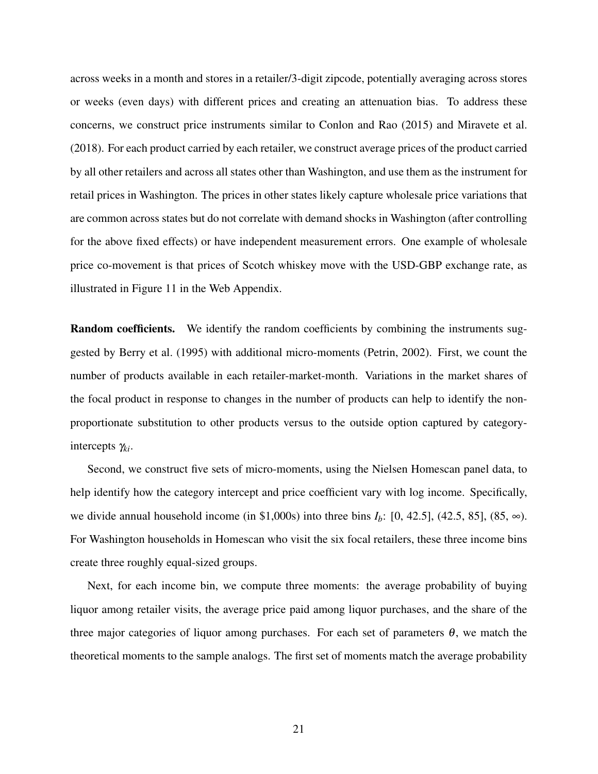across weeks in a month and stores in a retailer/3-digit zipcode, potentially averaging across stores or weeks (even days) with different prices and creating an attenuation bias. To address these concerns, we construct price instruments similar to Conlon and Rao (2015) and Miravete et al. (2018). For each product carried by each retailer, we construct average prices of the product carried by all other retailers and across all states other than Washington, and use them as the instrument for retail prices in Washington. The prices in other states likely capture wholesale price variations that are common across states but do not correlate with demand shocks in Washington (after controlling for the above fixed effects) or have independent measurement errors. One example of wholesale price co-movement is that prices of Scotch whiskey move with the USD-GBP exchange rate, as illustrated in Figure 11 in the Web Appendix.

**Random coefficients.** We identify the random coefficients by combining the instruments suggested by Berry et al. (1995) with additional micro-moments (Petrin, 2002). First, we count the number of products available in each retailer-market-month. Variations in the market shares of the focal product in response to changes in the number of products can help to identify the nonproportionate substitution to other products versus to the outside option captured by categoryintercepts <sup>γ</sup>*ki*.

Second, we construct five sets of micro-moments, using the Nielsen Homescan panel data, to help identify how the category intercept and price coefficient vary with log income. Specifically, we divide annual household income (in \$1,000s) into three bins  $I_b$ : [0, 42.5], (42.5, 85], (85,  $\infty$ ). For Washington households in Homescan who visit the six focal retailers, these three income bins create three roughly equal-sized groups.

Next, for each income bin, we compute three moments: the average probability of buying liquor among retailer visits, the average price paid among liquor purchases, and the share of the three major categories of liquor among purchases. For each set of parameters  $\theta$ , we match the theoretical moments to the sample analogs. The first set of moments match the average probability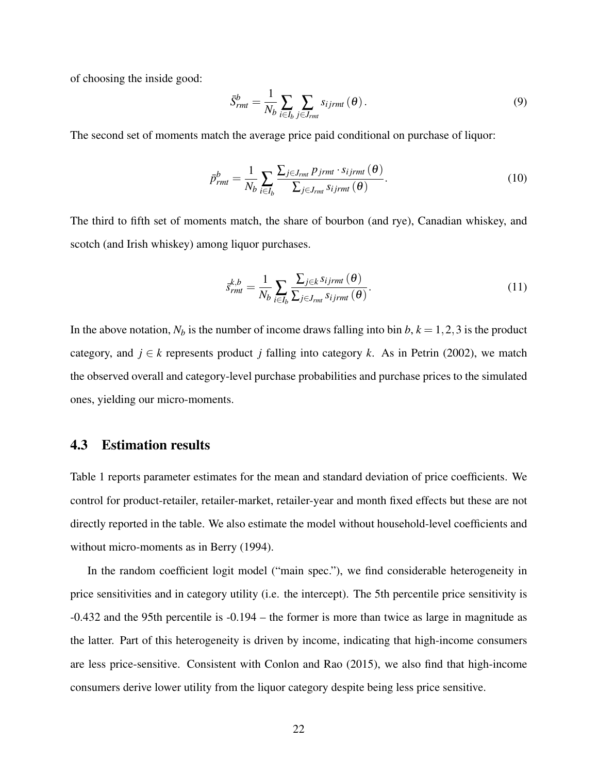of choosing the inside good:

$$
\bar{S}^b_{rm} = \frac{1}{N_b} \sum_{i \in I_b} \sum_{j \in J_{rm} \atop j \in J_{rm} \in I_{\rm} \tag{9}
$$

The second set of moments match the average price paid conditional on purchase of liquor:

$$
\bar{p}_{rmt}^{b} = \frac{1}{N_b} \sum_{i \in I_b} \frac{\sum_{j \in J_{rmt}} p_{jrmt} \cdot s_{ijrmt}(\theta)}{\sum_{j \in J_{rmt}} s_{ijrmt}(\theta)}.
$$
(10)

The third to fifth set of moments match, the share of bourbon (and rye), Canadian whiskey, and scotch (and Irish whiskey) among liquor purchases.

$$
\bar{s}_{rmt}^{k,b} = \frac{1}{N_b} \sum_{i \in I_b} \frac{\sum_{j \in k} s_{ijrmt}(\theta)}{\sum_{j \in J_{rmt}} s_{ijrmt}(\theta)}.
$$
\n(11)

In the above notation,  $N_b$  is the number of income draws falling into bin  $b$ ,  $k = 1, 2, 3$  is the product category, and  $j \in k$  represents product *j* falling into category *k*. As in Petrin (2002), we match the observed overall and category-level purchase probabilities and purchase prices to the simulated ones, yielding our micro-moments.

## 4.3 Estimation results

Table 1 reports parameter estimates for the mean and standard deviation of price coefficients. We control for product-retailer, retailer-market, retailer-year and month fixed effects but these are not directly reported in the table. We also estimate the model without household-level coefficients and without micro-moments as in Berry (1994).

In the random coefficient logit model ("main spec."), we find considerable heterogeneity in price sensitivities and in category utility (i.e. the intercept). The 5th percentile price sensitivity is -0.432 and the 95th percentile is -0.194 – the former is more than twice as large in magnitude as the latter. Part of this heterogeneity is driven by income, indicating that high-income consumers are less price-sensitive. Consistent with Conlon and Rao (2015), we also find that high-income consumers derive lower utility from the liquor category despite being less price sensitive.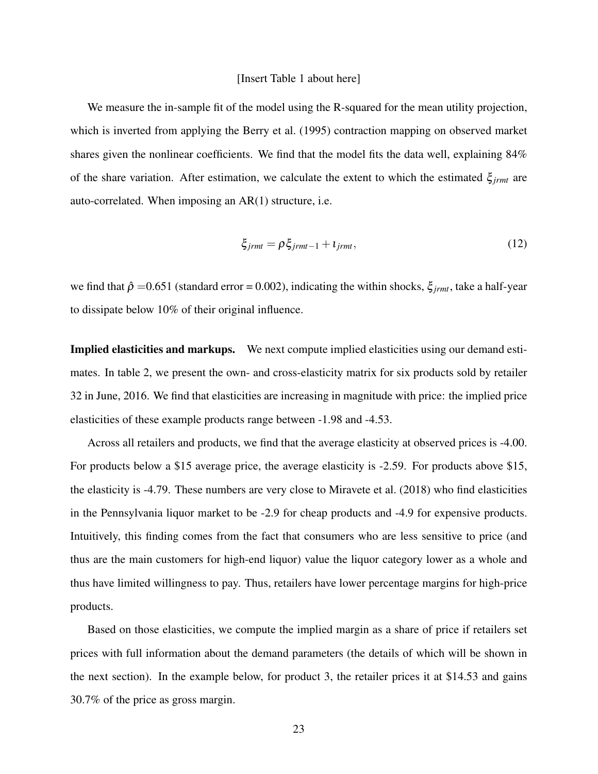#### [Insert Table 1 about here]

We measure the in-sample fit of the model using the R-squared for the mean utility projection, which is inverted from applying the Berry et al. (1995) contraction mapping on observed market shares given the nonlinear coefficients. We find that the model fits the data well, explaining 84% of the share variation. After estimation, we calculate the extent to which the estimated ξ*jrmt* are auto-correlated. When imposing an AR(1) structure, i.e.

$$
\xi_{\text{jrmt}} = \rho \xi_{\text{jrmt}-1} + \iota_{\text{jrmt}},\tag{12}
$$

we find that  $\hat{\rho} = 0.651$  (standard error = 0.002), indicating the within shocks,  $\xi_{jrm}$ , take a half-year to dissipate below 10% of their original influence.

Implied elasticities and markups. We next compute implied elasticities using our demand estimates. In table 2, we present the own- and cross-elasticity matrix for six products sold by retailer 32 in June, 2016. We find that elasticities are increasing in magnitude with price: the implied price elasticities of these example products range between -1.98 and -4.53.

Across all retailers and products, we find that the average elasticity at observed prices is -4.00. For products below a \$15 average price, the average elasticity is -2.59. For products above \$15, the elasticity is -4.79. These numbers are very close to Miravete et al. (2018) who find elasticities in the Pennsylvania liquor market to be -2.9 for cheap products and -4.9 for expensive products. Intuitively, this finding comes from the fact that consumers who are less sensitive to price (and thus are the main customers for high-end liquor) value the liquor category lower as a whole and thus have limited willingness to pay. Thus, retailers have lower percentage margins for high-price products.

Based on those elasticities, we compute the implied margin as a share of price if retailers set prices with full information about the demand parameters (the details of which will be shown in the next section). In the example below, for product 3, the retailer prices it at \$14.53 and gains 30.7% of the price as gross margin.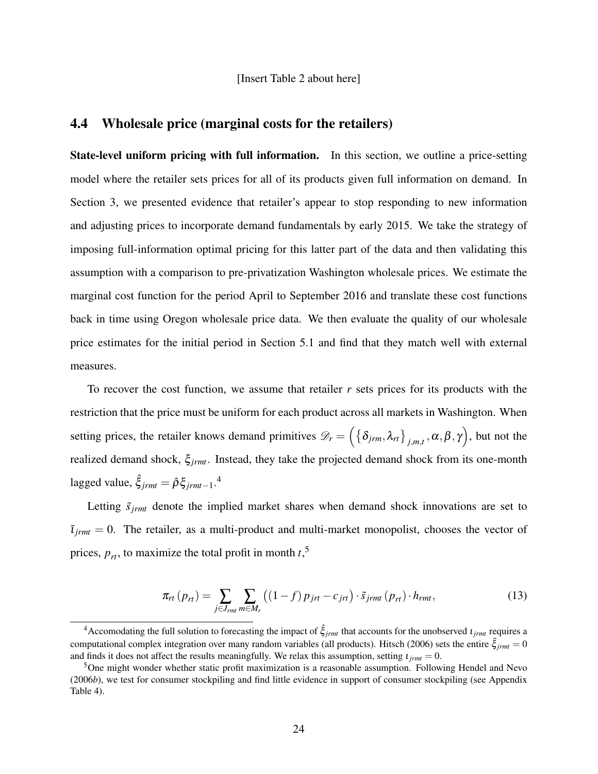[Insert Table 2 about here]

## 4.4 Wholesale price (marginal costs for the retailers)

State-level uniform pricing with full information. In this section, we outline a price-setting model where the retailer sets prices for all of its products given full information on demand. In Section 3, we presented evidence that retailer's appear to stop responding to new information and adjusting prices to incorporate demand fundamentals by early 2015. We take the strategy of imposing full-information optimal pricing for this latter part of the data and then validating this assumption with a comparison to pre-privatization Washington wholesale prices. We estimate the marginal cost function for the period April to September 2016 and translate these cost functions back in time using Oregon wholesale price data. We then evaluate the quality of our wholesale price estimates for the initial period in Section 5.1 and find that they match well with external measures.

To recover the cost function, we assume that retailer *r* sets prices for its products with the restriction that the price must be uniform for each product across all markets in Washington. When setting prices, the retailer knows demand primitives  $\mathscr{D}_r = \left( \{ \delta_{jrm}, \lambda_{rt} \}_{j,m,t}, \alpha, \beta, \gamma \right)$ , but not the realized demand shock, ξ*jrmt*. Instead, they take the projected demand shock from its one-month lagged value,  $\hat{\xi}_{jrm} = \hat{\rho} \xi_{jrm}^{-1}$ .<sup>4</sup>

Letting  $\tilde{s}_{irmt}$  denote the implied market shares when demand shock innovations are set to  $\tilde{\tau}_{\text{irmt}} = 0$ . The retailer, as a multi-product and multi-market monopolist, chooses the vector of prices,  $p_{rt}$ , to maximize the total profit in month  $t$ <sup>5</sup>,

$$
\pi_{rt}(p_{rt}) = \sum_{j \in J_{rm}m} \sum_{m \in M_r} \left( (1-f) \, p_{jrt} - c_{jrt} \right) \cdot \tilde{s}_{jrmt}(p_{rt}) \cdot h_{rmt},\tag{13}
$$

<sup>&</sup>lt;sup>4</sup>Accomodating the full solution to forecasting the impact of  $\hat{\xi}_{irmt}$  that accounts for the unobserved  $i_{irmt}$  requires a computational complex integration over many random variables (all products). Hitsch (2006) sets the entire  $\tilde{\xi}_{irmt} = 0$ and finds it does not affect the results meaningfully. We relax this assumption, setting  $\iota_{\text{irmt}} = 0$ .

<sup>&</sup>lt;sup>5</sup>One might wonder whether static profit maximization is a reasonable assumption. Following Hendel and Nevo (2006*b*), we test for consumer stockpiling and find little evidence in support of consumer stockpiling (see Appendix Table 4).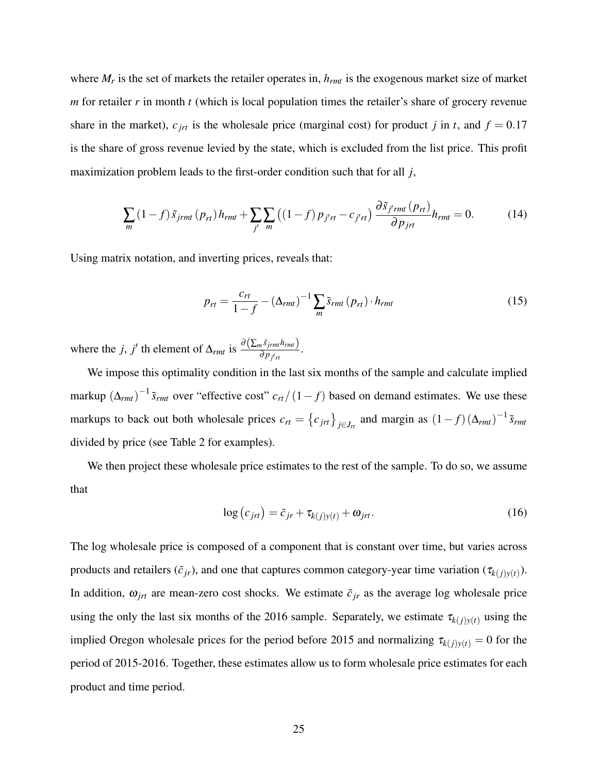where *M<sup>r</sup>* is the set of markets the retailer operates in, *hrmt* is the exogenous market size of market *m* for retailer *r* in month *t* (which is local population times the retailer's share of grocery revenue share in the market),  $c_{jrt}$  is the wholesale price (marginal cost) for product *j* in *t*, and  $f = 0.17$ is the share of gross revenue levied by the state, which is excluded from the list price. This profit maximization problem leads to the first-order condition such that for all *j*,

$$
\sum_{m} (1-f)\tilde{s}_{jrmt}(p_{rt})h_{rmt} + \sum_{j'} \sum_{m} ((1-f)p_{j'rt} - c_{j'rt})\frac{\partial \tilde{s}_{j'rmt}(p_{rt})}{\partial p_{jrt}}h_{rmt} = 0.
$$
 (14)

Using matrix notation, and inverting prices, reveals that:

$$
p_{rt} = \frac{c_{rt}}{1 - f} - (\Delta_{rmt})^{-1} \sum_{m} \tilde{s}_{rmt} (p_{rt}) \cdot h_{rmt}
$$
 (15)

where the *j*, *j'* th element of  $\Delta_{rmt}$  is  $\frac{\partial (\sum_m \tilde{s}_{jrm} h_{rmt})}{\partial p_{j'n}}$ .

We impose this optimality condition in the last six months of the sample and calculate implied markup  $(\Delta_{rmt})^{-1}$   $\tilde{s}_{rmt}$  over "effective cost"  $c_{rt}/(1-f)$  based on demand estimates. We use these markups to back out both wholesale prices  $c_{rt} = \left\{c_{jrt}\right\}_{j \in J_{rt}}$  and margin as  $(1-f)(\Delta_{rmt})^{-1} \tilde{s}_{rmt}$ divided by price (see Table 2 for examples).

We then project these wholesale price estimates to the rest of the sample. To do so, we assume that

$$
\log\left(c_{jrt}\right) = \bar{c}_{jr} + \tau_{k(j)y(t)} + \omega_{jrt}.\tag{16}
$$

The log wholesale price is composed of a component that is constant over time, but varies across products and retailers  $(\bar{c}_{jr})$ , and one that captures common category-year time variation  $(\tau_{k(j)y(t)})$ . In addition,  $\omega_{jrt}$  are mean-zero cost shocks. We estimate  $\bar{c}_{jr}$  as the average log wholesale price using the only the last six months of the 2016 sample. Separately, we estimate  $\tau_{k(j)y(t)}$  using the implied Oregon wholesale prices for the period before 2015 and normalizing  $\tau_{k(j)y(t)} = 0$  for the period of 2015-2016. Together, these estimates allow us to form wholesale price estimates for each product and time period.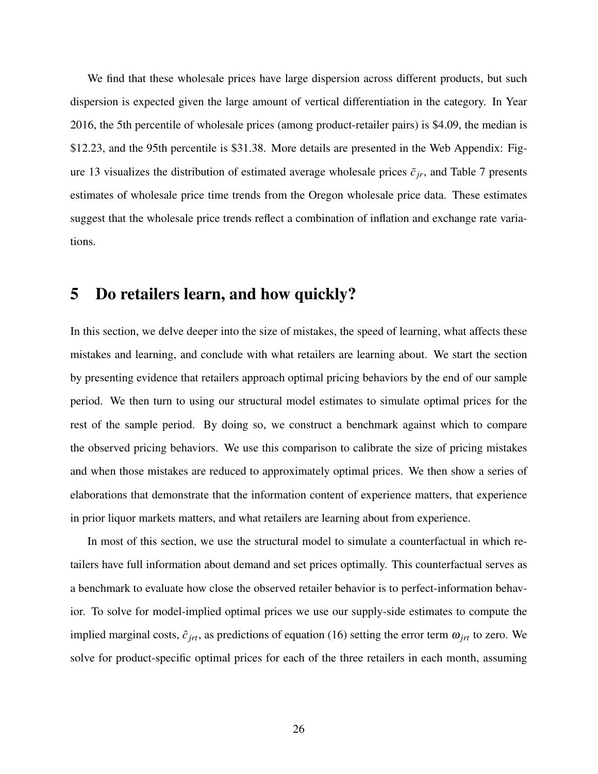We find that these wholesale prices have large dispersion across different products, but such dispersion is expected given the large amount of vertical differentiation in the category. In Year 2016, the 5th percentile of wholesale prices (among product-retailer pairs) is \$4.09, the median is \$12.23, and the 95th percentile is \$31.38. More details are presented in the Web Appendix: Figure 13 visualizes the distribution of estimated average wholesale prices  $\bar{c}_{ir}$ , and Table 7 presents estimates of wholesale price time trends from the Oregon wholesale price data. These estimates suggest that the wholesale price trends reflect a combination of inflation and exchange rate variations.

## 5 Do retailers learn, and how quickly?

In this section, we delve deeper into the size of mistakes, the speed of learning, what affects these mistakes and learning, and conclude with what retailers are learning about. We start the section by presenting evidence that retailers approach optimal pricing behaviors by the end of our sample period. We then turn to using our structural model estimates to simulate optimal prices for the rest of the sample period. By doing so, we construct a benchmark against which to compare the observed pricing behaviors. We use this comparison to calibrate the size of pricing mistakes and when those mistakes are reduced to approximately optimal prices. We then show a series of elaborations that demonstrate that the information content of experience matters, that experience in prior liquor markets matters, and what retailers are learning about from experience.

In most of this section, we use the structural model to simulate a counterfactual in which retailers have full information about demand and set prices optimally. This counterfactual serves as a benchmark to evaluate how close the observed retailer behavior is to perfect-information behavior. To solve for model-implied optimal prices we use our supply-side estimates to compute the implied marginal costs,  $\hat{c}_{jrt}$ , as predictions of equation (16) setting the error term  $\omega_{jrt}$  to zero. We solve for product-specific optimal prices for each of the three retailers in each month, assuming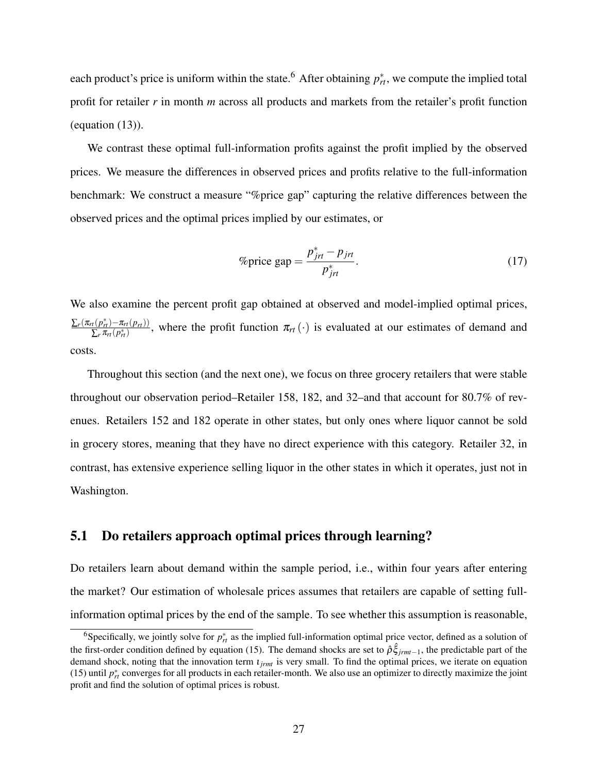each product's price is uniform within the state.<sup>6</sup> After obtaining  $p_{rt}^*$ , we compute the implied total profit for retailer *r* in month *m* across all products and markets from the retailer's profit function (equation (13)).

We contrast these optimal full-information profits against the profit implied by the observed prices. We measure the differences in observed prices and profits relative to the full-information benchmark: We construct a measure "%price gap" capturing the relative differences between the observed prices and the optimal prices implied by our estimates, or

$$
\% \text{price gap} = \frac{p_{jrt}^* - p_{jrt}}{p_{jrt}^*}. \tag{17}
$$

We also examine the percent profit gap obtained at observed and model-implied optimal prices,  $\sum_{r} (\pi_{rt}(p_{rt}^{*}) - \pi_{rt}(p_{rt}))$  $\frac{r(P_{rt}) - n_{rt}(P_{rt})}{\sum_r \pi_{rt}(p_{rt}^*)}$ , where the profit function  $\pi_{rt}(\cdot)$  is evaluated at our estimates of demand and costs.

Throughout this section (and the next one), we focus on three grocery retailers that were stable throughout our observation period–Retailer 158, 182, and 32–and that account for 80.7% of revenues. Retailers 152 and 182 operate in other states, but only ones where liquor cannot be sold in grocery stores, meaning that they have no direct experience with this category. Retailer 32, in contrast, has extensive experience selling liquor in the other states in which it operates, just not in Washington.

### 5.1 Do retailers approach optimal prices through learning?

Do retailers learn about demand within the sample period, i.e., within four years after entering the market? Our estimation of wholesale prices assumes that retailers are capable of setting fullinformation optimal prices by the end of the sample. To see whether this assumption is reasonable,

<sup>&</sup>lt;sup>6</sup>Specifically, we jointly solve for  $p_{rt}^*$  as the implied full-information optimal price vector, defined as a solution of the first-order condition defined by equation (15). The demand shocks are set to  $\hat{\rho}\hat{\xi}_{jrm-1}$ , the predictable part of the demand shock, noting that the innovation term ι*jrmt* is very small. To find the optimal prices, we iterate on equation (15) until  $p_{rt}^*$  converges for all products in each retailer-month. We also use an optimizer to directly maximize the joint profit and find the solution of optimal prices is robust.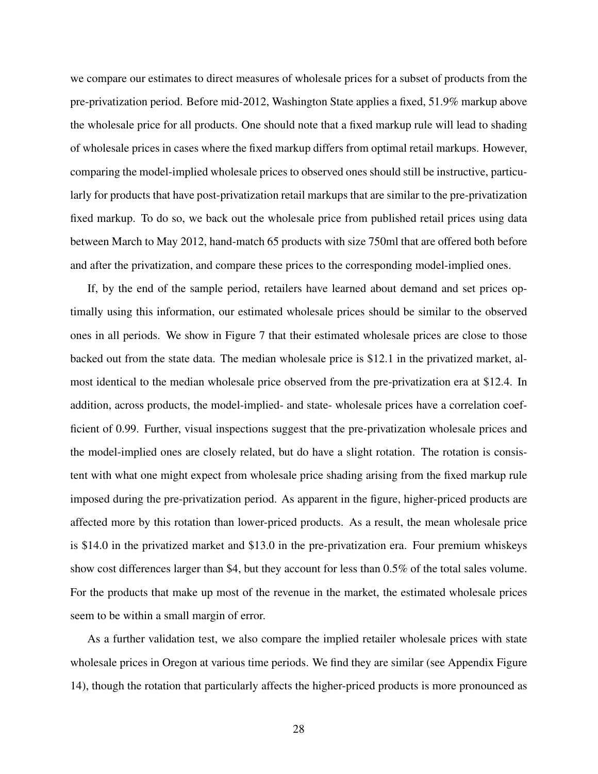we compare our estimates to direct measures of wholesale prices for a subset of products from the pre-privatization period. Before mid-2012, Washington State applies a fixed, 51.9% markup above the wholesale price for all products. One should note that a fixed markup rule will lead to shading of wholesale prices in cases where the fixed markup differs from optimal retail markups. However, comparing the model-implied wholesale prices to observed ones should still be instructive, particularly for products that have post-privatization retail markups that are similar to the pre-privatization fixed markup. To do so, we back out the wholesale price from published retail prices using data between March to May 2012, hand-match 65 products with size 750ml that are offered both before and after the privatization, and compare these prices to the corresponding model-implied ones.

If, by the end of the sample period, retailers have learned about demand and set prices optimally using this information, our estimated wholesale prices should be similar to the observed ones in all periods. We show in Figure 7 that their estimated wholesale prices are close to those backed out from the state data. The median wholesale price is \$12.1 in the privatized market, almost identical to the median wholesale price observed from the pre-privatization era at \$12.4. In addition, across products, the model-implied- and state- wholesale prices have a correlation coefficient of 0.99. Further, visual inspections suggest that the pre-privatization wholesale prices and the model-implied ones are closely related, but do have a slight rotation. The rotation is consistent with what one might expect from wholesale price shading arising from the fixed markup rule imposed during the pre-privatization period. As apparent in the figure, higher-priced products are affected more by this rotation than lower-priced products. As a result, the mean wholesale price is \$14.0 in the privatized market and \$13.0 in the pre-privatization era. Four premium whiskeys show cost differences larger than \$4, but they account for less than 0.5% of the total sales volume. For the products that make up most of the revenue in the market, the estimated wholesale prices seem to be within a small margin of error.

As a further validation test, we also compare the implied retailer wholesale prices with state wholesale prices in Oregon at various time periods. We find they are similar (see Appendix Figure 14), though the rotation that particularly affects the higher-priced products is more pronounced as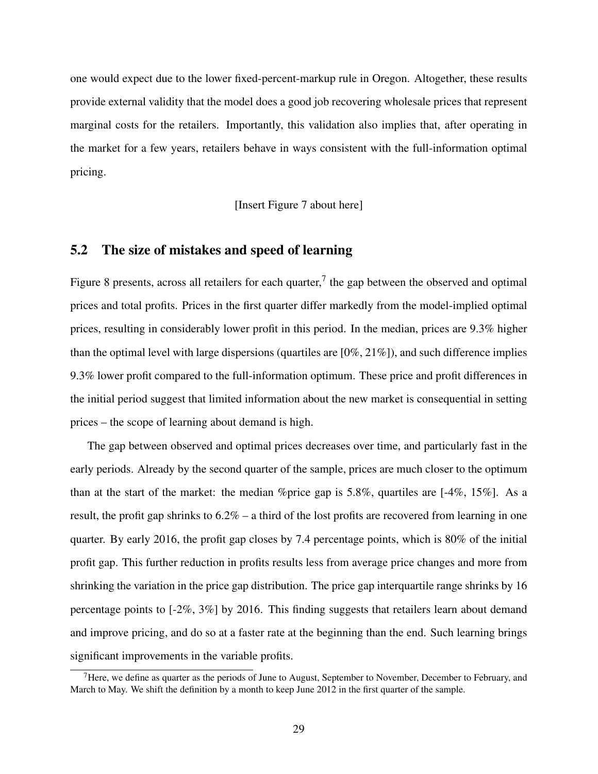one would expect due to the lower fixed-percent-markup rule in Oregon. Altogether, these results provide external validity that the model does a good job recovering wholesale prices that represent marginal costs for the retailers. Importantly, this validation also implies that, after operating in the market for a few years, retailers behave in ways consistent with the full-information optimal pricing.

[Insert Figure 7 about here]

## 5.2 The size of mistakes and speed of learning

Figure 8 presents, across all retailers for each quarter,<sup>7</sup> the gap between the observed and optimal prices and total profits. Prices in the first quarter differ markedly from the model-implied optimal prices, resulting in considerably lower profit in this period. In the median, prices are 9.3% higher than the optimal level with large dispersions (quartiles are [0%, 21%]), and such difference implies 9.3% lower profit compared to the full-information optimum. These price and profit differences in the initial period suggest that limited information about the new market is consequential in setting prices – the scope of learning about demand is high.

The gap between observed and optimal prices decreases over time, and particularly fast in the early periods. Already by the second quarter of the sample, prices are much closer to the optimum than at the start of the market: the median %price gap is 5.8%, quartiles are  $[-4\%, 15\%]$ . As a result, the profit gap shrinks to 6.2% – a third of the lost profits are recovered from learning in one quarter. By early 2016, the profit gap closes by 7.4 percentage points, which is 80% of the initial profit gap. This further reduction in profits results less from average price changes and more from shrinking the variation in the price gap distribution. The price gap interquartile range shrinks by 16 percentage points to [-2%, 3%] by 2016. This finding suggests that retailers learn about demand and improve pricing, and do so at a faster rate at the beginning than the end. Such learning brings significant improvements in the variable profits.

 $7$ Here, we define as quarter as the periods of June to August, September to November, December to February, and March to May. We shift the definition by a month to keep June 2012 in the first quarter of the sample.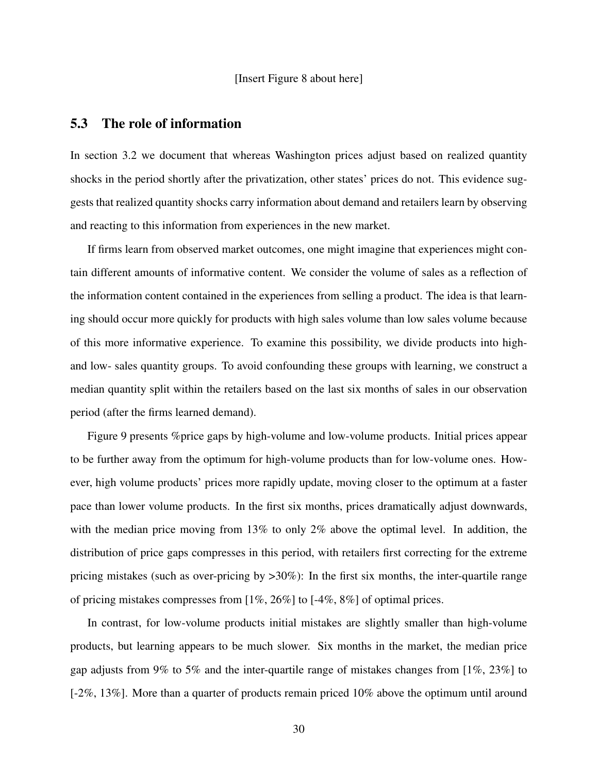#### [Insert Figure 8 about here]

## 5.3 The role of information

In section 3.2 we document that whereas Washington prices adjust based on realized quantity shocks in the period shortly after the privatization, other states' prices do not. This evidence suggests that realized quantity shocks carry information about demand and retailers learn by observing and reacting to this information from experiences in the new market.

If firms learn from observed market outcomes, one might imagine that experiences might contain different amounts of informative content. We consider the volume of sales as a reflection of the information content contained in the experiences from selling a product. The idea is that learning should occur more quickly for products with high sales volume than low sales volume because of this more informative experience. To examine this possibility, we divide products into highand low- sales quantity groups. To avoid confounding these groups with learning, we construct a median quantity split within the retailers based on the last six months of sales in our observation period (after the firms learned demand).

Figure 9 presents %price gaps by high-volume and low-volume products. Initial prices appear to be further away from the optimum for high-volume products than for low-volume ones. However, high volume products' prices more rapidly update, moving closer to the optimum at a faster pace than lower volume products. In the first six months, prices dramatically adjust downwards, with the median price moving from 13% to only 2% above the optimal level. In addition, the distribution of price gaps compresses in this period, with retailers first correcting for the extreme pricing mistakes (such as over-pricing by >30%): In the first six months, the inter-quartile range of pricing mistakes compresses from [1%, 26%] to [-4%, 8%] of optimal prices.

In contrast, for low-volume products initial mistakes are slightly smaller than high-volume products, but learning appears to be much slower. Six months in the market, the median price gap adjusts from 9% to 5% and the inter-quartile range of mistakes changes from [1%, 23%] to [-2%, 13%]. More than a quarter of products remain priced 10% above the optimum until around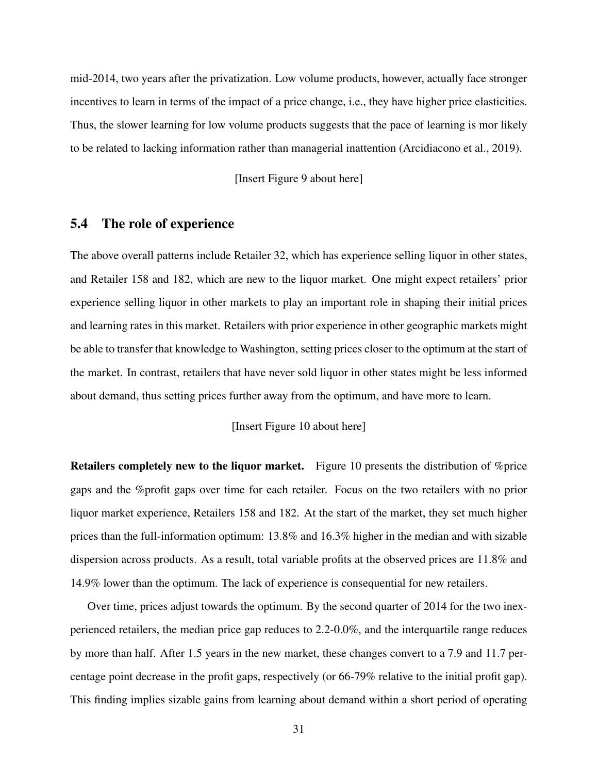mid-2014, two years after the privatization. Low volume products, however, actually face stronger incentives to learn in terms of the impact of a price change, i.e., they have higher price elasticities. Thus, the slower learning for low volume products suggests that the pace of learning is mor likely to be related to lacking information rather than managerial inattention (Arcidiacono et al., 2019).

#### [Insert Figure 9 about here]

## 5.4 The role of experience

The above overall patterns include Retailer 32, which has experience selling liquor in other states, and Retailer 158 and 182, which are new to the liquor market. One might expect retailers' prior experience selling liquor in other markets to play an important role in shaping their initial prices and learning rates in this market. Retailers with prior experience in other geographic markets might be able to transfer that knowledge to Washington, setting prices closer to the optimum at the start of the market. In contrast, retailers that have never sold liquor in other states might be less informed about demand, thus setting prices further away from the optimum, and have more to learn.

#### [Insert Figure 10 about here]

Retailers completely new to the liquor market. Figure 10 presents the distribution of %price gaps and the %profit gaps over time for each retailer. Focus on the two retailers with no prior liquor market experience, Retailers 158 and 182. At the start of the market, they set much higher prices than the full-information optimum: 13.8% and 16.3% higher in the median and with sizable dispersion across products. As a result, total variable profits at the observed prices are 11.8% and 14.9% lower than the optimum. The lack of experience is consequential for new retailers.

Over time, prices adjust towards the optimum. By the second quarter of 2014 for the two inexperienced retailers, the median price gap reduces to 2.2-0.0%, and the interquartile range reduces by more than half. After 1.5 years in the new market, these changes convert to a 7.9 and 11.7 percentage point decrease in the profit gaps, respectively (or 66-79% relative to the initial profit gap). This finding implies sizable gains from learning about demand within a short period of operating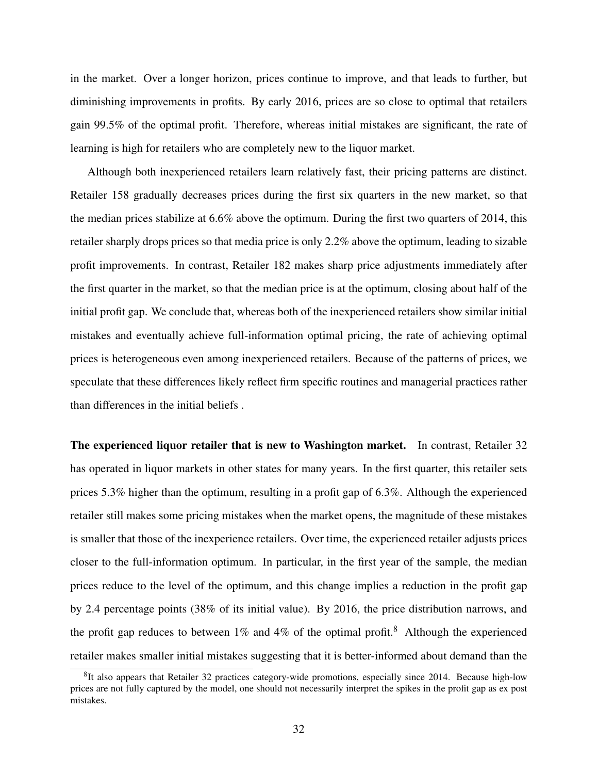in the market. Over a longer horizon, prices continue to improve, and that leads to further, but diminishing improvements in profits. By early 2016, prices are so close to optimal that retailers gain 99.5% of the optimal profit. Therefore, whereas initial mistakes are significant, the rate of learning is high for retailers who are completely new to the liquor market.

Although both inexperienced retailers learn relatively fast, their pricing patterns are distinct. Retailer 158 gradually decreases prices during the first six quarters in the new market, so that the median prices stabilize at 6.6% above the optimum. During the first two quarters of 2014, this retailer sharply drops prices so that media price is only 2.2% above the optimum, leading to sizable profit improvements. In contrast, Retailer 182 makes sharp price adjustments immediately after the first quarter in the market, so that the median price is at the optimum, closing about half of the initial profit gap. We conclude that, whereas both of the inexperienced retailers show similar initial mistakes and eventually achieve full-information optimal pricing, the rate of achieving optimal prices is heterogeneous even among inexperienced retailers. Because of the patterns of prices, we speculate that these differences likely reflect firm specific routines and managerial practices rather than differences in the initial beliefs .

The experienced liquor retailer that is new to Washington market. In contrast, Retailer 32 has operated in liquor markets in other states for many years. In the first quarter, this retailer sets prices 5.3% higher than the optimum, resulting in a profit gap of 6.3%. Although the experienced retailer still makes some pricing mistakes when the market opens, the magnitude of these mistakes is smaller that those of the inexperience retailers. Over time, the experienced retailer adjusts prices closer to the full-information optimum. In particular, in the first year of the sample, the median prices reduce to the level of the optimum, and this change implies a reduction in the profit gap by 2.4 percentage points (38% of its initial value). By 2016, the price distribution narrows, and the profit gap reduces to between  $1\%$  and  $4\%$  of the optimal profit.<sup>8</sup> Although the experienced retailer makes smaller initial mistakes suggesting that it is better-informed about demand than the

<sup>&</sup>lt;sup>8</sup>It also appears that Retailer 32 practices category-wide promotions, especially since 2014. Because high-low prices are not fully captured by the model, one should not necessarily interpret the spikes in the profit gap as ex post mistakes.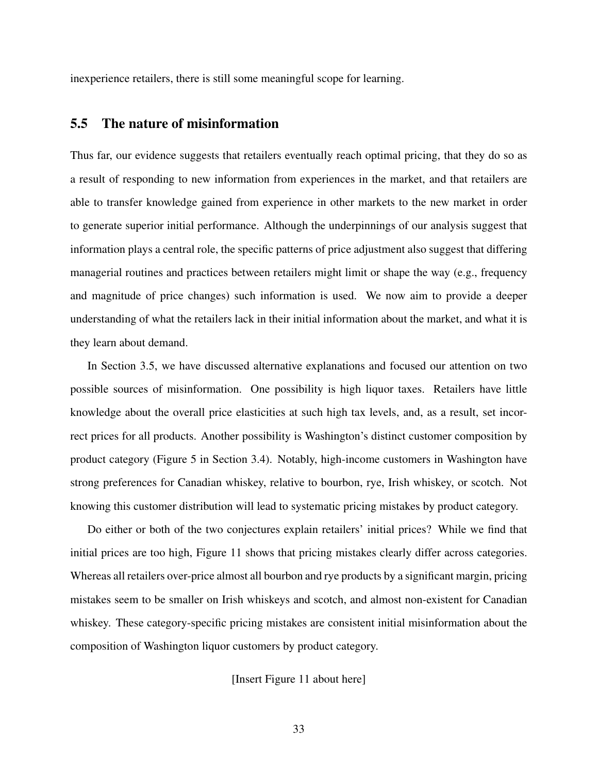inexperience retailers, there is still some meaningful scope for learning.

## 5.5 The nature of misinformation

Thus far, our evidence suggests that retailers eventually reach optimal pricing, that they do so as a result of responding to new information from experiences in the market, and that retailers are able to transfer knowledge gained from experience in other markets to the new market in order to generate superior initial performance. Although the underpinnings of our analysis suggest that information plays a central role, the specific patterns of price adjustment also suggest that differing managerial routines and practices between retailers might limit or shape the way (e.g., frequency and magnitude of price changes) such information is used. We now aim to provide a deeper understanding of what the retailers lack in their initial information about the market, and what it is they learn about demand.

In Section 3.5, we have discussed alternative explanations and focused our attention on two possible sources of misinformation. One possibility is high liquor taxes. Retailers have little knowledge about the overall price elasticities at such high tax levels, and, as a result, set incorrect prices for all products. Another possibility is Washington's distinct customer composition by product category (Figure 5 in Section 3.4). Notably, high-income customers in Washington have strong preferences for Canadian whiskey, relative to bourbon, rye, Irish whiskey, or scotch. Not knowing this customer distribution will lead to systematic pricing mistakes by product category.

Do either or both of the two conjectures explain retailers' initial prices? While we find that initial prices are too high, Figure 11 shows that pricing mistakes clearly differ across categories. Whereas all retailers over-price almost all bourbon and rye products by a significant margin, pricing mistakes seem to be smaller on Irish whiskeys and scotch, and almost non-existent for Canadian whiskey. These category-specific pricing mistakes are consistent initial misinformation about the composition of Washington liquor customers by product category.

[Insert Figure 11 about here]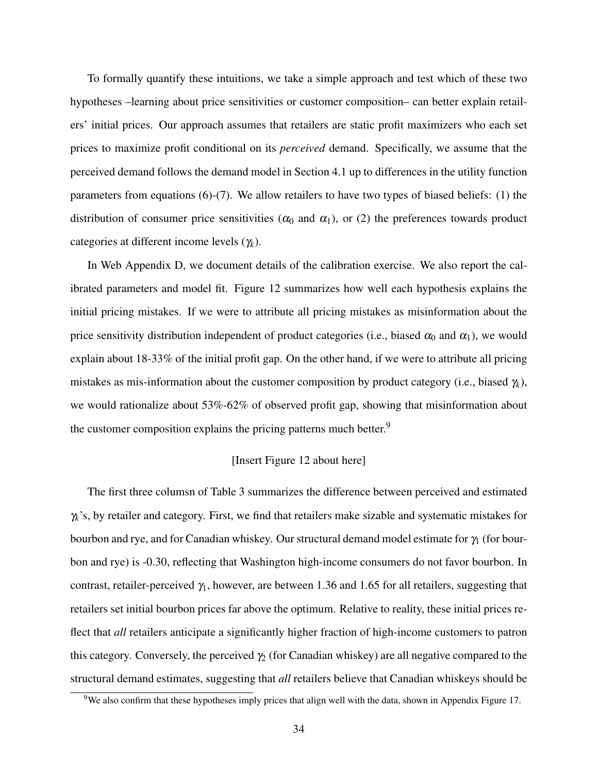To formally quantify these intuitions, we take a simple approach and test which of these two hypotheses –learning about price sensitivities or customer composition– can better explain retailers' initial prices. Our approach assumes that retailers are static profit maximizers who each set prices to maximize profit conditional on its *perceived* demand. Specifically, we assume that the perceived demand follows the demand model in Section 4.1 up to differences in the utility function parameters from equations (6)-(7). We allow retailers to have two types of biased beliefs: (1) the distribution of consumer price sensitivities ( $\alpha_0$  and  $\alpha_1$ ), or (2) the preferences towards product categories at different income levels (γ*<sup>k</sup>* ).

In Web Appendix D, we document details of the calibration exercise. We also report the calibrated parameters and model fit. Figure 12 summarizes how well each hypothesis explains the initial pricing mistakes. If we were to attribute all pricing mistakes as misinformation about the price sensitivity distribution independent of product categories (i.e., biased  $\alpha_0$  and  $\alpha_1$ ), we would explain about 18-33% of the initial profit gap. On the other hand, if we were to attribute all pricing mistakes as mis-information about the customer composition by product category (i.e., biased <sup>γ</sup>*<sup>k</sup>* ), we would rationalize about 53%-62% of observed profit gap, showing that misinformation about the customer composition explains the pricing patterns much better.<sup>9</sup>

#### [Insert Figure 12 about here]

The first three columsn of Table 3 summarizes the difference between perceived and estimated γ*k* 's, by retailer and category. First, we find that retailers make sizable and systematic mistakes for bourbon and rye, and for Canadian whiskey. Our structural demand model estimate for  $\gamma_1$  (for bourbon and rye) is -0.30, reflecting that Washington high-income consumers do not favor bourbon. In contrast, retailer-perceived  $\gamma_1$ , however, are between 1.36 and 1.65 for all retailers, suggesting that retailers set initial bourbon prices far above the optimum. Relative to reality, these initial prices reflect that *all* retailers anticipate a significantly higher fraction of high-income customers to patron this category. Conversely, the perceived  $\gamma_2$  (for Canadian whiskey) are all negative compared to the structural demand estimates, suggesting that *all* retailers believe that Canadian whiskeys should be

<sup>&</sup>lt;sup>9</sup>We also confirm that these hypotheses imply prices that align well with the data, shown in Appendix Figure 17.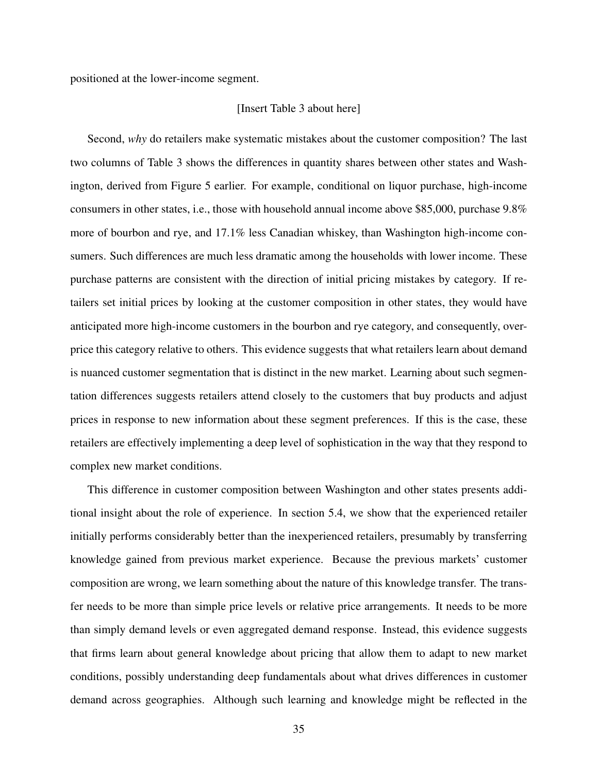positioned at the lower-income segment.

#### [Insert Table 3 about here]

Second, *why* do retailers make systematic mistakes about the customer composition? The last two columns of Table 3 shows the differences in quantity shares between other states and Washington, derived from Figure 5 earlier. For example, conditional on liquor purchase, high-income consumers in other states, i.e., those with household annual income above \$85,000, purchase 9.8% more of bourbon and rye, and 17.1% less Canadian whiskey, than Washington high-income consumers. Such differences are much less dramatic among the households with lower income. These purchase patterns are consistent with the direction of initial pricing mistakes by category. If retailers set initial prices by looking at the customer composition in other states, they would have anticipated more high-income customers in the bourbon and rye category, and consequently, overprice this category relative to others. This evidence suggests that what retailers learn about demand is nuanced customer segmentation that is distinct in the new market. Learning about such segmentation differences suggests retailers attend closely to the customers that buy products and adjust prices in response to new information about these segment preferences. If this is the case, these retailers are effectively implementing a deep level of sophistication in the way that they respond to complex new market conditions.

This difference in customer composition between Washington and other states presents additional insight about the role of experience. In section 5.4, we show that the experienced retailer initially performs considerably better than the inexperienced retailers, presumably by transferring knowledge gained from previous market experience. Because the previous markets' customer composition are wrong, we learn something about the nature of this knowledge transfer. The transfer needs to be more than simple price levels or relative price arrangements. It needs to be more than simply demand levels or even aggregated demand response. Instead, this evidence suggests that firms learn about general knowledge about pricing that allow them to adapt to new market conditions, possibly understanding deep fundamentals about what drives differences in customer demand across geographies. Although such learning and knowledge might be reflected in the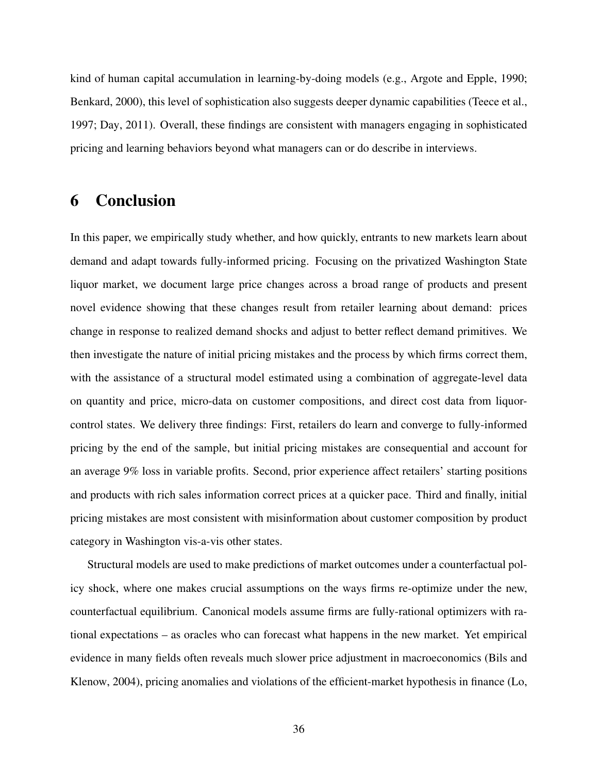kind of human capital accumulation in learning-by-doing models (e.g., Argote and Epple, 1990; Benkard, 2000), this level of sophistication also suggests deeper dynamic capabilities (Teece et al., 1997; Day, 2011). Overall, these findings are consistent with managers engaging in sophisticated pricing and learning behaviors beyond what managers can or do describe in interviews.

## 6 Conclusion

In this paper, we empirically study whether, and how quickly, entrants to new markets learn about demand and adapt towards fully-informed pricing. Focusing on the privatized Washington State liquor market, we document large price changes across a broad range of products and present novel evidence showing that these changes result from retailer learning about demand: prices change in response to realized demand shocks and adjust to better reflect demand primitives. We then investigate the nature of initial pricing mistakes and the process by which firms correct them, with the assistance of a structural model estimated using a combination of aggregate-level data on quantity and price, micro-data on customer compositions, and direct cost data from liquorcontrol states. We delivery three findings: First, retailers do learn and converge to fully-informed pricing by the end of the sample, but initial pricing mistakes are consequential and account for an average 9% loss in variable profits. Second, prior experience affect retailers' starting positions and products with rich sales information correct prices at a quicker pace. Third and finally, initial pricing mistakes are most consistent with misinformation about customer composition by product category in Washington vis-a-vis other states.

Structural models are used to make predictions of market outcomes under a counterfactual policy shock, where one makes crucial assumptions on the ways firms re-optimize under the new, counterfactual equilibrium. Canonical models assume firms are fully-rational optimizers with rational expectations – as oracles who can forecast what happens in the new market. Yet empirical evidence in many fields often reveals much slower price adjustment in macroeconomics (Bils and Klenow, 2004), pricing anomalies and violations of the efficient-market hypothesis in finance (Lo,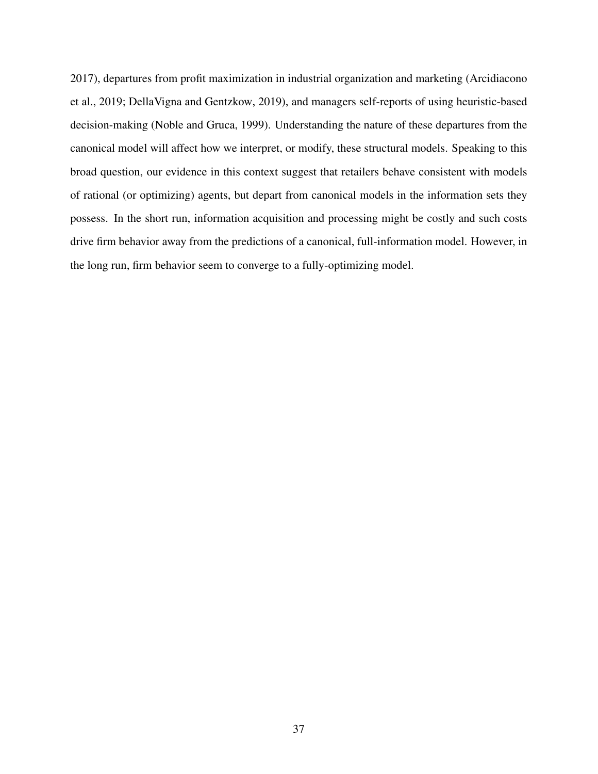2017), departures from profit maximization in industrial organization and marketing (Arcidiacono et al., 2019; DellaVigna and Gentzkow, 2019), and managers self-reports of using heuristic-based decision-making (Noble and Gruca, 1999). Understanding the nature of these departures from the canonical model will affect how we interpret, or modify, these structural models. Speaking to this broad question, our evidence in this context suggest that retailers behave consistent with models of rational (or optimizing) agents, but depart from canonical models in the information sets they possess. In the short run, information acquisition and processing might be costly and such costs drive firm behavior away from the predictions of a canonical, full-information model. However, in the long run, firm behavior seem to converge to a fully-optimizing model.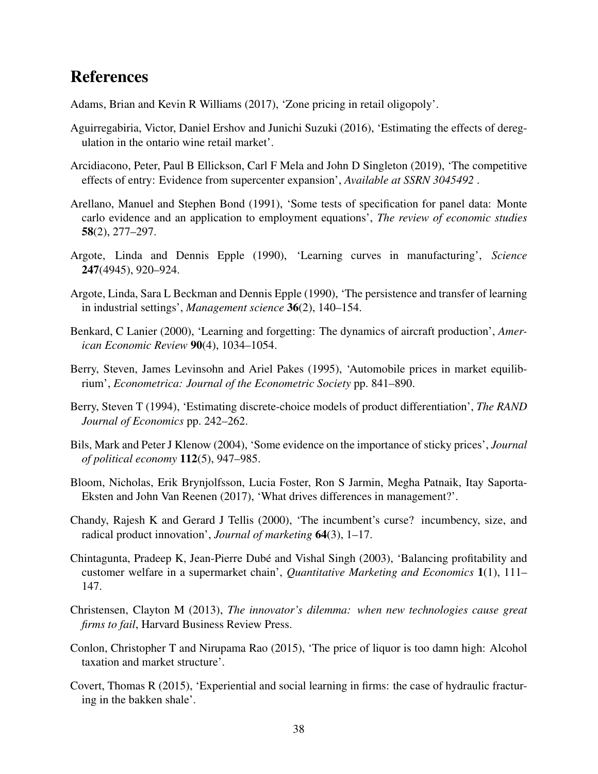### References

Adams, Brian and Kevin R Williams (2017), 'Zone pricing in retail oligopoly'.

- Aguirregabiria, Victor, Daniel Ershov and Junichi Suzuki (2016), 'Estimating the effects of deregulation in the ontario wine retail market'.
- Arcidiacono, Peter, Paul B Ellickson, Carl F Mela and John D Singleton (2019), 'The competitive effects of entry: Evidence from supercenter expansion', *Available at SSRN 3045492* .
- Arellano, Manuel and Stephen Bond (1991), 'Some tests of specification for panel data: Monte carlo evidence and an application to employment equations', *The review of economic studies* 58(2), 277–297.
- Argote, Linda and Dennis Epple (1990), 'Learning curves in manufacturing', *Science* 247(4945), 920–924.
- Argote, Linda, Sara L Beckman and Dennis Epple (1990), 'The persistence and transfer of learning in industrial settings', *Management science* 36(2), 140–154.
- Benkard, C Lanier (2000), 'Learning and forgetting: The dynamics of aircraft production', *American Economic Review* 90(4), 1034–1054.
- Berry, Steven, James Levinsohn and Ariel Pakes (1995), 'Automobile prices in market equilibrium', *Econometrica: Journal of the Econometric Society* pp. 841–890.
- Berry, Steven T (1994), 'Estimating discrete-choice models of product differentiation', *The RAND Journal of Economics* pp. 242–262.
- Bils, Mark and Peter J Klenow (2004), 'Some evidence on the importance of sticky prices', *Journal of political economy* 112(5), 947–985.
- Bloom, Nicholas, Erik Brynjolfsson, Lucia Foster, Ron S Jarmin, Megha Patnaik, Itay Saporta-Eksten and John Van Reenen (2017), 'What drives differences in management?'.
- Chandy, Rajesh K and Gerard J Tellis (2000), 'The incumbent's curse? incumbency, size, and radical product innovation', *Journal of marketing* 64(3), 1–17.
- Chintagunta, Pradeep K, Jean-Pierre Dubé and Vishal Singh (2003), 'Balancing profitability and customer welfare in a supermarket chain', *Quantitative Marketing and Economics* 1(1), 111– 147.
- Christensen, Clayton M (2013), *The innovator's dilemma: when new technologies cause great firms to fail*, Harvard Business Review Press.
- Conlon, Christopher T and Nirupama Rao (2015), 'The price of liquor is too damn high: Alcohol taxation and market structure'.
- Covert, Thomas R (2015), 'Experiential and social learning in firms: the case of hydraulic fracturing in the bakken shale'.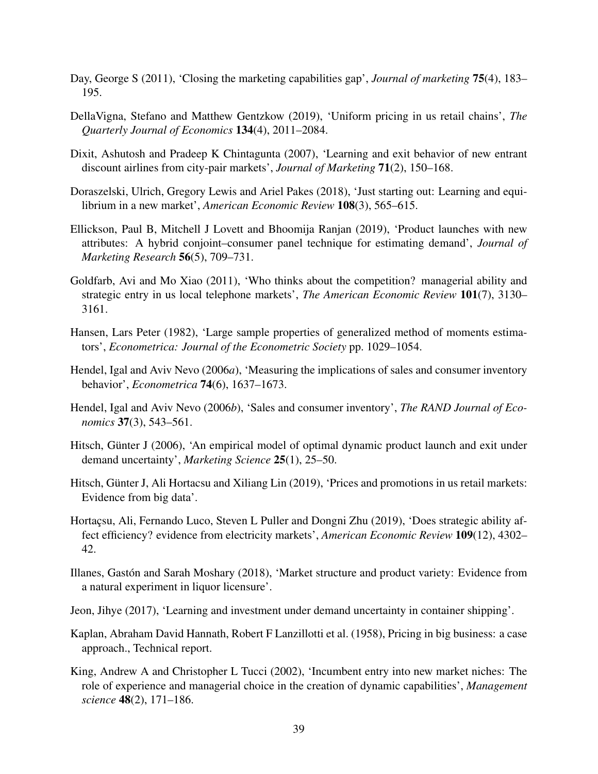- Day, George S (2011), 'Closing the marketing capabilities gap', *Journal of marketing* 75(4), 183– 195.
- DellaVigna, Stefano and Matthew Gentzkow (2019), 'Uniform pricing in us retail chains', *The Quarterly Journal of Economics* 134(4), 2011–2084.
- Dixit, Ashutosh and Pradeep K Chintagunta (2007), 'Learning and exit behavior of new entrant discount airlines from city-pair markets', *Journal of Marketing* 71(2), 150–168.
- Doraszelski, Ulrich, Gregory Lewis and Ariel Pakes (2018), 'Just starting out: Learning and equilibrium in a new market', *American Economic Review* 108(3), 565–615.
- Ellickson, Paul B, Mitchell J Lovett and Bhoomija Ranjan (2019), 'Product launches with new attributes: A hybrid conjoint–consumer panel technique for estimating demand', *Journal of Marketing Research* 56(5), 709–731.
- Goldfarb, Avi and Mo Xiao (2011), 'Who thinks about the competition? managerial ability and strategic entry in us local telephone markets', *The American Economic Review* 101(7), 3130– 3161.
- Hansen, Lars Peter (1982), 'Large sample properties of generalized method of moments estimators', *Econometrica: Journal of the Econometric Society* pp. 1029–1054.
- Hendel, Igal and Aviv Nevo (2006*a*), 'Measuring the implications of sales and consumer inventory behavior', *Econometrica* 74(6), 1637–1673.
- Hendel, Igal and Aviv Nevo (2006*b*), 'Sales and consumer inventory', *The RAND Journal of Economics* 37(3), 543–561.
- Hitsch, Günter J (2006), 'An empirical model of optimal dynamic product launch and exit under demand uncertainty', *Marketing Science* 25(1), 25–50.
- Hitsch, Günter J, Ali Hortacsu and Xiliang Lin (2019), 'Prices and promotions in us retail markets: Evidence from big data'.
- Hortaçsu, Ali, Fernando Luco, Steven L Puller and Dongni Zhu (2019), 'Does strategic ability affect efficiency? evidence from electricity markets', *American Economic Review* 109(12), 4302– 42.
- Illanes, Gastón and Sarah Moshary (2018), 'Market structure and product variety: Evidence from a natural experiment in liquor licensure'.
- Jeon, Jihye (2017), 'Learning and investment under demand uncertainty in container shipping'.
- Kaplan, Abraham David Hannath, Robert F Lanzillotti et al. (1958), Pricing in big business: a case approach., Technical report.
- King, Andrew A and Christopher L Tucci (2002), 'Incumbent entry into new market niches: The role of experience and managerial choice in the creation of dynamic capabilities', *Management science* 48(2), 171–186.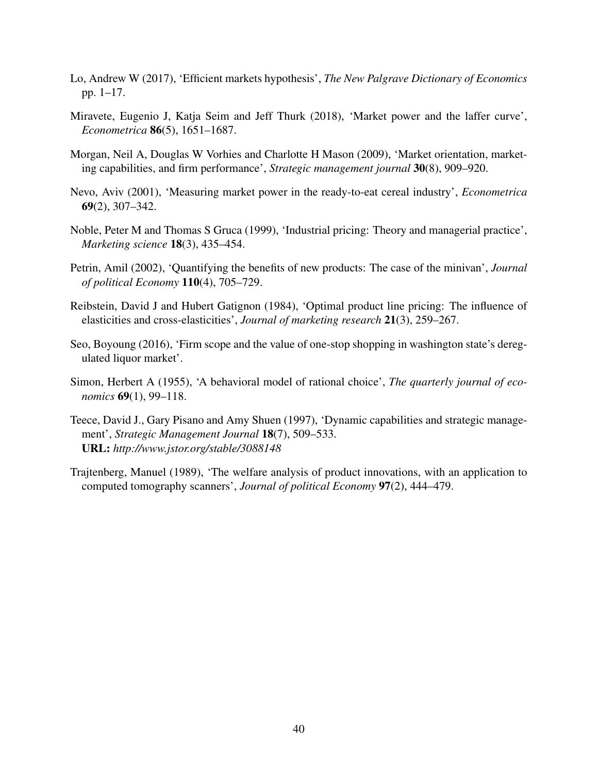- Lo, Andrew W (2017), 'Efficient markets hypothesis', *The New Palgrave Dictionary of Economics* pp. 1–17.
- Miravete, Eugenio J, Katja Seim and Jeff Thurk (2018), 'Market power and the laffer curve', *Econometrica* 86(5), 1651–1687.
- Morgan, Neil A, Douglas W Vorhies and Charlotte H Mason (2009), 'Market orientation, marketing capabilities, and firm performance', *Strategic management journal* 30(8), 909–920.
- Nevo, Aviv (2001), 'Measuring market power in the ready-to-eat cereal industry', *Econometrica* 69(2), 307–342.
- Noble, Peter M and Thomas S Gruca (1999), 'Industrial pricing: Theory and managerial practice', *Marketing science* 18(3), 435–454.
- Petrin, Amil (2002), 'Quantifying the benefits of new products: The case of the minivan', *Journal of political Economy* 110(4), 705–729.
- Reibstein, David J and Hubert Gatignon (1984), 'Optimal product line pricing: The influence of elasticities and cross-elasticities', *Journal of marketing research* 21(3), 259–267.
- Seo, Boyoung (2016), 'Firm scope and the value of one-stop shopping in washington state's deregulated liquor market'.
- Simon, Herbert A (1955), 'A behavioral model of rational choice', *The quarterly journal of economics* 69(1), 99–118.
- Teece, David J., Gary Pisano and Amy Shuen (1997), 'Dynamic capabilities and strategic management', *Strategic Management Journal* 18(7), 509–533. URL: *http://www.jstor.org/stable/3088148*
- Trajtenberg, Manuel (1989), 'The welfare analysis of product innovations, with an application to computed tomography scanners', *Journal of political Economy* 97(2), 444–479.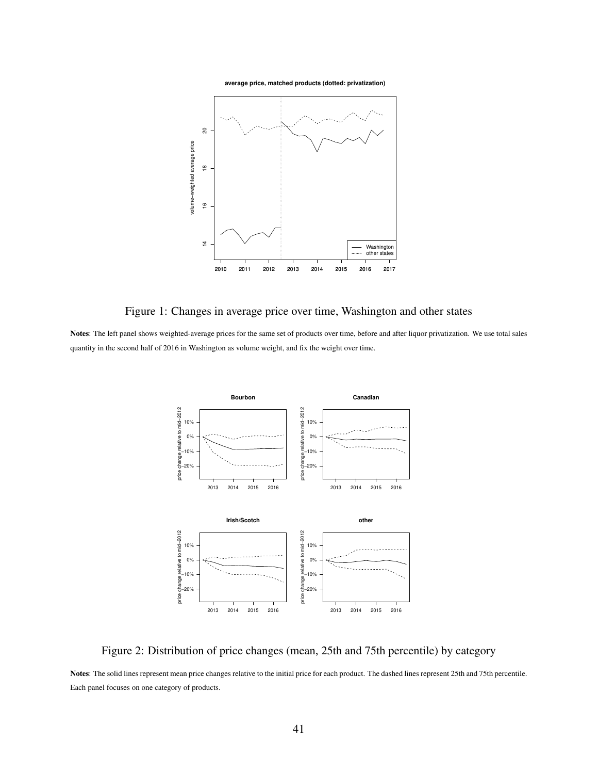**average price, matched products (dotted: privatization)**



Figure 1: Changes in average price over time, Washington and other states

Notes: The left panel shows weighted-average prices for the same set of products over time, before and after liquor privatization. We use total sales quantity in the second half of 2016 in Washington as volume weight, and fix the weight over time.



Figure 2: Distribution of price changes (mean, 25th and 75th percentile) by category

Notes: The solid lines represent mean price changes relative to the initial price for each product. The dashed lines represent 25th and 75th percentile. Each panel focuses on one category of products.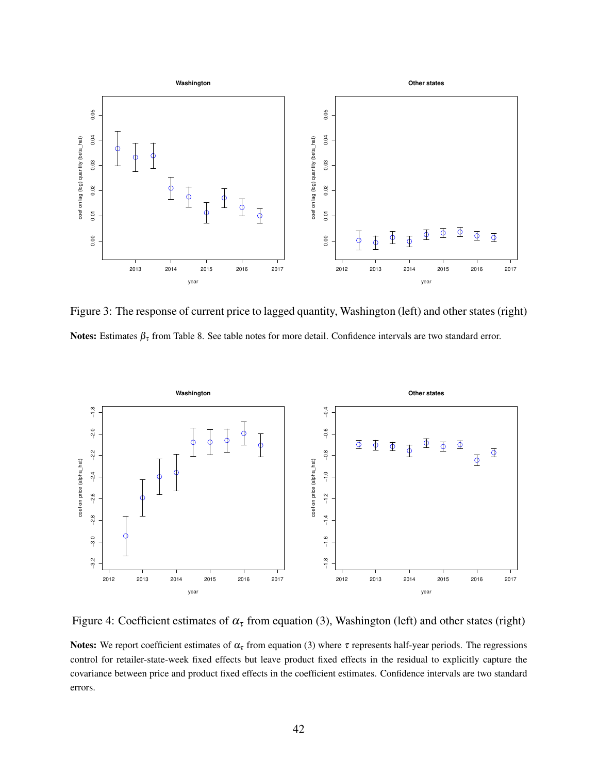

Figure 3: The response of current price to lagged quantity, Washington (left) and other states (right) Notes: Estimates  $\beta_{\tau}$  from Table 8. See table notes for more detail. Confidence intervals are two standard error.



Figure 4: Coefficient estimates of  $\alpha_{\tau}$  from equation (3), Washington (left) and other states (right)

Notes: We report coefficient estimates of  $\alpha_{\tau}$  from equation (3) where  $\tau$  represents half-year periods. The regressions control for retailer-state-week fixed effects but leave product fixed effects in the residual to explicitly capture the covariance between price and product fixed effects in the coefficient estimates. Confidence intervals are two standard errors.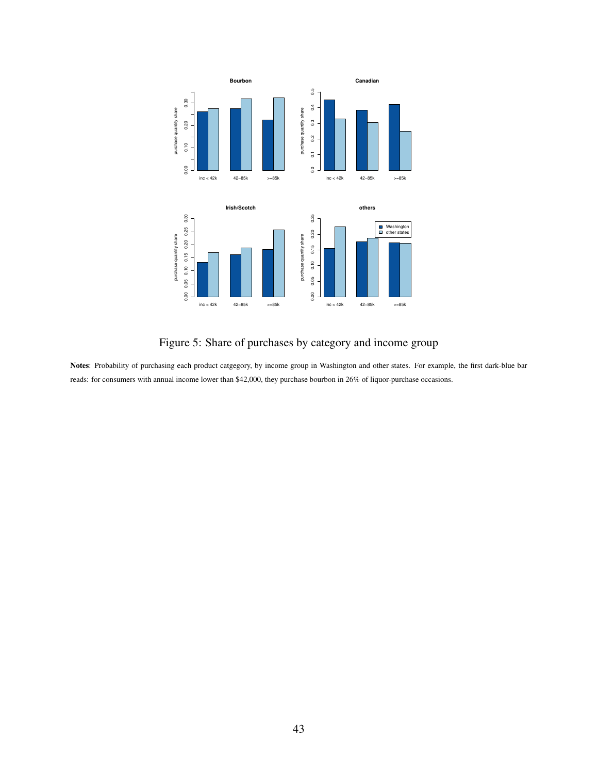

Figure 5: Share of purchases by category and income group

Notes: Probability of purchasing each product catgegory, by income group in Washington and other states. For example, the first dark-blue bar reads: for consumers with annual income lower than \$42,000, they purchase bourbon in 26% of liquor-purchase occasions.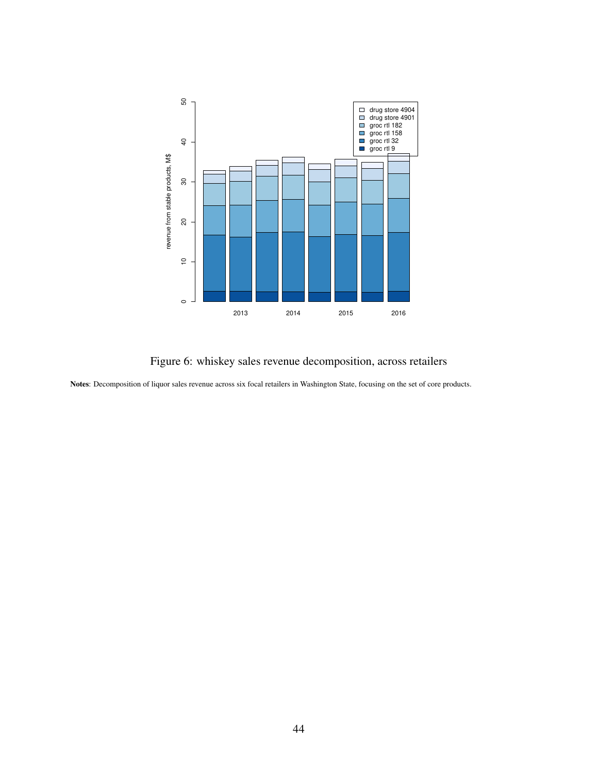

Figure 6: whiskey sales revenue decomposition, across retailers

Notes: Decomposition of liquor sales revenue across six focal retailers in Washington State, focusing on the set of core products.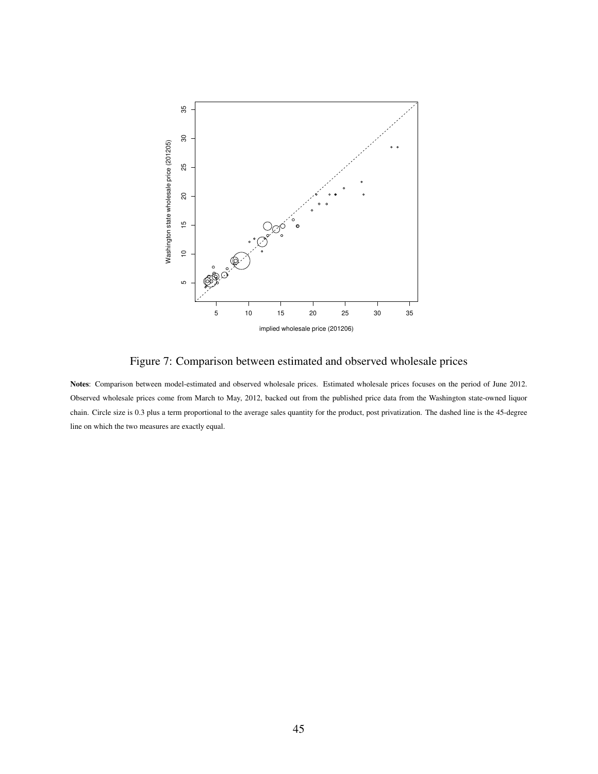

Figure 7: Comparison between estimated and observed wholesale prices

Notes: Comparison between model-estimated and observed wholesale prices. Estimated wholesale prices focuses on the period of June 2012. Observed wholesale prices come from March to May, 2012, backed out from the published price data from the Washington state-owned liquor chain. Circle size is 0.3 plus a term proportional to the average sales quantity for the product, post privatization. The dashed line is the 45-degree line on which the two measures are exactly equal.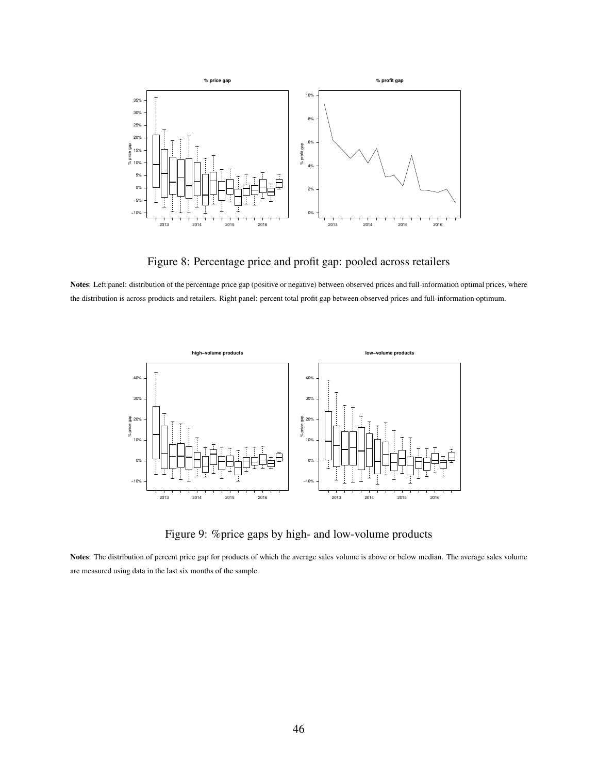

Figure 8: Percentage price and profit gap: pooled across retailers

Notes: Left panel: distribution of the percentage price gap (positive or negative) between observed prices and full-information optimal prices, where the distribution is across products and retailers. Right panel: percent total profit gap between observed prices and full-information optimum.



Figure 9: %price gaps by high- and low-volume products

Notes: The distribution of percent price gap for products of which the average sales volume is above or below median. The average sales volume are measured using data in the last six months of the sample.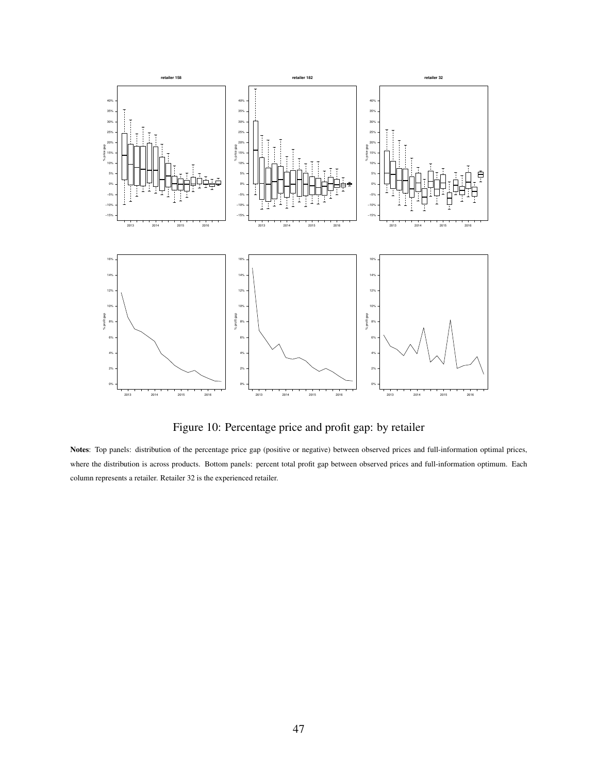

Figure 10: Percentage price and profit gap: by retailer

Notes: Top panels: distribution of the percentage price gap (positive or negative) between observed prices and full-information optimal prices, where the distribution is across products. Bottom panels: percent total profit gap between observed prices and full-information optimum. Each column represents a retailer. Retailer 32 is the experienced retailer.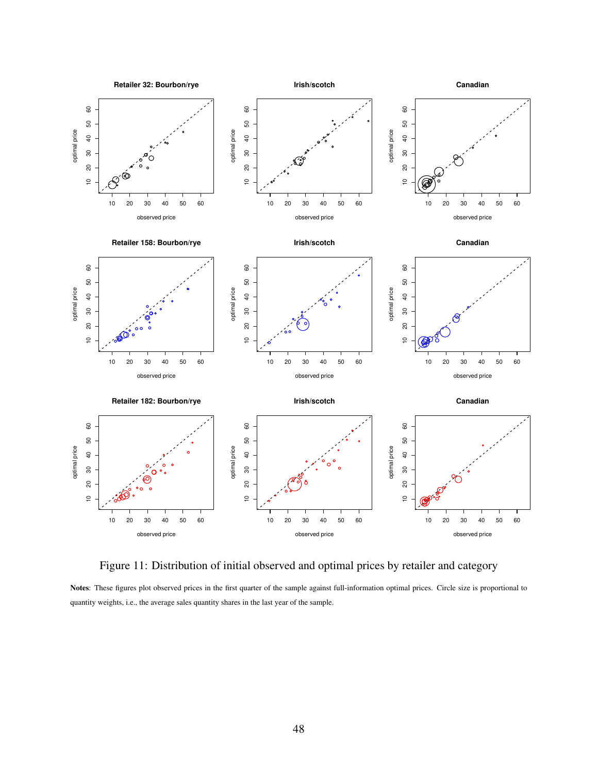

Figure 11: Distribution of initial observed and optimal prices by retailer and category

Notes: These figures plot observed prices in the first quarter of the sample against full-information optimal prices. Circle size is proportional to quantity weights, i.e., the average sales quantity shares in the last year of the sample.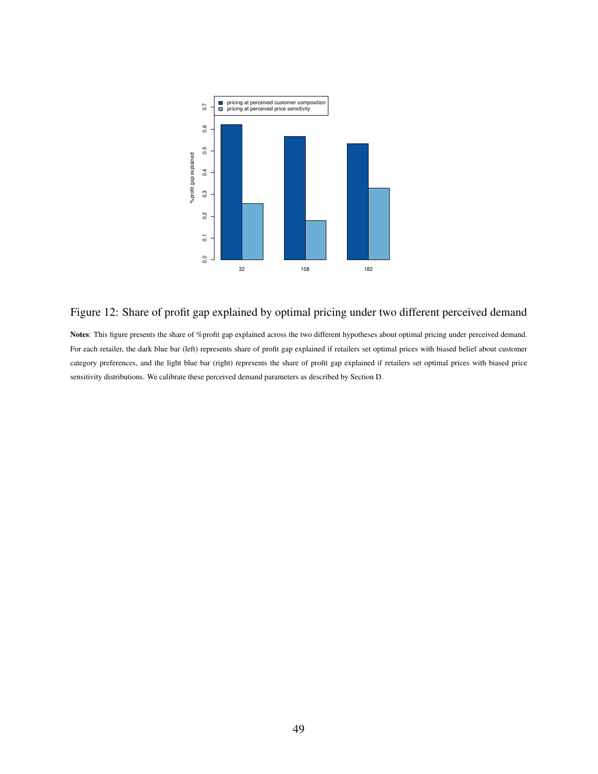

### Figure 12: Share of profit gap explained by optimal pricing under two different perceived demand

Notes: This figure presents the share of %profit gap explained across the two different hypotheses about optimal pricing under perceived demand. For each retailer, the dark blue bar (left) represents share of profit gap explained if retailers set optimal prices with biased belief about customer category preferences, and the light blue bar (right) represents the share of profit gap explained if retailers set optimal prices with biased price sensitivity distributions. We calibrate these perceived demand parameters as described by Section D.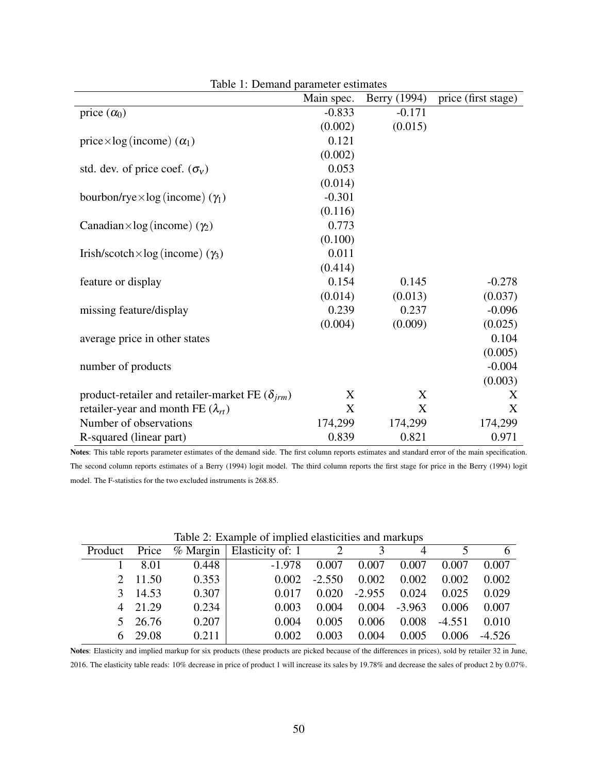|                                                          | Main spec. | Berry (1994) | price (first stage) |
|----------------------------------------------------------|------------|--------------|---------------------|
| price $(\alpha_0)$                                       | $-0.833$   | $-0.171$     |                     |
|                                                          | (0.002)    | (0.015)      |                     |
| price $\times$ log (income) $(\alpha_1)$                 | 0.121      |              |                     |
|                                                          | (0.002)    |              |                     |
| std. dev. of price coef. $(\sigma_v)$                    | 0.053      |              |                     |
|                                                          | (0.014)    |              |                     |
| bourbon/rye $\times$ log (income) ( $\gamma_1$ )         | $-0.301$   |              |                     |
|                                                          | (0.116)    |              |                     |
| Canadian×log (income) $(\gamma_2)$                       | 0.773      |              |                     |
|                                                          | (0.100)    |              |                     |
| Irish/scotch $\times$ log (income) ( $\gamma_3$ )        | 0.011      |              |                     |
|                                                          | (0.414)    |              |                     |
| feature or display                                       | 0.154      | 0.145        | $-0.278$            |
|                                                          | (0.014)    | (0.013)      | (0.037)             |
| missing feature/display                                  | 0.239      | 0.237        | $-0.096$            |
|                                                          | (0.004)    | (0.009)      | (0.025)             |
| average price in other states                            |            |              | 0.104               |
|                                                          |            |              | (0.005)             |
| number of products                                       |            |              | $-0.004$            |
|                                                          |            |              | (0.003)             |
| product-retailer and retailer-market FE $(\delta_{irm})$ | X          | X            | X                   |
| retailer-year and month FE $(\lambda_{rt})$              | X          | X            | X                   |
| Number of observations                                   | 174,299    | 174,299      | 174,299             |
| R-squared (linear part)                                  | 0.839      | 0.821        | 0.971               |

Table 1: Demand parameter estimates

Notes: This table reports parameter estimates of the demand side. The first column reports estimates and standard error of the main specification. The second column reports estimates of a Berry (1994) logit model. The third column reports the first stage for price in the Berry (1994) logit model. The F-statistics for the two excluded instruments is 268.85.

|  |                |       | Product Price % Margin   Elasticity of: 1 $\overline{2}$ $\overline{3}$ |          |          | $\overline{4}$   | $\sim$         | 6        |
|--|----------------|-------|-------------------------------------------------------------------------|----------|----------|------------------|----------------|----------|
|  | $1 \quad 8.01$ | 0.448 | $-1.978$                                                                | 0.007    | 0.007    | 0.007            | 0.007          | 0.007    |
|  | 2 11.50        | 0.353 | 0.002                                                                   | $-2.550$ |          | $0.002$ 0.002    | 0.002          | 0.002    |
|  | 3 14.53        | 0.307 | 0.017                                                                   | 0.020    | $-2.955$ | 0.024            | 0.025          | 0.029    |
|  | 4 21.29        | 0.234 | 0.003                                                                   | 0.004    |          | $0.004$ $-3.963$ | 0.006          | 0.007    |
|  | 5 26.76        | 0.207 | 0.004                                                                   | 0.005    | 0.006    |                  | $0.008 -4.551$ | 0.010    |
|  | 6 29.08        | 0.211 | 0.002                                                                   | 0.003    | 0.004    | 0.005            | 0.006          | $-4.526$ |

Table 2: Example of implied elasticities and markups

Notes: Elasticity and implied markup for six products (these products are picked because of the differences in prices), sold by retailer 32 in June, 2016. The elasticity table reads: 10% decrease in price of product 1 will increase its sales by 19.78% and decrease the sales of product 2 by 0.07%.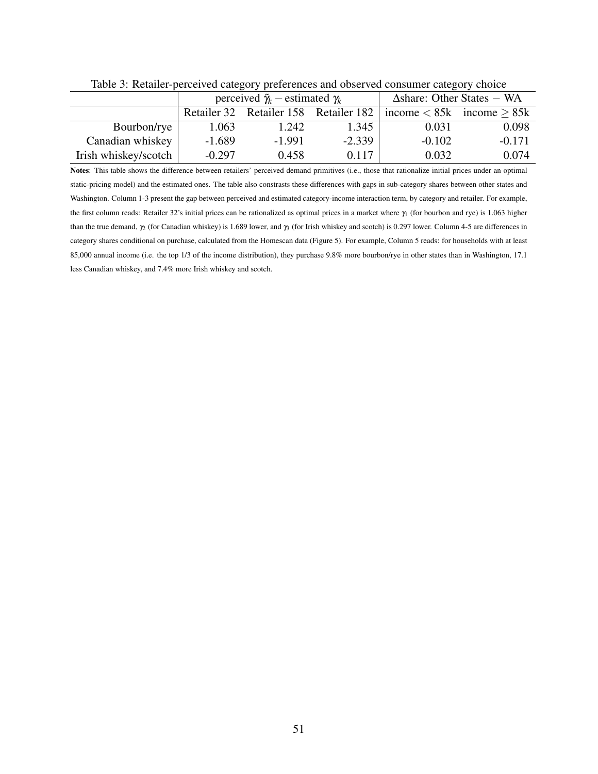|                      |          | perceived $\tilde{\gamma}_k$ – estimated $\gamma_k$ |          | $\Delta$ share: Other States – WA |                               |  |  |
|----------------------|----------|-----------------------------------------------------|----------|-----------------------------------|-------------------------------|--|--|
|                      |          | Retailer 32 Retailer 158 Retailer 182               |          |                                   | income $< 85k$ income $> 85k$ |  |  |
| Bourbon/rye          | 1.063    | 1.242                                               | 1.345    | 0.031                             | 0.098                         |  |  |
| Canadian whiskey     | $-1.689$ | $-1.991$                                            | $-2.339$ | $-0.102$                          | $-0.171$                      |  |  |
| Irish whiskey/scotch | $-0.297$ | 0.458                                               | 0.117    | 0.032                             | 0.074                         |  |  |

Table 3: Retailer-perceived category preferences and observed consumer category choice

Notes: This table shows the difference between retailers' perceived demand primitives (i.e., those that rationalize initial prices under an optimal static-pricing model) and the estimated ones. The table also constrasts these differences with gaps in sub-category shares between other states and Washington. Column 1-3 present the gap between perceived and estimated category-income interaction term, by category and retailer. For example, the first column reads: Retailer 32's initial prices can be rationalized as optimal prices in a market where  $\gamma_1$  (for bourbon and rye) is 1.063 higher than the true demand, γ<sub>2</sub> (for Canadian whiskey) is 1.689 lower, and γ<sub>3</sub> (for Irish whiskey and scotch) is 0.297 lower. Column 4-5 are differences in category shares conditional on purchase, calculated from the Homescan data (Figure 5). For example, Column 5 reads: for households with at least 85,000 annual income (i.e. the top 1/3 of the income distribution), they purchase 9.8% more bourbon/rye in other states than in Washington, 17.1 less Canadian whiskey, and 7.4% more Irish whiskey and scotch.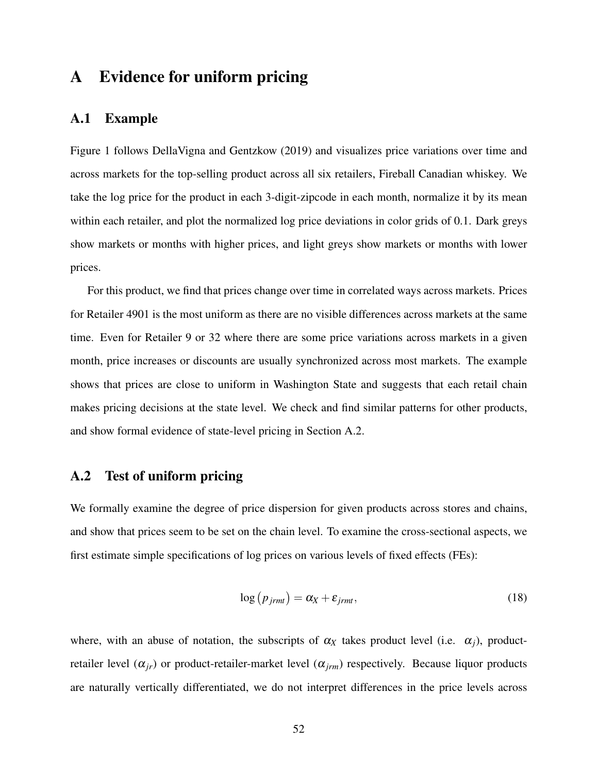### A Evidence for uniform pricing

#### A.1 Example

Figure 1 follows DellaVigna and Gentzkow (2019) and visualizes price variations over time and across markets for the top-selling product across all six retailers, Fireball Canadian whiskey. We take the log price for the product in each 3-digit-zipcode in each month, normalize it by its mean within each retailer, and plot the normalized log price deviations in color grids of 0.1. Dark greys show markets or months with higher prices, and light greys show markets or months with lower prices.

For this product, we find that prices change over time in correlated ways across markets. Prices for Retailer 4901 is the most uniform as there are no visible differences across markets at the same time. Even for Retailer 9 or 32 where there are some price variations across markets in a given month, price increases or discounts are usually synchronized across most markets. The example shows that prices are close to uniform in Washington State and suggests that each retail chain makes pricing decisions at the state level. We check and find similar patterns for other products, and show formal evidence of state-level pricing in Section A.2.

#### A.2 Test of uniform pricing

We formally examine the degree of price dispersion for given products across stores and chains, and show that prices seem to be set on the chain level. To examine the cross-sectional aspects, we first estimate simple specifications of log prices on various levels of fixed effects (FEs):

$$
\log(p_{jrm}) = \alpha_X + \varepsilon_{jrm}, \qquad (18)
$$

where, with an abuse of notation, the subscripts of  $\alpha_X$  takes product level (i.e.  $\alpha_i$ ), productretailer level  $(\alpha_{ir})$  or product-retailer-market level  $(\alpha_{irm})$  respectively. Because liquor products are naturally vertically differentiated, we do not interpret differences in the price levels across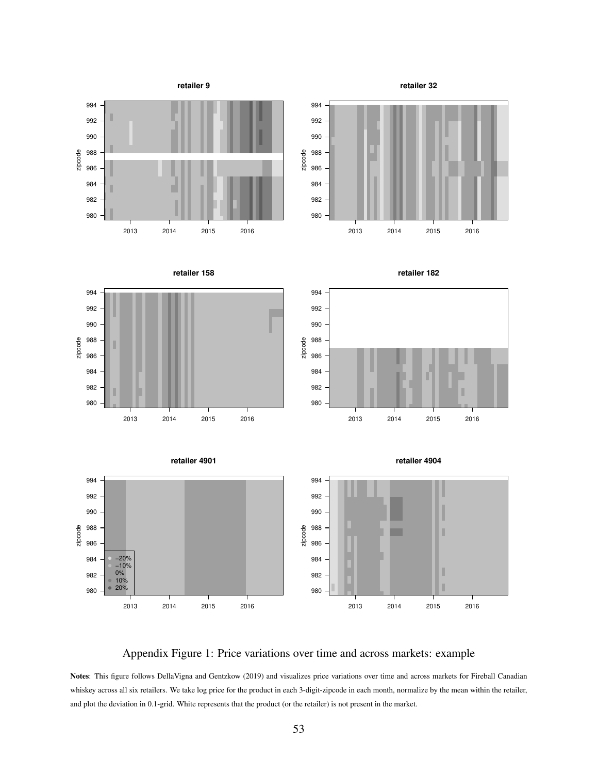

### Appendix Figure 1: Price variations over time and across markets: example

Notes: This figure follows DellaVigna and Gentzkow (2019) and visualizes price variations over time and across markets for Fireball Canadian whiskey across all six retailers. We take log price for the product in each 3-digit-zipcode in each month, normalize by the mean within the retailer, and plot the deviation in 0.1-grid. White represents that the product (or the retailer) is not present in the market.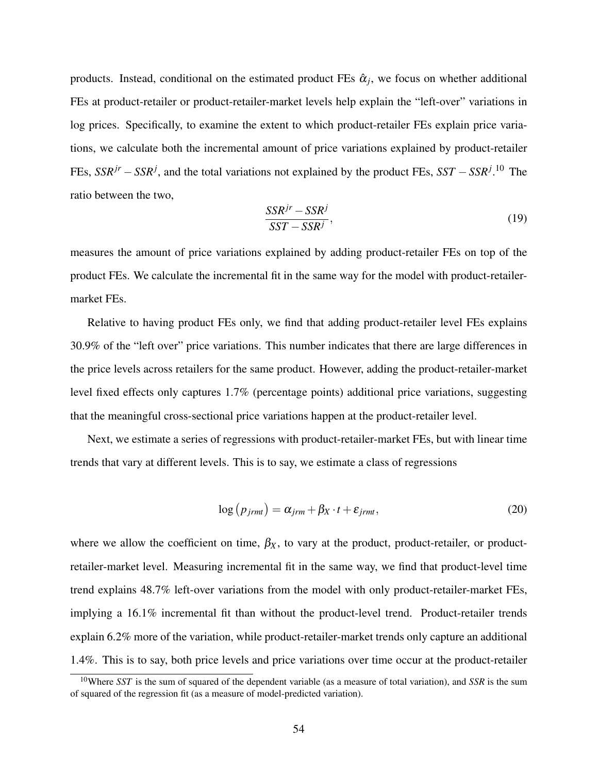products. Instead, conditional on the estimated product FEs  $\hat{\alpha}_j$ , we focus on whether additional FEs at product-retailer or product-retailer-market levels help explain the "left-over" variations in log prices. Specifically, to examine the extent to which product-retailer FEs explain price variations, we calculate both the incremental amount of price variations explained by product-retailer FEs, *SSRjr* −*SSR<sup>j</sup>* , and the total variations not explained by the product FEs, *SST* −*SSR<sup>j</sup>* . <sup>10</sup> The ratio between the two,

$$
\frac{SSR^{jr} - SSR^j}{SST - SSR^j},\tag{19}
$$

measures the amount of price variations explained by adding product-retailer FEs on top of the product FEs. We calculate the incremental fit in the same way for the model with product-retailermarket FEs.

Relative to having product FEs only, we find that adding product-retailer level FEs explains 30.9% of the "left over" price variations. This number indicates that there are large differences in the price levels across retailers for the same product. However, adding the product-retailer-market level fixed effects only captures 1.7% (percentage points) additional price variations, suggesting that the meaningful cross-sectional price variations happen at the product-retailer level.

Next, we estimate a series of regressions with product-retailer-market FEs, but with linear time trends that vary at different levels. This is to say, we estimate a class of regressions

$$
\log (p_{jrm}) = \alpha_{jrm} + \beta_X \cdot t + \varepsilon_{jrm}, \qquad (20)
$$

where we allow the coefficient on time,  $\beta_X$ , to vary at the product, product-retailer, or productretailer-market level. Measuring incremental fit in the same way, we find that product-level time trend explains 48.7% left-over variations from the model with only product-retailer-market FEs, implying a 16.1% incremental fit than without the product-level trend. Product-retailer trends explain 6.2% more of the variation, while product-retailer-market trends only capture an additional 1.4%. This is to say, both price levels and price variations over time occur at the product-retailer

<sup>10</sup>Where *SST* is the sum of squared of the dependent variable (as a measure of total variation), and *SSR* is the sum of squared of the regression fit (as a measure of model-predicted variation).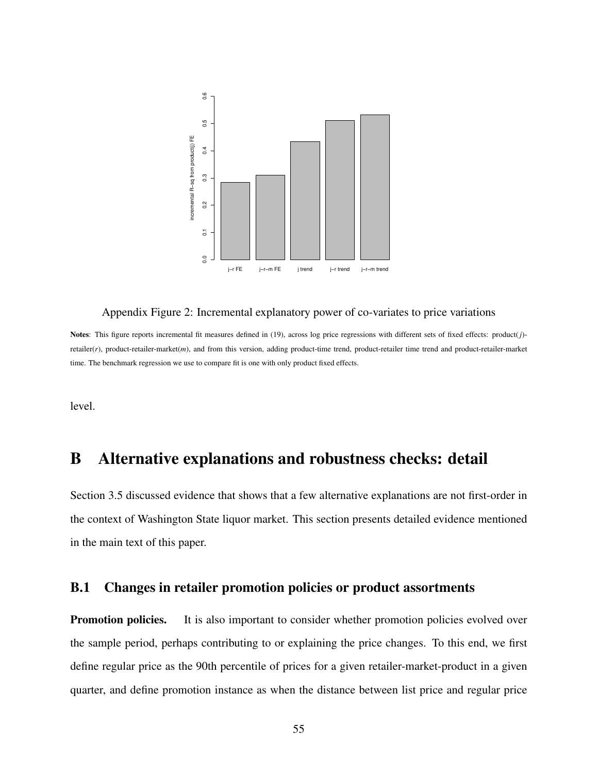

#### Appendix Figure 2: Incremental explanatory power of co-variates to price variations

Notes: This figure reports incremental fit measures defined in (19), across log price regressions with different sets of fixed effects: product(*j*) retailer(*r*), product-retailer-market(*m*), and from this version, adding product-time trend, product-retailer time trend and product-retailer-market time. The benchmark regression we use to compare fit is one with only product fixed effects.

level.

### B Alternative explanations and robustness checks: detail

Section 3.5 discussed evidence that shows that a few alternative explanations are not first-order in the context of Washington State liquor market. This section presents detailed evidence mentioned in the main text of this paper.

### B.1 Changes in retailer promotion policies or product assortments

**Promotion policies.** It is also important to consider whether promotion policies evolved over the sample period, perhaps contributing to or explaining the price changes. To this end, we first define regular price as the 90th percentile of prices for a given retailer-market-product in a given quarter, and define promotion instance as when the distance between list price and regular price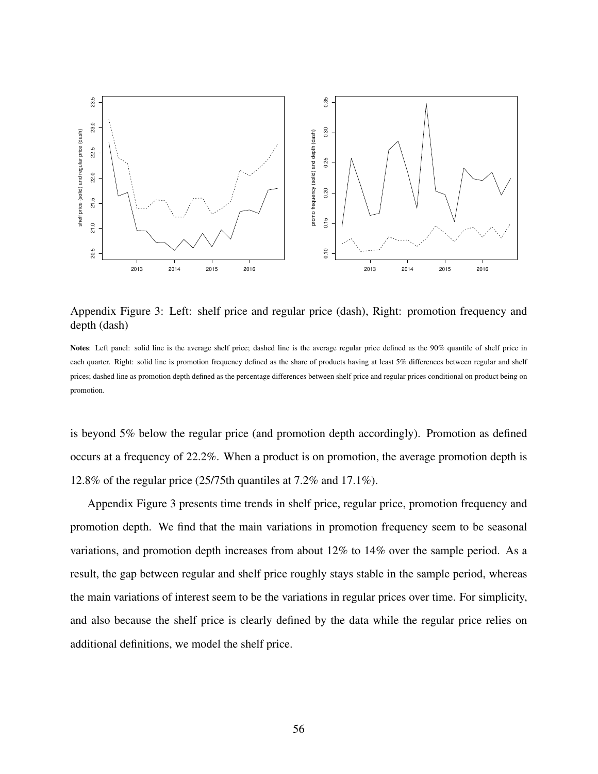

Appendix Figure 3: Left: shelf price and regular price (dash), Right: promotion frequency and depth (dash)

Notes: Left panel: solid line is the average shelf price; dashed line is the average regular price defined as the 90% quantile of shelf price in each quarter. Right: solid line is promotion frequency defined as the share of products having at least 5% differences between regular and shelf prices; dashed line as promotion depth defined as the percentage differences between shelf price and regular prices conditional on product being on promotion.

is beyond 5% below the regular price (and promotion depth accordingly). Promotion as defined occurs at a frequency of 22.2%. When a product is on promotion, the average promotion depth is 12.8% of the regular price (25/75th quantiles at 7.2% and 17.1%).

Appendix Figure 3 presents time trends in shelf price, regular price, promotion frequency and promotion depth. We find that the main variations in promotion frequency seem to be seasonal variations, and promotion depth increases from about 12% to 14% over the sample period. As a result, the gap between regular and shelf price roughly stays stable in the sample period, whereas the main variations of interest seem to be the variations in regular prices over time. For simplicity, and also because the shelf price is clearly defined by the data while the regular price relies on additional definitions, we model the shelf price.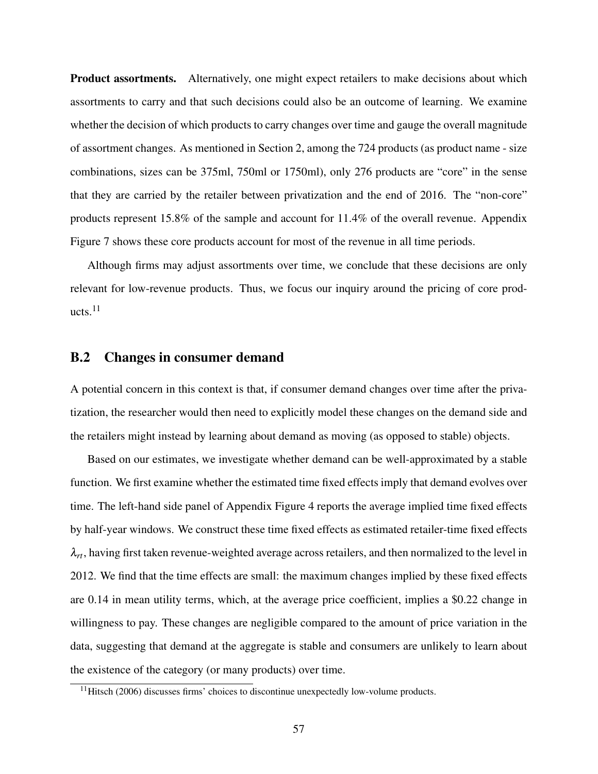Product assortments. Alternatively, one might expect retailers to make decisions about which assortments to carry and that such decisions could also be an outcome of learning. We examine whether the decision of which products to carry changes over time and gauge the overall magnitude of assortment changes. As mentioned in Section 2, among the 724 products (as product name - size combinations, sizes can be 375ml, 750ml or 1750ml), only 276 products are "core" in the sense that they are carried by the retailer between privatization and the end of 2016. The "non-core" products represent 15.8% of the sample and account for 11.4% of the overall revenue. Appendix Figure 7 shows these core products account for most of the revenue in all time periods.

Although firms may adjust assortments over time, we conclude that these decisions are only relevant for low-revenue products. Thus, we focus our inquiry around the pricing of core products.<sup>11</sup>

### B.2 Changes in consumer demand

A potential concern in this context is that, if consumer demand changes over time after the privatization, the researcher would then need to explicitly model these changes on the demand side and the retailers might instead by learning about demand as moving (as opposed to stable) objects.

Based on our estimates, we investigate whether demand can be well-approximated by a stable function. We first examine whether the estimated time fixed effects imply that demand evolves over time. The left-hand side panel of Appendix Figure 4 reports the average implied time fixed effects by half-year windows. We construct these time fixed effects as estimated retailer-time fixed effects  $\lambda_{rt}$ , having first taken revenue-weighted average across retailers, and then normalized to the level in 2012. We find that the time effects are small: the maximum changes implied by these fixed effects are 0.14 in mean utility terms, which, at the average price coefficient, implies a \$0.22 change in willingness to pay. These changes are negligible compared to the amount of price variation in the data, suggesting that demand at the aggregate is stable and consumers are unlikely to learn about the existence of the category (or many products) over time.

 $11$  Hitsch (2006) discusses firms' choices to discontinue unexpectedly low-volume products.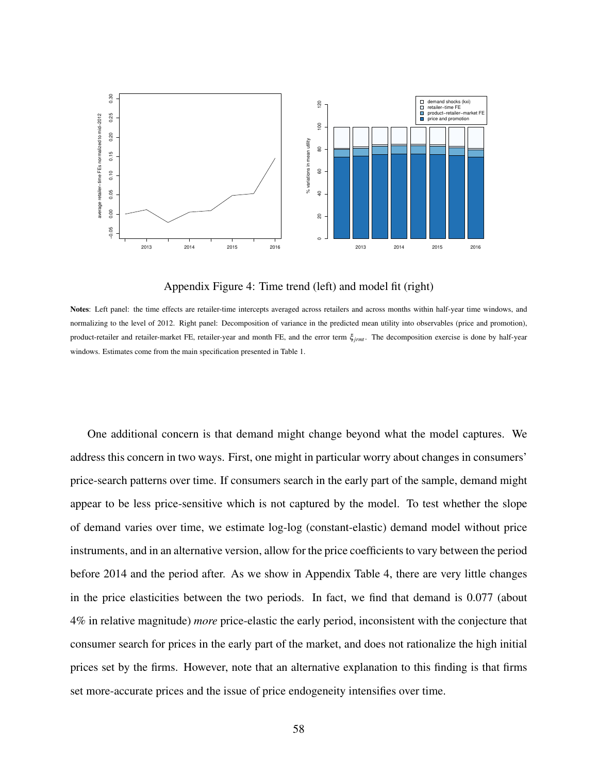

Appendix Figure 4: Time trend (left) and model fit (right)

Notes: Left panel: the time effects are retailer-time intercepts averaged across retailers and across months within half-year time windows, and normalizing to the level of 2012. Right panel: Decomposition of variance in the predicted mean utility into observables (price and promotion), product-retailer and retailer-market FE, retailer-year and month FE, and the error term ξ*jrmt* . The decomposition exercise is done by half-year windows. Estimates come from the main specification presented in Table 1.

One additional concern is that demand might change beyond what the model captures. We address this concern in two ways. First, one might in particular worry about changes in consumers' price-search patterns over time. If consumers search in the early part of the sample, demand might appear to be less price-sensitive which is not captured by the model. To test whether the slope of demand varies over time, we estimate log-log (constant-elastic) demand model without price instruments, and in an alternative version, allow for the price coefficients to vary between the period before 2014 and the period after. As we show in Appendix Table 4, there are very little changes in the price elasticities between the two periods. In fact, we find that demand is 0.077 (about 4% in relative magnitude) *more* price-elastic the early period, inconsistent with the conjecture that consumer search for prices in the early part of the market, and does not rationalize the high initial prices set by the firms. However, note that an alternative explanation to this finding is that firms set more-accurate prices and the issue of price endogeneity intensifies over time.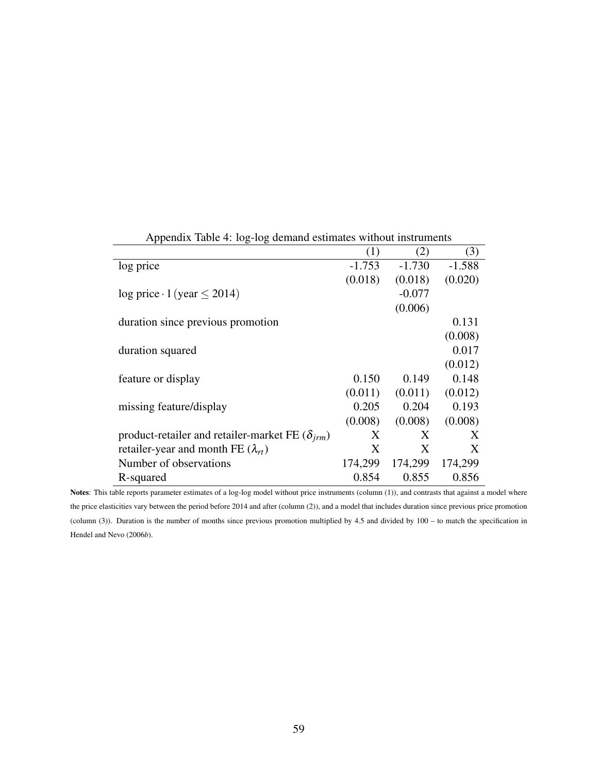|                                                          | (1)      | (2)      | (3)      |
|----------------------------------------------------------|----------|----------|----------|
| log price                                                | $-1.753$ | $-1.730$ | $-1.588$ |
|                                                          | (0.018)  | (0.018)  | (0.020)  |
| $log price \cdot 1 (year \le 2014)$                      |          | $-0.077$ |          |
|                                                          |          | (0.006)  |          |
| duration since previous promotion                        |          |          | 0.131    |
|                                                          |          |          | (0.008)  |
| duration squared                                         |          |          | 0.017    |
|                                                          |          |          | (0.012)  |
| feature or display                                       | 0.150    | 0.149    | 0.148    |
|                                                          | (0.011)  | (0.011)  | (0.012)  |
| missing feature/display                                  | 0.205    | 0.204    | 0.193    |
|                                                          | (0.008)  | (0.008)  | (0.008)  |
| product-retailer and retailer-market FE $(\delta_{irm})$ | X        | X        | X        |
| retailer-year and month FE $(\lambda_{rt})$              | X        | Χ        | X        |
| Number of observations                                   | 174,299  | 174,299  | 174,299  |
| R-squared                                                | 0.854    | 0.855    | 0.856    |

Appendix Table 4: log-log demand estimates without instruments

Notes: This table reports parameter estimates of a log-log model without price instruments (column (1)), and contrasts that against a model where the price elasticities vary between the period before 2014 and after (column (2)), and a model that includes duration since previous price promotion (column (3)). Duration is the number of months since previous promotion multiplied by 4.5 and divided by 100 – to match the specification in Hendel and Nevo (2006*b*).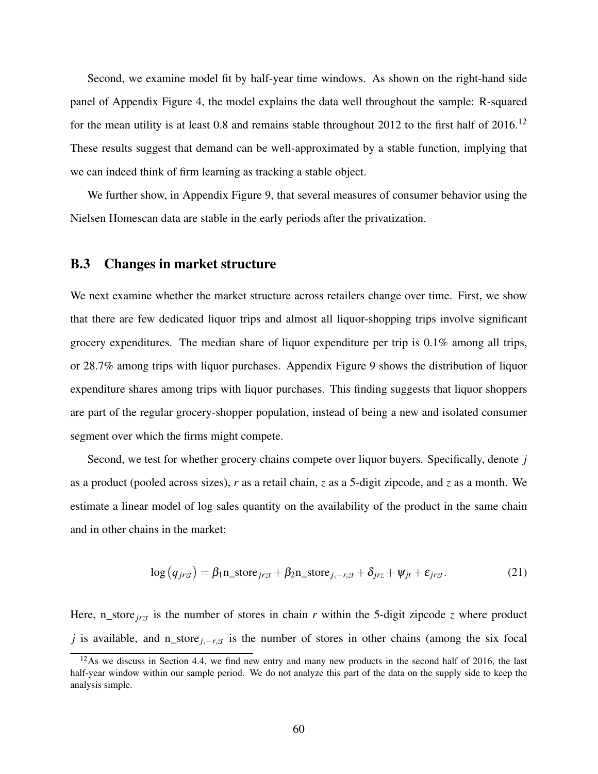Second, we examine model fit by half-year time windows. As shown on the right-hand side panel of Appendix Figure 4, the model explains the data well throughout the sample: R-squared for the mean utility is at least 0.8 and remains stable throughout 2012 to the first half of  $2016$ .<sup>12</sup> These results suggest that demand can be well-approximated by a stable function, implying that we can indeed think of firm learning as tracking a stable object.

We further show, in Appendix Figure 9, that several measures of consumer behavior using the Nielsen Homescan data are stable in the early periods after the privatization.

### B.3 Changes in market structure

We next examine whether the market structure across retailers change over time. First, we show that there are few dedicated liquor trips and almost all liquor-shopping trips involve significant grocery expenditures. The median share of liquor expenditure per trip is 0.1% among all trips, or 28.7% among trips with liquor purchases. Appendix Figure 9 shows the distribution of liquor expenditure shares among trips with liquor purchases. This finding suggests that liquor shoppers are part of the regular grocery-shopper population, instead of being a new and isolated consumer segment over which the firms might compete.

Second, we test for whether grocery chains compete over liquor buyers. Specifically, denote *j* as a product (pooled across sizes), *r* as a retail chain, *z* as a 5-digit zipcode, and *z* as a month. We estimate a linear model of log sales quantity on the availability of the product in the same chain and in other chains in the market:

$$
\log (q_{jrz}) = \beta_1 n\_store_{jrz} + \beta_2 n\_store_{j,-r,z} + \delta_{jrz} + \psi_{jt} + \varepsilon_{jrz}. \tag{21}
$$

Here, n\_store  $_{irzt}$  is the number of stores in chain *r* within the 5-digit zipcode *z* where product *j* is available, and n\_store *j*,−*r*,*zt* is the number of stores in other chains (among the six focal

<sup>&</sup>lt;sup>12</sup>As we discuss in Section 4.4, we find new entry and many new products in the second half of 2016, the last half-year window within our sample period. We do not analyze this part of the data on the supply side to keep the analysis simple.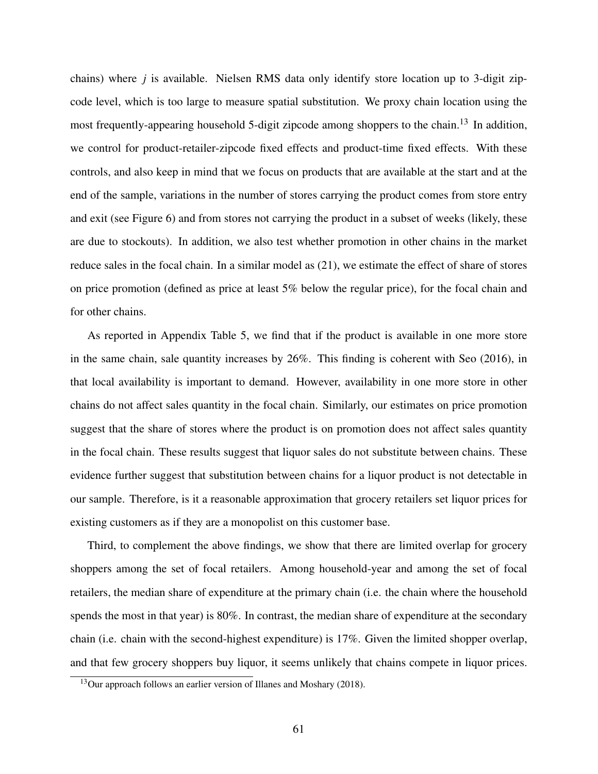chains) where *j* is available. Nielsen RMS data only identify store location up to 3-digit zipcode level, which is too large to measure spatial substitution. We proxy chain location using the most frequently-appearing household 5-digit zipcode among shoppers to the chain.<sup>13</sup> In addition, we control for product-retailer-zipcode fixed effects and product-time fixed effects. With these controls, and also keep in mind that we focus on products that are available at the start and at the end of the sample, variations in the number of stores carrying the product comes from store entry and exit (see Figure 6) and from stores not carrying the product in a subset of weeks (likely, these are due to stockouts). In addition, we also test whether promotion in other chains in the market reduce sales in the focal chain. In a similar model as (21), we estimate the effect of share of stores on price promotion (defined as price at least 5% below the regular price), for the focal chain and for other chains.

As reported in Appendix Table 5, we find that if the product is available in one more store in the same chain, sale quantity increases by 26%. This finding is coherent with Seo (2016), in that local availability is important to demand. However, availability in one more store in other chains do not affect sales quantity in the focal chain. Similarly, our estimates on price promotion suggest that the share of stores where the product is on promotion does not affect sales quantity in the focal chain. These results suggest that liquor sales do not substitute between chains. These evidence further suggest that substitution between chains for a liquor product is not detectable in our sample. Therefore, is it a reasonable approximation that grocery retailers set liquor prices for existing customers as if they are a monopolist on this customer base.

Third, to complement the above findings, we show that there are limited overlap for grocery shoppers among the set of focal retailers. Among household-year and among the set of focal retailers, the median share of expenditure at the primary chain (i.e. the chain where the household spends the most in that year) is 80%. In contrast, the median share of expenditure at the secondary chain (i.e. chain with the second-highest expenditure) is 17%. Given the limited shopper overlap, and that few grocery shoppers buy liquor, it seems unlikely that chains compete in liquor prices.

<sup>&</sup>lt;sup>13</sup>Our approach follows an earlier version of Illanes and Moshary (2018).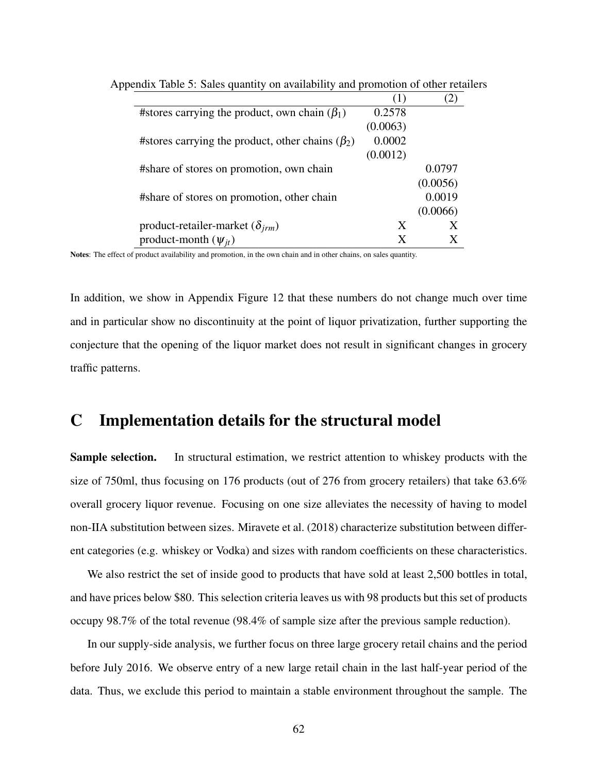|                                                        | T)       |          |
|--------------------------------------------------------|----------|----------|
| #stores carrying the product, own chain $(\beta_1)$    | 0.2578   |          |
|                                                        | (0.0063) |          |
| #stores carrying the product, other chains $(\beta_2)$ | 0.0002   |          |
|                                                        | (0.0012) |          |
| #share of stores on promotion, own chain               |          | 0.0797   |
|                                                        |          | (0.0056) |
| #share of stores on promotion, other chain             |          | 0.0019   |
|                                                        |          | (0.0066) |
| product-retailer-market ( $\delta_{irm}$ )             | X        |          |
| product-month $(\psi_{it})$                            | X        |          |

Appendix Table 5: Sales quantity on availability and promotion of other retailers

Notes: The effect of product availability and promotion, in the own chain and in other chains, on sales quantity.

In addition, we show in Appendix Figure 12 that these numbers do not change much over time and in particular show no discontinuity at the point of liquor privatization, further supporting the conjecture that the opening of the liquor market does not result in significant changes in grocery traffic patterns.

## C Implementation details for the structural model

Sample selection. In structural estimation, we restrict attention to whiskey products with the size of 750ml, thus focusing on 176 products (out of 276 from grocery retailers) that take 63.6% overall grocery liquor revenue. Focusing on one size alleviates the necessity of having to model non-IIA substitution between sizes. Miravete et al. (2018) characterize substitution between different categories (e.g. whiskey or Vodka) and sizes with random coefficients on these characteristics.

We also restrict the set of inside good to products that have sold at least 2,500 bottles in total, and have prices below \$80. This selection criteria leaves us with 98 products but this set of products occupy 98.7% of the total revenue (98.4% of sample size after the previous sample reduction).

In our supply-side analysis, we further focus on three large grocery retail chains and the period before July 2016. We observe entry of a new large retail chain in the last half-year period of the data. Thus, we exclude this period to maintain a stable environment throughout the sample. The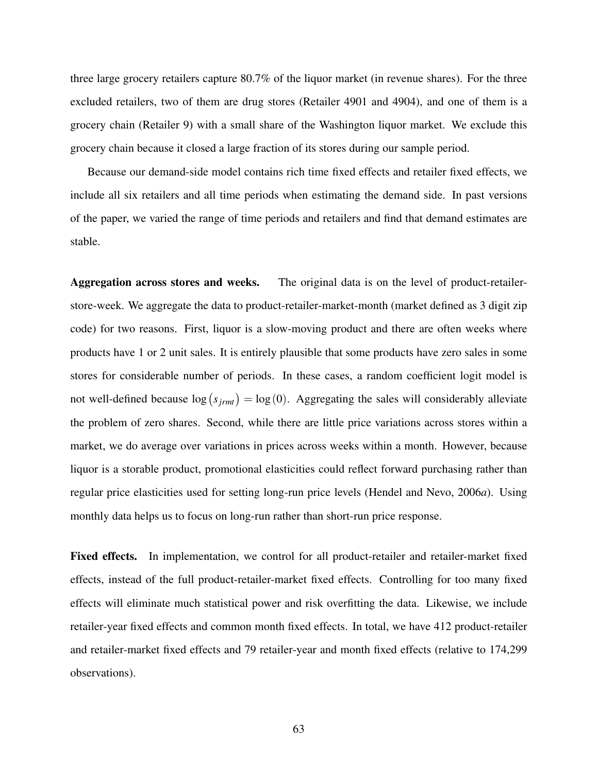three large grocery retailers capture 80.7% of the liquor market (in revenue shares). For the three excluded retailers, two of them are drug stores (Retailer 4901 and 4904), and one of them is a grocery chain (Retailer 9) with a small share of the Washington liquor market. We exclude this grocery chain because it closed a large fraction of its stores during our sample period.

Because our demand-side model contains rich time fixed effects and retailer fixed effects, we include all six retailers and all time periods when estimating the demand side. In past versions of the paper, we varied the range of time periods and retailers and find that demand estimates are stable.

Aggregation across stores and weeks. The original data is on the level of product-retailerstore-week. We aggregate the data to product-retailer-market-month (market defined as 3 digit zip code) for two reasons. First, liquor is a slow-moving product and there are often weeks where products have 1 or 2 unit sales. It is entirely plausible that some products have zero sales in some stores for considerable number of periods. In these cases, a random coefficient logit model is not well-defined because  $log(s_{jrm}) = log(0)$ . Aggregating the sales will considerably alleviate the problem of zero shares. Second, while there are little price variations across stores within a market, we do average over variations in prices across weeks within a month. However, because liquor is a storable product, promotional elasticities could reflect forward purchasing rather than regular price elasticities used for setting long-run price levels (Hendel and Nevo, 2006*a*). Using monthly data helps us to focus on long-run rather than short-run price response.

Fixed effects. In implementation, we control for all product-retailer and retailer-market fixed effects, instead of the full product-retailer-market fixed effects. Controlling for too many fixed effects will eliminate much statistical power and risk overfitting the data. Likewise, we include retailer-year fixed effects and common month fixed effects. In total, we have 412 product-retailer and retailer-market fixed effects and 79 retailer-year and month fixed effects (relative to 174,299 observations).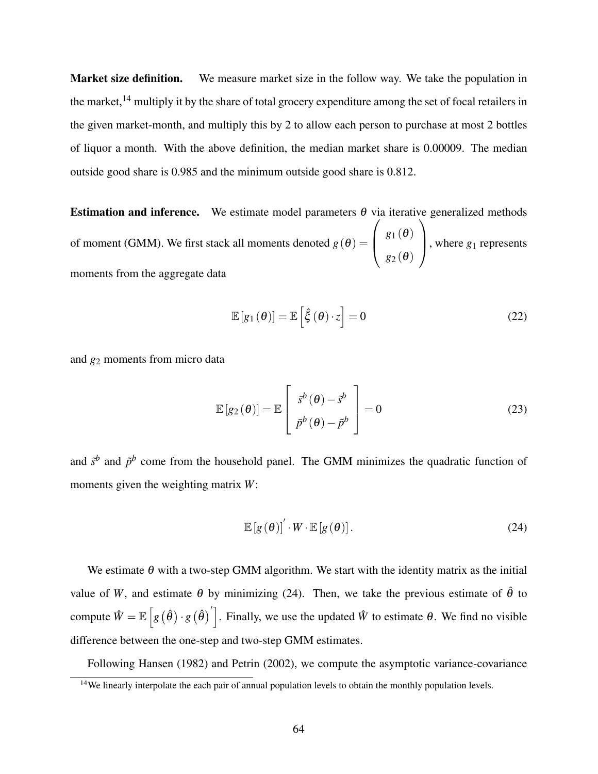Market size definition. We measure market size in the follow way. We take the population in the market,<sup>14</sup> multiply it by the share of total grocery expenditure among the set of focal retailers in the given market-month, and multiply this by 2 to allow each person to purchase at most 2 bottles of liquor a month. With the above definition, the median market share is 0.00009. The median outside good share is 0.985 and the minimum outside good share is 0.812.

**Estimation and inference.** We estimate model parameters  $\theta$  via iterative generalized methods of moment (GMM). We first stack all moments denoted  $g(\theta)$  =  $\sqrt{ }$  $\overline{\phantom{a}}$  $g_1(\theta)$ *g*<sup>2</sup> (θ)  $\setminus$ , where  $g_1$  represents moments from the aggregate data

$$
\mathbb{E}\left[g_1(\theta)\right] = \mathbb{E}\left[\hat{\xi}(\theta) \cdot z\right] = 0\tag{22}
$$

and *g*<sup>2</sup> moments from micro data

$$
\mathbb{E}\left[g_{2}(\theta)\right] = \mathbb{E}\left[\begin{array}{c} \bar{s}^{b}(\theta) - \bar{s}^{b} \\ \bar{p}^{b}(\theta) - \bar{p}^{b} \end{array}\right] = 0
$$
\n(23)

and  $\tilde{s}^b$  and  $\tilde{p}^b$  come from the household panel. The GMM minimizes the quadratic function of moments given the weighting matrix *W*:

$$
\mathbb{E}\left[g\left(\theta\right)\right]'\cdot W\cdot\mathbb{E}\left[g\left(\theta\right)\right].\tag{24}
$$

We estimate  $\theta$  with a two-step GMM algorithm. We start with the identity matrix as the initial value of *W*, and estimate  $\theta$  by minimizing (24). Then, we take the previous estimate of  $\hat{\theta}$  to compute  $\hat{W} = \mathbb{E}\left[g\left(\hat{\theta}\right) \cdot g\left(\hat{\theta}\right)'\right]$ . Finally, we use the updated  $\hat{W}$  to estimate  $\theta$ . We find no visible difference between the one-step and two-step GMM estimates.

Following Hansen (1982) and Petrin (2002), we compute the asymptotic variance-covariance

<sup>&</sup>lt;sup>14</sup>We linearly interpolate the each pair of annual population levels to obtain the monthly population levels.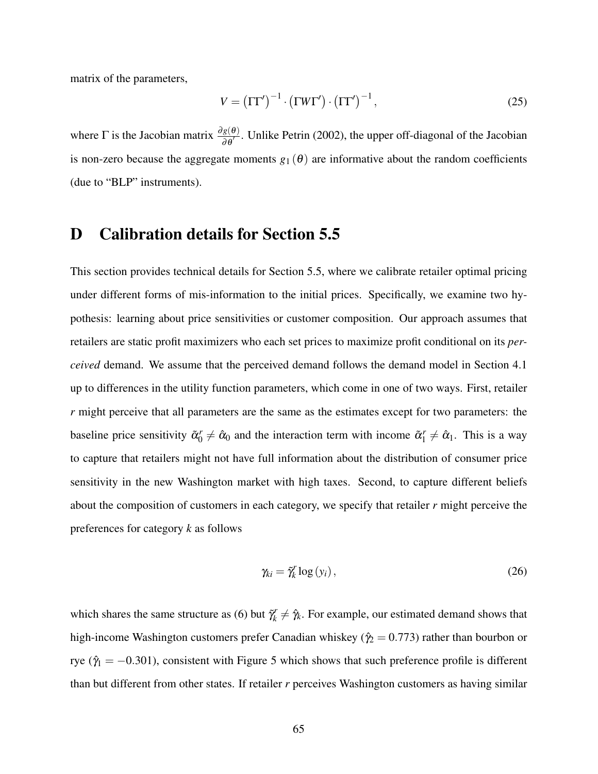matrix of the parameters,

$$
V = (\Gamma \Gamma')^{-1} \cdot (\Gamma W \Gamma') \cdot (\Gamma \Gamma')^{-1}, \qquad (25)
$$

where  $\Gamma$  is the Jacobian matrix  $\frac{\partial g(\theta)}{\partial \theta'}$ . Unlike Petrin (2002), the upper off-diagonal of the Jacobian is non-zero because the aggregate moments  $g_1(\theta)$  are informative about the random coefficients (due to "BLP" instruments).

### D Calibration details for Section 5.5

This section provides technical details for Section 5.5, where we calibrate retailer optimal pricing under different forms of mis-information to the initial prices. Specifically, we examine two hypothesis: learning about price sensitivities or customer composition. Our approach assumes that retailers are static profit maximizers who each set prices to maximize profit conditional on its *perceived* demand. We assume that the perceived demand follows the demand model in Section 4.1 up to differences in the utility function parameters, which come in one of two ways. First, retailer *r* might perceive that all parameters are the same as the estimates except for two parameters: the baseline price sensitivity  $\tilde{\alpha}_0^r \neq \hat{\alpha}_0$  and the interaction term with income  $\tilde{\alpha}_1^r \neq \hat{\alpha}_1$ . This is a way to capture that retailers might not have full information about the distribution of consumer price sensitivity in the new Washington market with high taxes. Second, to capture different beliefs about the composition of customers in each category, we specify that retailer *r* might perceive the preferences for category *k* as follows

$$
\gamma_{ki} = \tilde{\gamma}_k^r \log(y_i), \qquad (26)
$$

which shares the same structure as (6) but  $\tilde{\gamma}_k^r$  $\hat{y}_k \neq \hat{y}_k$ . For example, our estimated demand shows that high-income Washington customers prefer Canadian whiskey ( $\hat{\gamma}_2 = 0.773$ ) rather than bourbon or rye ( $\hat{\gamma}_1 = -0.301$ ), consistent with Figure 5 which shows that such preference profile is different than but different from other states. If retailer *r* perceives Washington customers as having similar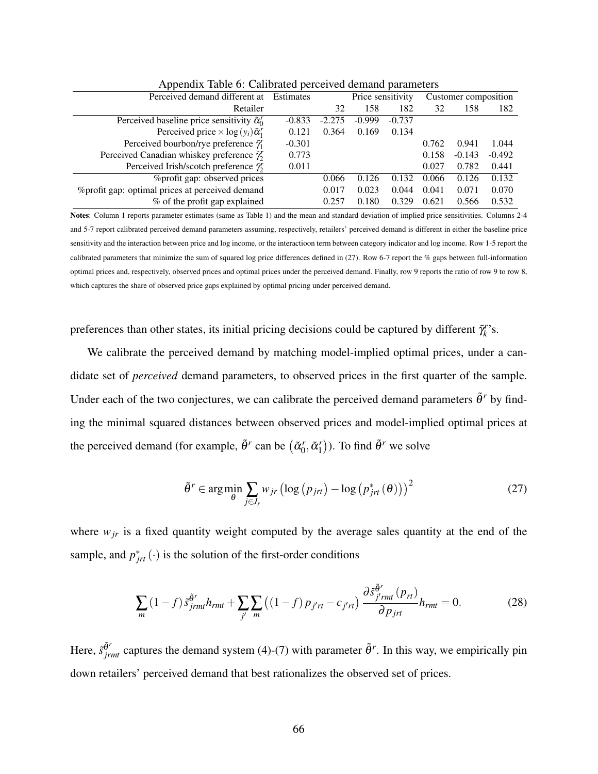| $\mathbf{1}$                                                       |                  |          |                   |          |                      |          |          |
|--------------------------------------------------------------------|------------------|----------|-------------------|----------|----------------------|----------|----------|
| Perceived demand different at                                      | <b>Estimates</b> |          | Price sensitivity |          | Customer composition |          |          |
| Retailer                                                           |                  | 32       | 158               | 182      | 32                   | 158      | 182      |
| Perceived baseline price sensitivity $\tilde{\alpha}_0^r$          | $-0.833$         | $-2.275$ | $-0.999$          | $-0.737$ |                      |          |          |
| Perceived price $\times$ log(y <sub>i</sub> ) $\tilde{\alpha}_1^r$ | 0.121            | 0.364    | 0.169             | 0.134    |                      |          |          |
| Perceived bourbon/rye preference $\tilde{\gamma}_1^r$              | $-0.301$         |          |                   |          | 0.762                | 0.941    | 1.044    |
| Perceived Canadian whiskey preference $\tilde{\gamma}_2^r$         | 0.773            |          |                   |          | 0.158                | $-0.143$ | $-0.492$ |
| Perceived Irish/scotch preference $\tilde{\gamma}_2^r$             | 0.011            |          |                   |          | 0.027                | 0.782    | 0.441    |
| % profit gap: observed prices                                      |                  | 0.066    | 0.126             | 0.132    | 0.066                | 0.126    | 0.132    |
| % profit gap: optimal prices at perceived demand                   |                  | 0.017    | 0.023             | 0.044    | 0.041                | 0.071    | 0.070    |
| % of the profit gap explained                                      |                  | 0.257    | 0.180             | 0.329    | 0.621                | 0.566    | 0.532    |

Appendix Table 6: Calibrated perceived demand parameters

Notes: Column 1 reports parameter estimates (same as Table 1) and the mean and standard deviation of implied price sensitivities. Columns 2-4 and 5-7 report calibrated perceived demand parameters assuming, respectively, retailers' perceived demand is different in either the baseline price sensitivity and the interaction between price and log income, or the interactioon term between category indicator and log income. Row 1-5 report the calibrated parameters that minimize the sum of squared log price differences defined in (27). Row 6-7 report the % gaps between full-information optimal prices and, respectively, observed prices and optimal prices under the perceived demand. Finally, row 9 reports the ratio of row 9 to row 8, which captures the share of observed price gaps explained by optimal pricing under perceived demand.

preferences than other states, its initial pricing decisions could be captured by different  $\tilde{\gamma}_k^r$  $k^r$ s.

We calibrate the perceived demand by matching model-implied optimal prices, under a candidate set of *perceived* demand parameters, to observed prices in the first quarter of the sample. Under each of the two conjectures, we can calibrate the perceived demand parameters  $\tilde{\theta}^r$  by finding the minimal squared distances between observed prices and model-implied optimal prices at the perceived demand (for example,  $\tilde{\theta}^r$  can be  $(\tilde{\alpha}_0^r, \tilde{\alpha}_1^r)$ ). To find  $\tilde{\theta}^r$  we solve

$$
\tilde{\theta}^r \in \arg\min_{\theta} \sum_{j \in J_r} w_{jr} \left( \log \left( p_{jrt} \right) - \log \left( p_{jrt}^* \left( \theta \right) \right) \right)^2 \tag{27}
$$

where  $w_{jr}$  is a fixed quantity weight computed by the average sales quantity at the end of the sample, and  $p_{jrt}^*$  (·) is the solution of the first-order conditions

$$
\sum_{m} (1-f)\tilde{s}_{jrmt}^{\tilde{\theta}^r}h_{rmt} + \sum_{j'} \sum_{m} ((1-f)p_{j'rt} - c_{j'rt})\frac{\partial \tilde{s}_{j'rmt}^{\tilde{\theta}^r}(p_{rt})}{\partial p_{jrt}}h_{rmt} = 0.
$$
 (28)

Here,  $\tilde{s}^{\tilde{\theta}'}_{j r m t}$  captures the demand system (4)-(7) with parameter  $\tilde{\theta}^r$ . In this way, we empirically pin down retailers' perceived demand that best rationalizes the observed set of prices.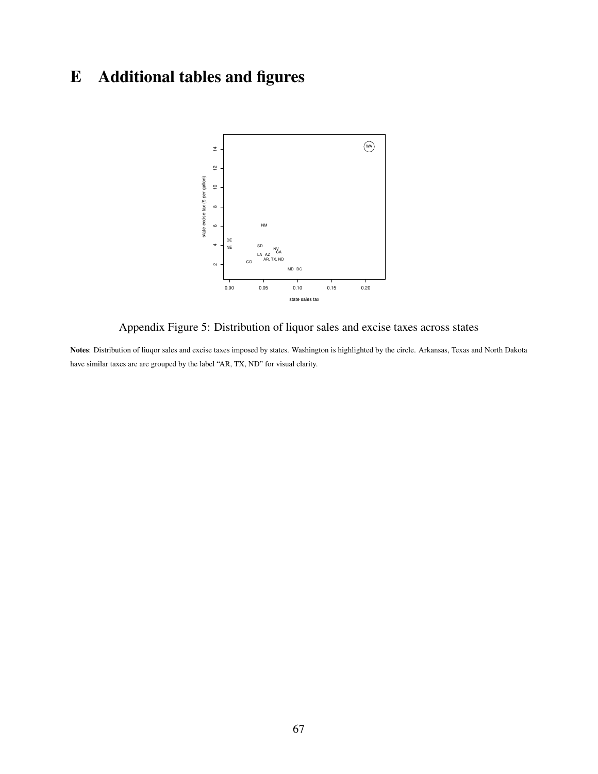# E Additional tables and figures



Appendix Figure 5: Distribution of liquor sales and excise taxes across states

Notes: Distribution of liuqor sales and excise taxes imposed by states. Washington is highlighted by the circle. Arkansas, Texas and North Dakota have similar taxes are are grouped by the label "AR, TX, ND" for visual clarity.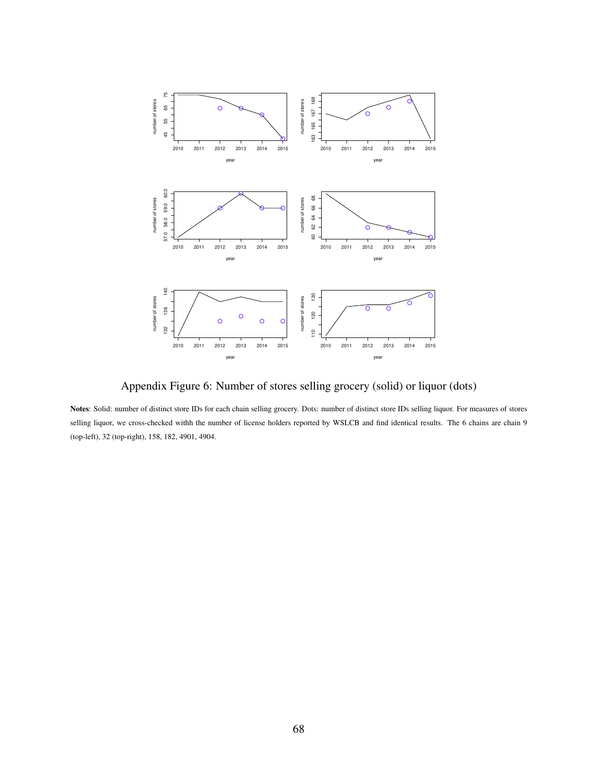

Appendix Figure 6: Number of stores selling grocery (solid) or liquor (dots)

Notes: Solid: number of distinct store IDs for each chain selling grocery. Dots: number of distinct store IDs selling liquor. For measures of stores selling liquor, we cross-checked withh the number of license holders reported by WSLCB and find identical results. The 6 chains are chain 9 (top-left), 32 (top-right), 158, 182, 4901, 4904.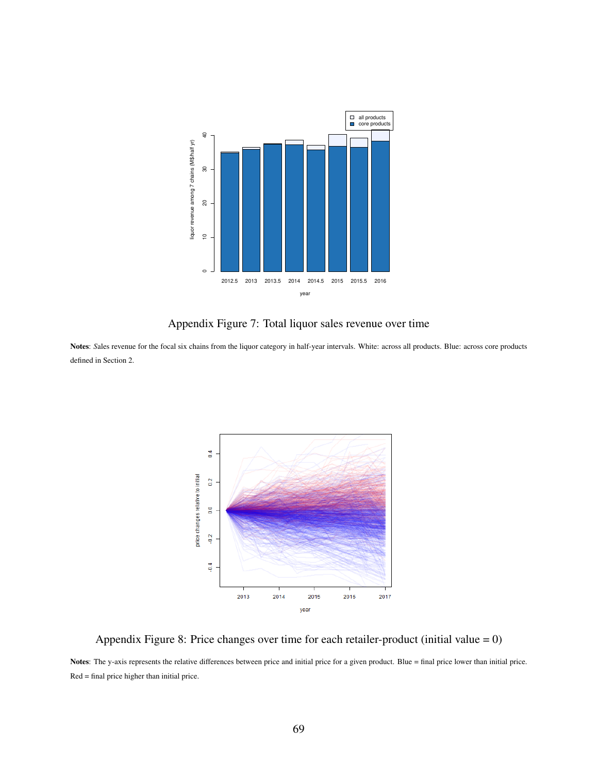

Appendix Figure 7: Total liquor sales revenue over time

Notes: Sales revenue for the focal six chains from the liquor category in half-year intervals. White: across all products. Blue: across core products defined in Section 2.



Appendix Figure 8: Price changes over time for each retailer-product (initial value = 0)

Notes: The y-axis represents the relative differences between price and initial price for a given product. Blue = final price lower than initial price. Red = final price higher than initial price.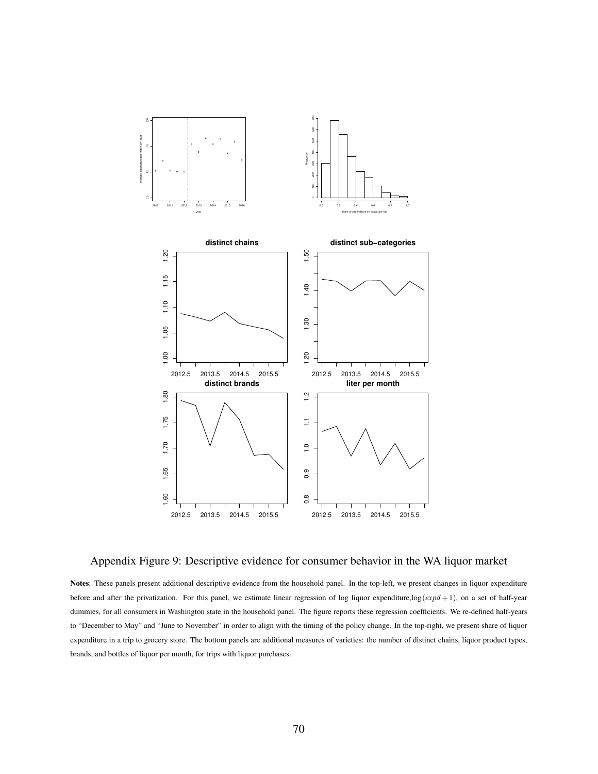

Appendix Figure 9: Descriptive evidence for consumer behavior in the WA liquor market

Notes: These panels present additional descriptive evidence from the household panel. In the top-left, we present changes in liquor expenditure before and after the privatization. For this panel, we estimate linear regression of log liquor expenditure,log(*expd* +1), on a set of half-year dummies, for all consumers in Washington state in the household panel. The figure reports these regression coefficients. We re-defined half-years to "December to May" and "June to November" in order to align with the timing of the policy change. In the top-right, we present share of liquor expenditure in a trip to grocery store. The bottom panels are additional measures of varieties: the number of distinct chains, liquor product types, brands, and bottles of liquor per month, for trips with liquor purchases.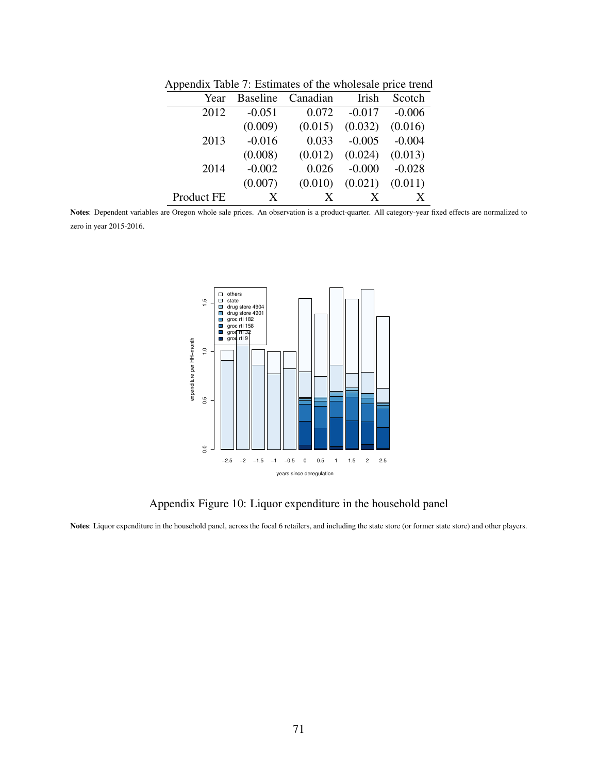| <b>Baseline</b>                            | Canadian | Irish    | Scotch   |
|--------------------------------------------|----------|----------|----------|
| $-0.051$                                   | 0.072    | $-0.017$ | $-0.006$ |
| (0.009)                                    | (0.015)  | (0.032)  | (0.016)  |
| $-0.016$                                   | 0.033    | $-0.005$ | $-0.004$ |
| (0.008)                                    | (0.012)  | (0.024)  | (0.013)  |
| $-0.002$                                   | 0.026    | $-0.000$ | $-0.028$ |
| (0.007)                                    | (0.010)  | (0.021)  | (0.011)  |
| X                                          | X        |          | X        |
| Year<br>2012<br>2013<br>2014<br>Product FE |          |          |          |

Appendix Table 7: Estimates of the wholesale price trend

Notes: Dependent variables are Oregon whole sale prices. An observation is a product-quarter. All category-year fixed effects are normalized to zero in year 2015-2016.



Appendix Figure 10: Liquor expenditure in the household panel

Notes: Liquor expenditure in the household panel, across the focal 6 retailers, and including the state store (or former state store) and other players.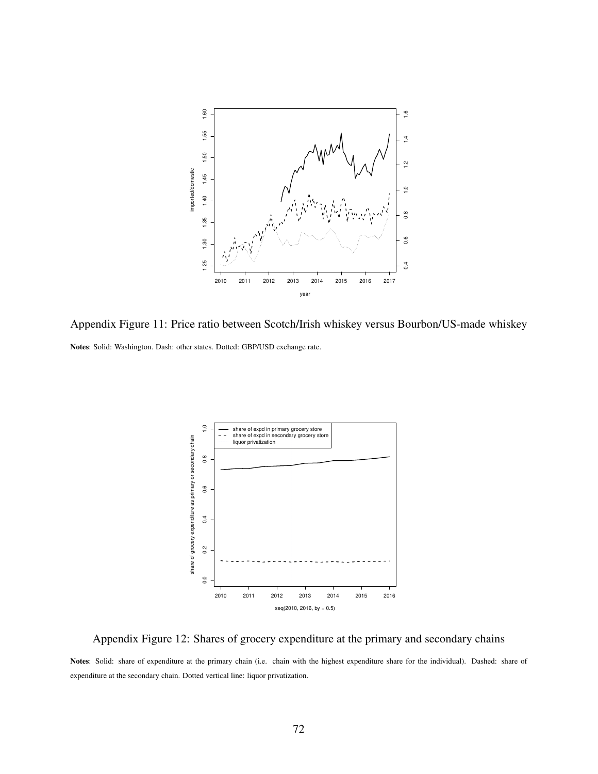

Appendix Figure 11: Price ratio between Scotch/Irish whiskey versus Bourbon/US-made whiskey Notes: Solid: Washington. Dash: other states. Dotted: GBP/USD exchange rate.



Appendix Figure 12: Shares of grocery expenditure at the primary and secondary chains

Notes: Solid: share of expenditure at the primary chain (i.e. chain with the highest expenditure share for the individual). Dashed: share of expenditure at the secondary chain. Dotted vertical line: liquor privatization.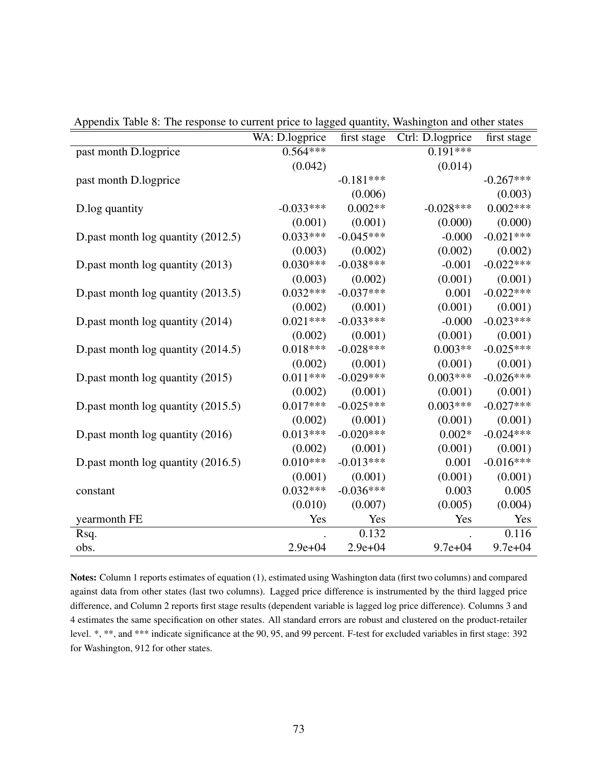| reponding there of the response to current price to hagged quantity, washington and other states | WA: D.logprice | first stage | Ctrl: D.logprice | first stage |
|--------------------------------------------------------------------------------------------------|----------------|-------------|------------------|-------------|
| past month D.logprice                                                                            | $0.564***$     |             | $0.191***$       |             |
|                                                                                                  | (0.042)        |             | (0.014)          |             |
| past month D.logprice                                                                            |                | $-0.181***$ |                  | $-0.267***$ |
|                                                                                                  |                | (0.006)     |                  | (0.003)     |
| D.log quantity                                                                                   | $-0.033***$    | $0.002**$   | $-0.028***$      | $0.002***$  |
|                                                                                                  | (0.001)        | (0.001)     | (0.000)          | (0.000)     |
| D.past month log quantity (2012.5)                                                               | $0.033***$     | $-0.045***$ | $-0.000$         | $-0.021***$ |
|                                                                                                  | (0.003)        | (0.002)     | (0.002)          | (0.002)     |
| D.past month log quantity (2013)                                                                 | $0.030***$     | $-0.038***$ | $-0.001$         | $-0.022***$ |
|                                                                                                  | (0.003)        | (0.002)     | (0.001)          | (0.001)     |
| D.past month log quantity (2013.5)                                                               | $0.032***$     | $-0.037***$ | 0.001            | $-0.022***$ |
|                                                                                                  | (0.002)        | (0.001)     | (0.001)          | (0.001)     |
| D.past month log quantity (2014)                                                                 | $0.021***$     | $-0.033***$ | $-0.000$         | $-0.023***$ |
|                                                                                                  | (0.002)        | (0.001)     | (0.001)          | (0.001)     |
| D.past month log quantity (2014.5)                                                               | $0.018***$     | $-0.028***$ | $0.003**$        | $-0.025***$ |
|                                                                                                  | (0.002)        | (0.001)     | (0.001)          | (0.001)     |
| D.past month log quantity (2015)                                                                 | $0.011***$     | $-0.029***$ | $0.003***$       | $-0.026***$ |
|                                                                                                  | (0.002)        | (0.001)     | (0.001)          | (0.001)     |
| D.past month log quantity (2015.5)                                                               | $0.017***$     | $-0.025***$ | $0.003***$       | $-0.027***$ |
|                                                                                                  | (0.002)        | (0.001)     | (0.001)          | (0.001)     |
| D.past month log quantity (2016)                                                                 | $0.013***$     | $-0.020***$ | $0.002*$         | $-0.024***$ |
|                                                                                                  | (0.002)        | (0.001)     | (0.001)          | (0.001)     |
| D.past month $log$ quantity (2016.5)                                                             | $0.010***$     | $-0.013***$ | 0.001            | $-0.016***$ |
|                                                                                                  | (0.001)        | (0.001)     | (0.001)          | (0.001)     |
| constant                                                                                         | $0.032***$     | $-0.036***$ | 0.003            | 0.005       |
|                                                                                                  | (0.010)        | (0.007)     | (0.005)          | (0.004)     |
| yearmonth FE                                                                                     | Yes            | Yes         | Yes              | Yes         |
| Rsq.                                                                                             |                | 0.132       |                  | 0.116       |
| obs.                                                                                             | $2.9e + 04$    | $2.9e + 04$ | $9.7e + 04$      | $9.7e + 04$ |

Appendix Table 8: The response to current price to lagged quantity, Washington and other states

Notes: Column 1 reports estimates of equation (1), estimated using Washington data (first two columns) and compared against data from other states (last two columns). Lagged price difference is instrumented by the third lagged price difference, and Column 2 reports first stage results (dependent variable is lagged log price difference). Columns 3 and 4 estimates the same specification on other states. All standard errors are robust and clustered on the product-retailer level. \*, \*\*, and \*\*\* indicate significance at the 90, 95, and 99 percent. F-test for excluded variables in first stage: 392 for Washington, 912 for other states.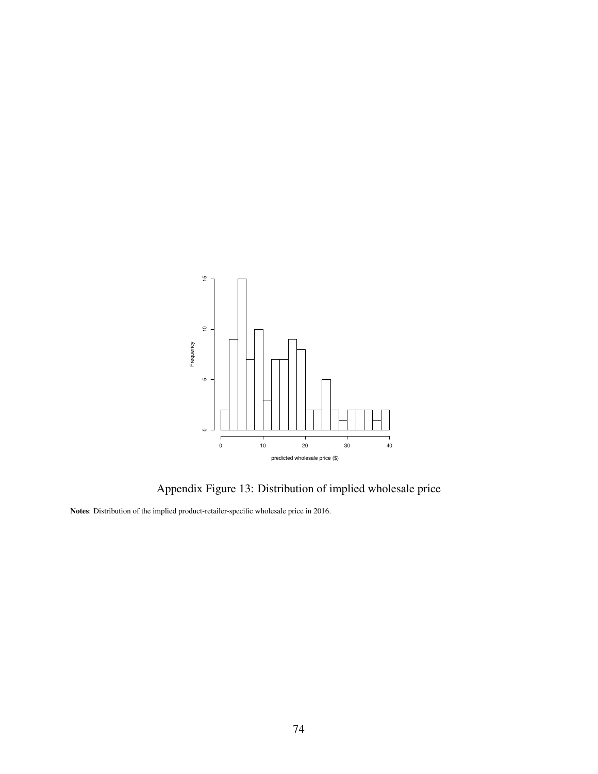

Appendix Figure 13: Distribution of implied wholesale price

Notes: Distribution of the implied product-retailer-specific wholesale price in 2016.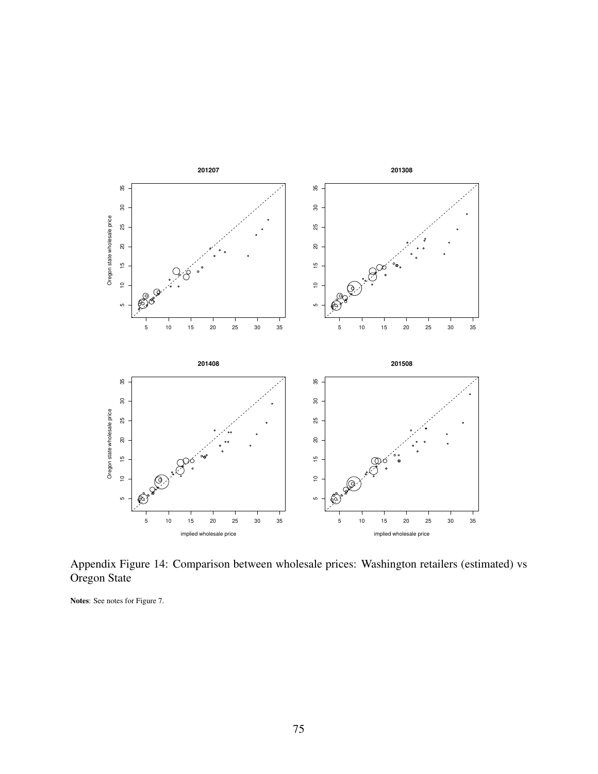

Appendix Figure 14: Comparison between wholesale prices: Washington retailers (estimated) vs Oregon State

Notes: See notes for Figure 7.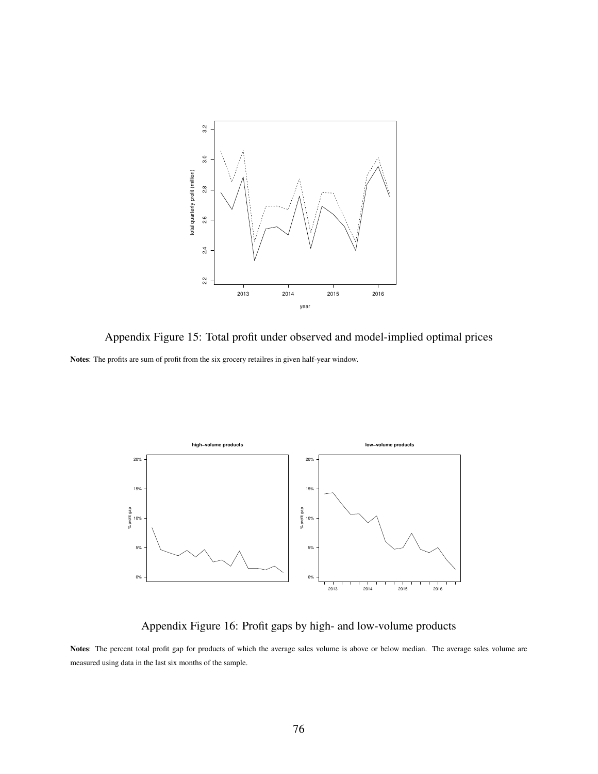

Appendix Figure 15: Total profit under observed and model-implied optimal prices Notes: The profits are sum of profit from the six grocery retailres in given half-year window.



Appendix Figure 16: Profit gaps by high- and low-volume products

Notes: The percent total profit gap for products of which the average sales volume is above or below median. The average sales volume are measured using data in the last six months of the sample.